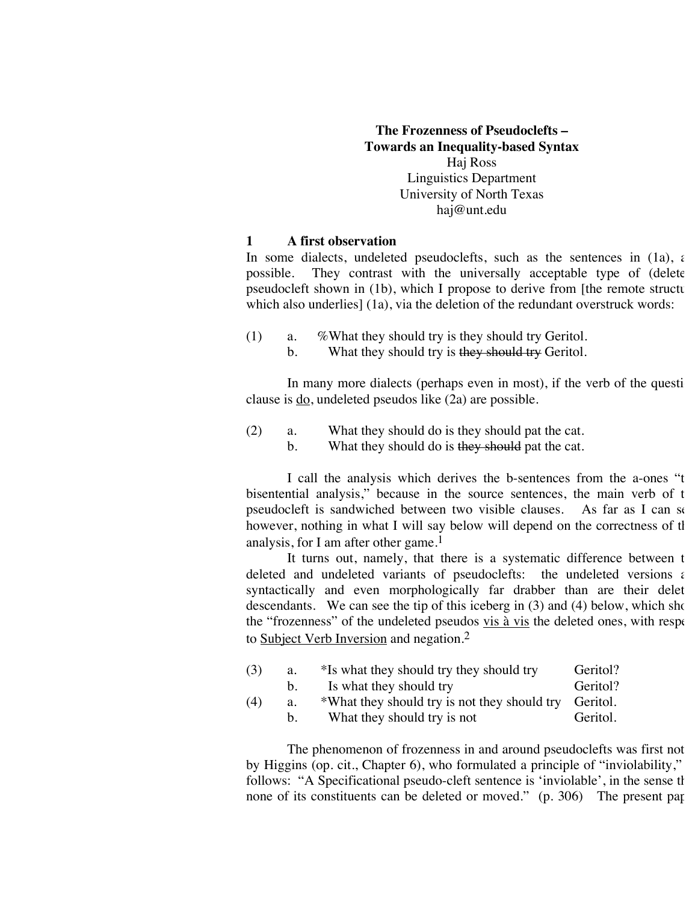## **The Frozenness of Pseudoclefts – Towards an Inequality-based Syntax** Haj Ross Linguistics Department University of North Texas haj@unt.edu

#### **1 A first observation**

In some dialects, undeleted pseudoclefts, such as the sentences in (1a),  $\epsilon$ possible. They contrast with the universally acceptable type of (delete pseudocleft shown in  $(1b)$ , which I propose to derive from [the remote structure which also underlies] (1a), via the deletion of the redundant overstruck words:

- (1) a. %What they should try is they should try Geritol.
	- b. What they should try is they should try Geritol.

In many more dialects (perhaps even in most), if the verb of the question clause is do, undeleted pseudos like (2a) are possible.

- (2) a. What they should do is they should pat the cat.
	- b. What they should do is they should pat the cat.

I call the analysis which derives the b-sentences from the a-ones "t bisentential analysis," because in the source sentences, the main verb of the pseudocleft is sandwiched between two visible clauses. As far as I can see, however, nothing in what I will say below will depend on the correctness of tl analysis, for I am after other game.<sup>1</sup>

It turns out, namely, that there is a systematic difference between the deleted and undeleted variants of pseudoclefts: the undeleted versions  $\epsilon$ syntactically and even morphologically far drabber than are their delet descendants. We can see the tip of this iceberg in  $(3)$  and  $(4)$  below, which show the "frozenness" of the undeleted pseudos vis  $\frac{a}{x}$  vis the deleted ones, with respectively to Subject Verb Inversion and negation.<sup>2</sup>

| (3) | a.          | *Is what they should try they should try              | Geritol? |
|-----|-------------|-------------------------------------------------------|----------|
|     | $b_{\cdot}$ | Is what they should try                               | Geritol? |
| (4) | a.          | *What they should try is not they should try Geritol. |          |
|     | $b_{\cdot}$ | What they should try is not                           | Geritol. |

The phenomenon of frozenness in and around pseudoclefts was first not by Higgins (op. cit., Chapter 6), who formulated a principle of "inviolability," follows: "A Specificational pseudo-cleft sentence is 'inviolable', in the sense that none of its constituents can be deleted or moved."  $(p. 306)$  The present paper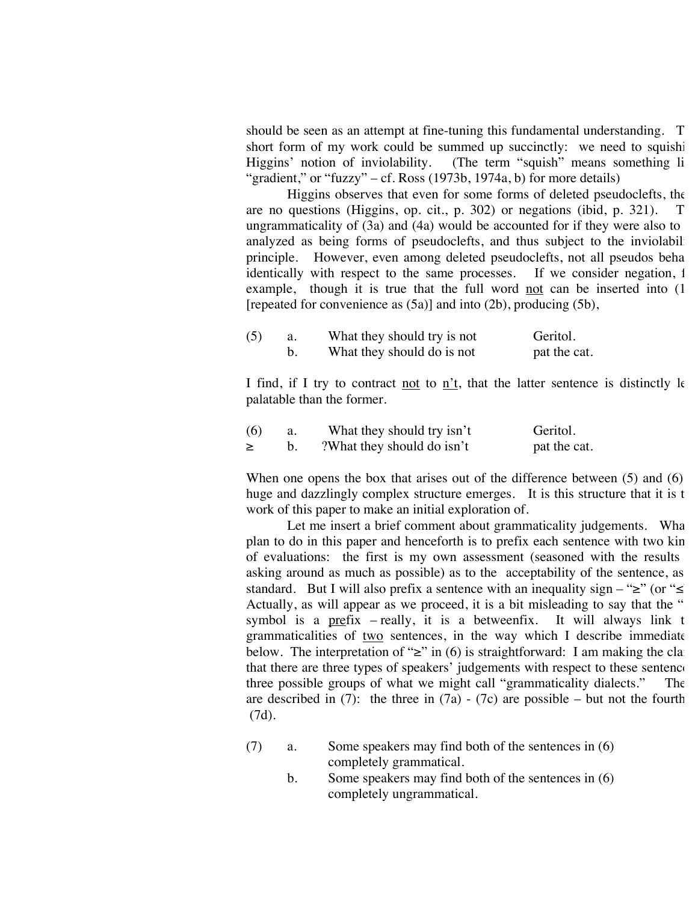should be seen as an attempt at fine-tuning this fundamental understanding. T short form of my work could be summed up succinctly: we need to squishi<br>Higgins' notion of inviolability. (The term "squish" means something li (The term "squish" means something li "gradient," or "fuzzy" – cf. Ross (1973b, 1974a, b) for more details)

Higgins observes that even for some forms of deleted pseudoclefts, the are no questions (Higgins, op. cit., p. 302) or negations (ibid, p. 321). ungrammaticality of  $(3a)$  and  $(4a)$  would be accounted for if they were also to analyzed as being forms of pseudoclefts, and thus subject to the inviolabil principle. However, even among deleted pseudoclefts, not all pseudos beha identically with respect to the same processes. If we consider negation, i example, though it is true that the full word not can be inserted into  $(1)$ [repeated for convenience as  $(5a)$ ] and into  $(2b)$ , producing  $(5b)$ ,

| (5) | What they should try is not | Geritol.     |
|-----|-----------------------------|--------------|
|     | What they should do is not  | pat the cat. |

I find, if I try to contract not to n't, that the latter sentence is distinctly  $\mathbf k$ palatable than the former.

| (6) | What they should try isn't | Geritol.     |
|-----|----------------------------|--------------|
| ≥   | ?What they should do isn't | pat the cat. |

When one opens the box that arises out of the difference between  $(5)$  and  $(6)$ huge and dazzlingly complex structure emerges. It is this structure that it is the work of this paper to make an initial exploration of.

Let me insert a brief comment about grammaticality judgements. What plan to do in this paper and henceforth is to prefix each sentence with two kin of evaluations: the first is my own assessment (seasoned with the results asking around as much as possible) as to the acceptability of the sentence, as standard. But I will also prefix a sentence with an inequality sign – " $\geq$ " (or " $\leq$ Actually, as will appear as we proceed, it is a bit misleading to say that the " symbol is a prefix – really, it is a betweenfix. It will always link the grammaticalities of two sentences, in the way which I describe immediate below. The interpretation of "≥" in (6) is straightforward: I am making the cla that there are three types of speakers' judgements with respect to these sentence three possible groups of what we might call "grammaticality dialects." The are described in (7): the three in (7a) - (7c) are possible – but not the fourth (7d).

- (7) a. Some speakers may find both of the sentences in (6) completely grammatical.
	- b. Some speakers may find both of the sentences in (6) completely ungrammatical.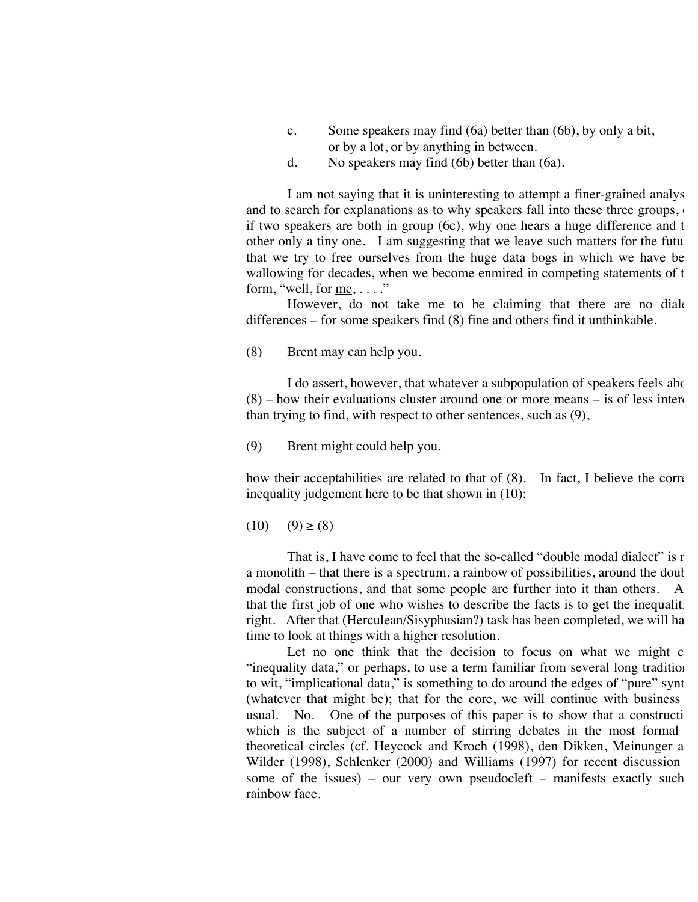- c. Some speakers may find (6a) better than (6b), by only a bit, or by a lot, or by anything in between.
- d. No speakers may find (6b) better than (6a).

I am not saying that it is uninteresting to attempt a finer-grained analysis, and to search for explanations as to why speakers fall into these three groups, if two speakers are both in group  $(6c)$ , why one hears a huge difference and t other only a tiny one. I am suggesting that we leave such matters for the future that we try to free ourselves from the huge data bogs in which we have be wallowing for decades, when we become enmired in competing statements of the form, "well, for  $me$ , ...."

However, do not take me to be claiming that there are no diale differences – for some speakers find (8) fine and others find it unthinkable.

(8) Brent may can help you.

I do assert, however, that whatever a subpopulation of speakers feels about  $(8)$  – how their evaluations cluster around one or more means – is of less interest than trying to find, with respect to other sentences, such as (9),

(9) Brent might could help you.

how their acceptabilities are related to that of  $(8)$ . In fact, I believe the correction inequality judgement here to be that shown in (10):

 $(10)$   $(9) \geq (8)$ 

That is, I have come to feel that the so-called "double modal dialect" is not a monolith – that there is a spectrum, a rainbow of possibilities, around the doul modal constructions, and that some people are further into it than others. A that the first job of one who wishes to describe the facts is to get the inequalities right. After that (Herculean/Sisyphusian?) task has been completed, we will ha time to look at things with a higher resolution.

Let no one think that the decision to focus on what we might  $c$ "inequality data," or perhaps, to use a term familiar from several long tradition to wit, "implicational data," is something to do around the edges of "pure" synt (whatever that might be); that for the core, we will continue with business usual. No. One of the purposes of this paper is to show that a construction which is the subject of a number of stirring debates in the most formal theoretical circles (cf. Heycock and Kroch (1998), den Dikken, Meinunger a Wilder (1998), Schlenker (2000) and Williams (1997) for recent discussion some of the issues) – our very own pseudocleft – manifests exactly such rainbow face.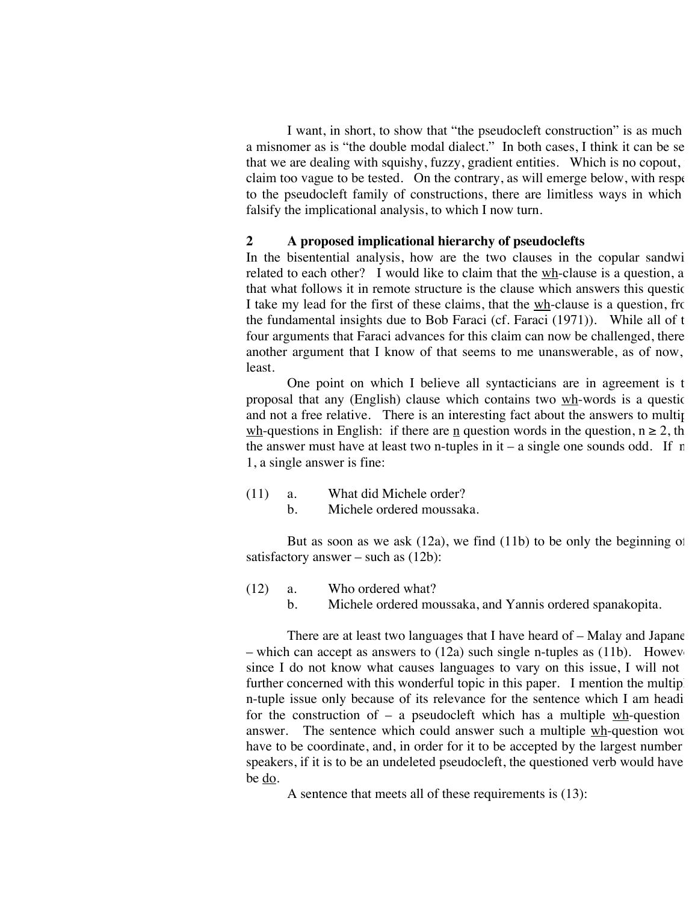I want, in short, to show that "the pseudocleft construction" is as much a misnomer as is "the double modal dialect." In both cases, I think it can be se that we are dealing with squishy, fuzzy, gradient entities. Which is no copout, claim too vague to be tested. On the contrary, as will emerge below, with respectively to the pseudocleft family of constructions, there are limitless ways in which falsify the implicational analysis, to which I now turn.

#### **2 A proposed implicational hierarchy of pseudoclefts**

In the bisentential analysis, how are the two clauses in the copular sandwi related to each other? I would like to claim that the  $w$ h-clause is a question, a that what follows it in remote structure is the clause which answers this questic. I take my lead for the first of these claims, that the wh-clause is a question, from the fundamental insights due to Bob Faraci (cf. Faraci (1971)). While all of the four arguments that Faraci advances for this claim can now be challenged, there another argument that I know of that seems to me unanswerable, as of now, least.

One point on which I believe all syntacticians are in agreement is t proposal that any (English) clause which contains two  $wh$ -words is a questic and not a free relative. There is an interesting fact about the answers to multiple wh-questions in English: if there are <u>n</u> question words in the question,  $n \ge 2$ , then the answer must have at least two n-tuples in it – a single one sounds odd. If  $r =$ 1, a single answer is fine:

- (11) a. What did Michele order?
	- b. Michele ordered moussaka.

But as soon as we ask  $(12a)$ , we find  $(11b)$  to be only the beginning of satisfactory answer – such as (12b):

- (12) a. Who ordered what?
	- b. Michele ordered moussaka, and Yannis ordered spanakopita.

There are at least two languages that I have heard of  $-$  Malay and Japane – which can accept as answers to  $(12a)$  such single n-tuples as  $(11b)$ . Howev since I do not know what causes languages to vary on this issue, I will not further concerned with this wonderful topic in this paper. I mention the multip n-tuple issue only because of its relevance for the sentence which I am headi for the construction of – a pseudocleft which has a multiple  $w_h$ -question answer. The sentence which could answer such a multiple  $\frac{wh}{wh}$ -question would have to be coordinate, and, in order for it to be accepted by the largest number speakers, if it is to be an undeleted pseudocleft, the questioned verb would have be do.

A sentence that meets all of these requirements is (13):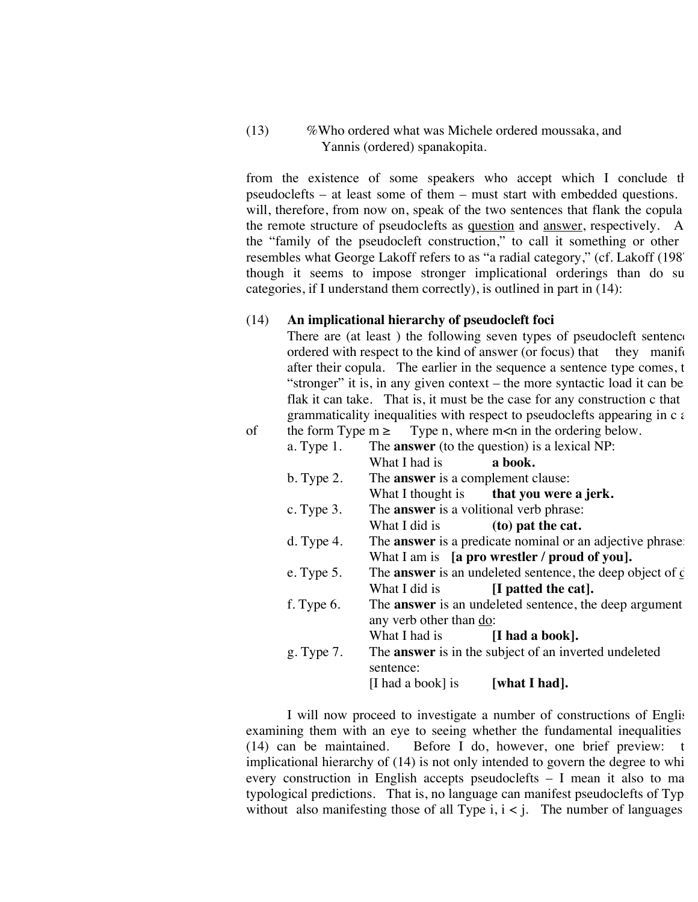### (13) %Who ordered what was Michele ordered moussaka, and Yannis (ordered) spanakopita.

from the existence of some speakers who accept which I conclude that pseudoclefts – at least some of them – must start with embedded questions. will, therefore, from now on, speak of the two sentences that flank the copula the remote structure of pseudoclefts as  $q$ uestion and  $q$ answer, respectively. A the "family of the pseudocleft construction," to call it something or other resembles what George Lakoff refers to as "a radial category," (cf. Lakoff (198<sup>7</sup>) though it seems to impose stronger implicational orderings than do su categories, if I understand them correctly), is outlined in part in (14):

#### (14) **An implicational hierarchy of pseudocleft foci**

There are (at least) the following seven types of pseudocleft sentence ordered with respect to the kind of answer (or focus) that they manifest after their copula. The earlier in the sequence a sentence type comes, the "stronger" it is, in any given context – the more syntactic load it can be flak it can take. That is, it must be the case for any construction  $c$  that grammaticality inequalities with respect to pseudoclefts appearing in  $c \in$ of the form Type  $m > 1$  Type n, where  $m < n$  in the ordering below.

|               | The <b>answer</b> (to the question) is a lexical NP:                                                                                                                                                                             |
|---------------|----------------------------------------------------------------------------------------------------------------------------------------------------------------------------------------------------------------------------------|
|               |                                                                                                                                                                                                                                  |
|               |                                                                                                                                                                                                                                  |
|               | What I thought is that you were a jerk.                                                                                                                                                                                          |
|               |                                                                                                                                                                                                                                  |
|               |                                                                                                                                                                                                                                  |
|               | The <b>answer</b> is a predicate nominal or an adjective phrase                                                                                                                                                                  |
|               | What I am is [a pro wrestler / proud of you].                                                                                                                                                                                    |
|               | The <b>answer</b> is an undeleted sentence, the deep object of $\epsilon$                                                                                                                                                        |
| What I did is | $\left[$ I patted the cat $\right]$ .                                                                                                                                                                                            |
|               | The <b>answer</b> is an undeleted sentence, the deep argument                                                                                                                                                                    |
|               |                                                                                                                                                                                                                                  |
| What I had is | [I had a book].                                                                                                                                                                                                                  |
|               | The <b>answer</b> is in the subject of an inverted undeleted                                                                                                                                                                     |
| sentence:     |                                                                                                                                                                                                                                  |
|               |                                                                                                                                                                                                                                  |
|               | What I had is <b>a book.</b><br>The <b>answer</b> is a complement clause:<br>The <b>answer</b> is a volitional verb phrase:<br>What I did is $(to)$ pat the cat.<br>any verb other than do:<br>[I had a book] is $[what I had].$ |

I will now proceed to investigate a number of constructions of Englishexamining them with an eye to seeing whether the fundamental inequalities (14) can be maintained. Before I do, however, one brief preview: Before I do, however, one brief preview: the implicational hierarchy of  $(14)$  is not only intended to govern the degree to whi every construction in English accepts pseudoclefts  $-$  I mean it also to ma typological predictions. That is, no language can manifest pseudoclefts of Typ without also manifesting those of all Type i,  $i < j$ . The number of languages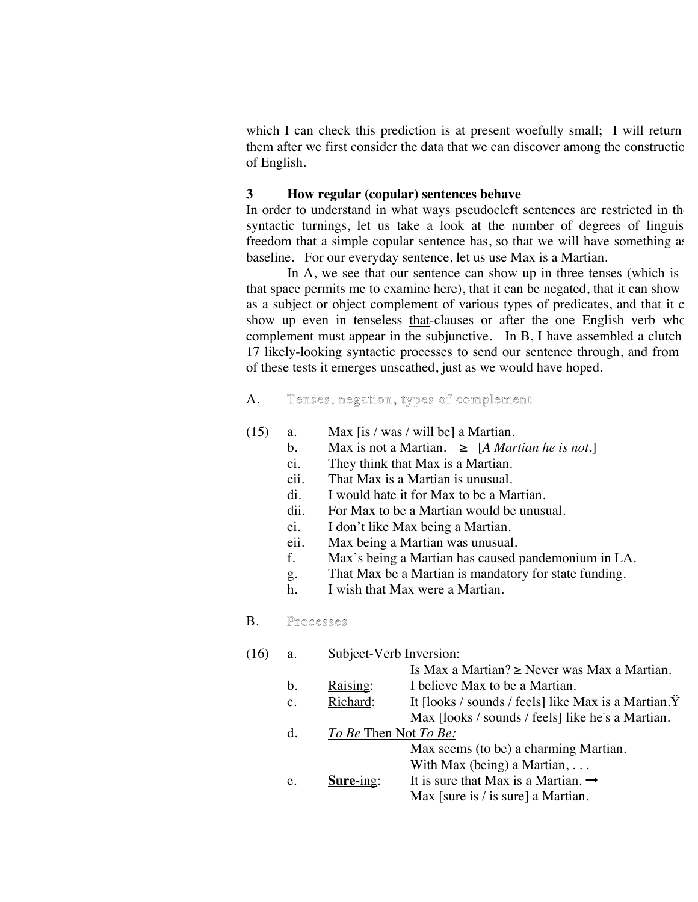which I can check this prediction is at present woefully small; I will return them after we first consider the data that we can discover among the construction of English.

### **3 How regular (copular) sentences behave**

In order to understand in what ways pseudocleft sentences are restricted in the syntactic turnings, let us take a look at the number of degrees of linguis freedom that a simple copular sentence has, so that we will have something as baseline. For our everyday sentence, let us use Max is a Martian.

In  $A$ , we see that our sentence can show up in three tenses (which is that space permits me to examine here), that it can be negated, that it can show as a subject or object complement of various types of predicates, and that it c show up even in tenseless that-clauses or after the one English verb who complement must appear in the subjunctive. In B, I have assembled a clutch 17 likely-looking syntactic processes to send our sentence through, and from of these tests it emerges unscathed, just as we would have hoped.

### A. Tenses, negation, types of complement

- (15) a. Max [is / was / will be] a Martian.
	- b. Max is not a Martian.  $\geq$  [*A Martian he is not.*]
	- ci. They think that Max is a Martian.
	- cii. That Max is a Martian is unusual.
	- di. I would hate it for Max to be a Martian.
	- dii. For Max to be a Martian would be unusual.
	- ei. I don't like Max being a Martian.
	- eii. Max being a Martian was unusual.
	- f. Max's being a Martian has caused pandemonium in LA.
	- g. That Max be a Martian is mandatory for state funding.
	- h. I wish that Max were a Martian.

### B. Processes

| (16) | a.             | Subject-Verb Inversion: |                                                               |
|------|----------------|-------------------------|---------------------------------------------------------------|
|      |                |                         | Is Max a Martian? $\geq$ Never was Max a Martian.             |
|      | b.             | Raising:                | I believe Max to be a Martian.                                |
|      | $\mathbf{c}$ . | Richard:                | It [looks / sounds / feels] like Max is a Martian. $\ddot{Y}$ |
|      |                |                         | Max [looks / sounds / feels] like he's a Martian.             |
|      | $\mathbf{d}$ . | To Be Then Not To Be:   |                                                               |
|      |                |                         | Max seems (to be) a charming Martian.                         |
|      |                |                         | With Max (being) a Martian, $\dots$                           |
|      | e.             | Sure-ing:               | It is sure that Max is a Martian. $\rightarrow$               |
|      |                |                         | Max [sure is $\ell$ is sure] a Martian.                       |
|      |                |                         |                                                               |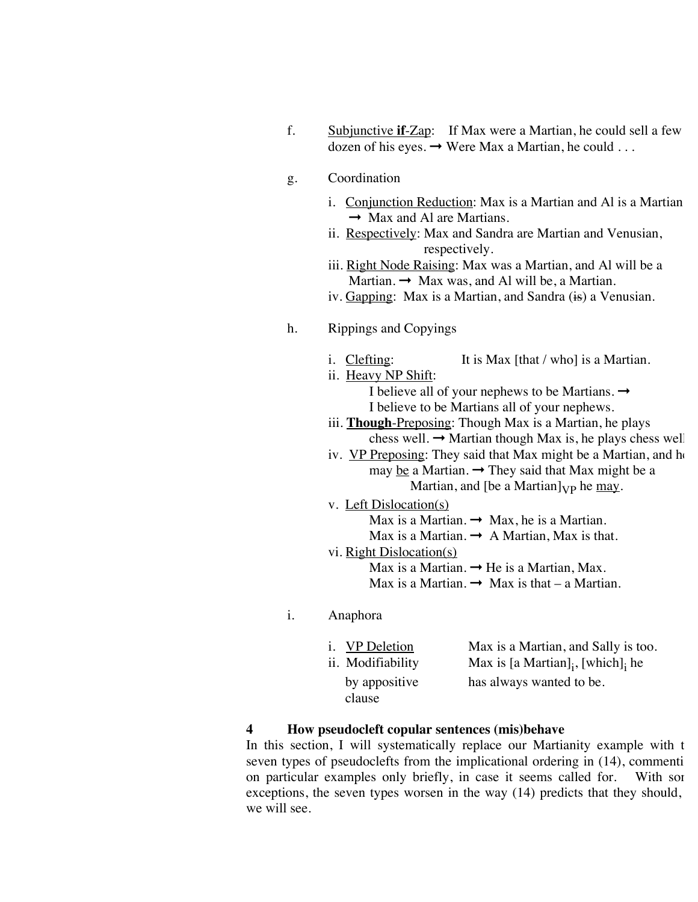f. Subjunctive **if**-Zap: If Max were a Martian, he could sell a few dozen of his eyes.  $\rightarrow$  Were Max a Martian, he could ...

### g. Coordination

- i. Conjunction Reduction: Max is a Martian and Al is a Martian.  $\rightarrow$  Max and Al are Martians.
	- ii. Respectively: Max and Sandra are Martian and Venusian, respectively.
	- iii. Right Node Raising: Max was a Martian, and Al will be a Martian.  $\rightarrow$  Max was, and Al will be, a Martian.
	- iv. Gapping: Max is a Martian, and Sandra (is) a Venusian.
- h. Rippings and Copyings
	- i. Clefting: It is Max  $[that / who]$  is a Martian.
	- ii. Heavy NP Shift: I believe all of your nephews to be Martians.  $\rightarrow$ 
		- I believe to be Martians all of your nephews.
	- iii. **Though**-Preposing: Though Max is a Martian, he plays chess well.  $\rightarrow$  Martian though Max is, he plays chess well.
	- iv. VP Preposing: They said that Max might be a Martian, and he may be a Martian.  $\rightarrow$  They said that Max might be a
		- Martian, and [be a Martian] $_{VP}$  he may.
	- v. Left Dislocation(s)
		- Max is a Martian.  $\rightarrow$  Max, he is a Martian.
		- Max is a Martian.  $\rightarrow$  A Martian, Max is that.
	- vi. Right Dislocation(s)
		- Max is a Martian.  $\rightarrow$  He is a Martian, Max.
		- Max is a Martian.  $\rightarrow$  Max is that a Martian.
- i. Anaphora

| <i>i.</i> VP Deletion   | Max is a Martian, and Sally is too.           |
|-------------------------|-----------------------------------------------|
| ii. Modifiability       | Max is [a Martian] $_{i}$ , [which] $_{i}$ he |
| by appositive<br>clause | has always wanted to be.                      |

#### **4 How pseudocleft copular sentences (mis)behave**

In this section, I will systematically replace our Martianity example with t seven types of pseudoclefts from the implicational ordering in  $(14)$ , commenting on particular examples only briefly, in case it seems called for. With some exceptions, the seven types worsen in the way  $(14)$  predicts that they should, we will see.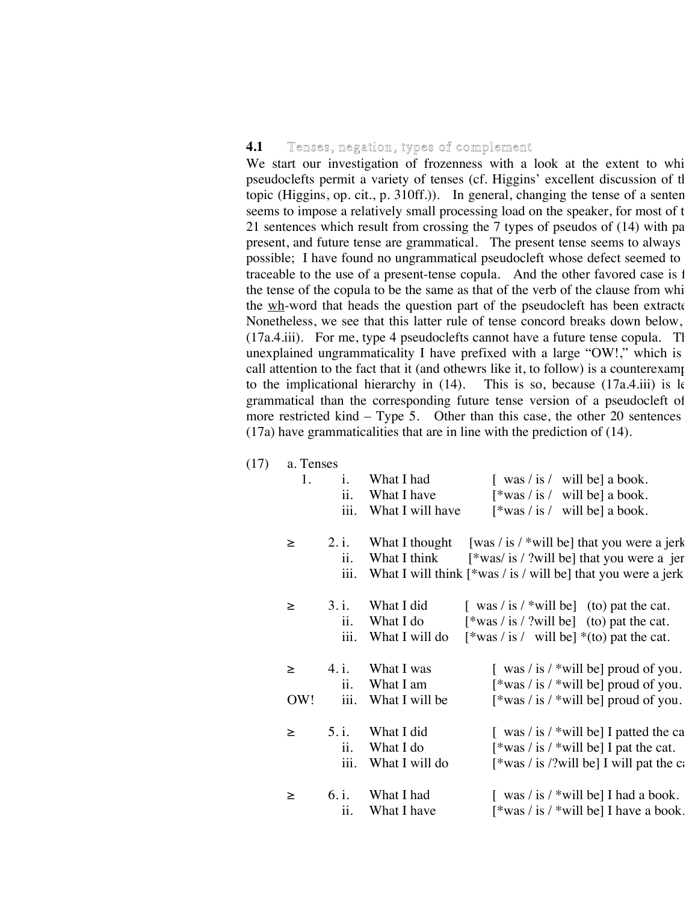### **4.1** Tenses, negation, types of complement

 $(17)$ 

We start our investigation of frozenness with a look at the extent to whi pseudoclefts permit a variety of tenses (cf. Higgins' excellent discussion of tl topic (Higgins, op. cit., p. 310ff.)). In general, changing the tense of a senten seems to impose a relatively small processing load on the speaker, for most of the 21 sentences which result from crossing the  $7$  types of pseudos of  $(14)$  with pa present, and future tense are grammatical. The present tense seems to always possible; I have found no ungrammatical pseudocleft whose defect seemed to traceable to the use of a present-tense copula. And the other favored case is 1 the tense of the copula to be the same as that of the verb of the clause from whi the  $wh$ -word that heads the question part of the pseudocleft has been extracted. Nonetheless, we see that this latter rule of tense concord breaks down below,  $(17a.4.iii)$ . For me, type 4 pseudoclefts cannot have a future tense copula. This unexplained ungrammaticality I have prefixed with a large "OW!," which is call attention to the fact that it (and othewrs like it, to follow) is a counterexamp<br>to the implicational hierarchy in  $(14)$ . This is so, because  $(17a.4.iii)$  is k to the implicational hierarchy in  $(14)$ . grammatical than the corresponding future tense version of a pseudocleft of more restricted kind – Type 5. Other than this case, the other 20 sentences (17a) have grammaticalities that are in line with the prediction of (14).

| a. Tenses       |                          |                                                                                                               |  |
|-----------------|--------------------------|---------------------------------------------------------------------------------------------------------------|--|
| 1.              | What I had<br>i.         | $\lceil \frac{\text{was}}{\text{is}} \rceil$ will be a book.                                                  |  |
|                 | ii.<br>What I have       | $\lceil \frac{k}{s} \right $ is / will be a book.                                                             |  |
|                 | iii.<br>What I will have | $\lceil \frac{k}{s} \cdot \text{was} / \text{is} / \text{will be} \rceil$ a book.                             |  |
| 2. i.<br>$\geq$ | What I thought           | [was / is / *will be] that you were a jerk                                                                    |  |
|                 | ii.<br>What I think      | $[*was/is/?will be] that you were a jer$                                                                      |  |
|                 | iii.                     | What I will think $\lceil \frac{k}{s} \right $ is / will be that you were a jerk                              |  |
| 3. i.<br>$\geq$ | What I did               | $\left[\begin{array}{c}\n\text{was} / \text{is} / \cdot \text{will be}\n\end{array}\right]$ (to) pat the cat. |  |
|                 | ii.<br>What I do         | $[*was / is / ?will be]$ (to) pat the cat.                                                                    |  |
|                 | iii.<br>What I will do   | $\lceil \frac{k}{s} \cdot \text{was} / \text{is} / \text{will be} \rceil$ *(to) pat the cat.                  |  |
| 4. i.<br>$\geq$ | What I was               | $\int$ was / is / *will be proud of you.                                                                      |  |
|                 | ii.<br>What I am         | $\lceil \frac{k}{2} \right $ as / is / *will be proud of you.                                                 |  |
| OW!             | iii.<br>What I will be   | $\lceil \frac{k}{2} \right $ as / is / *will be proud of you.                                                 |  |
| 5. i.<br>≥      | What I did               | $\int$ was / is / *will be] I patted the ca                                                                   |  |
|                 | ii.<br>What I do         | $[*was / is / *will be]$ I pat the cat.                                                                       |  |
|                 | iii.<br>What I will do   | $[*was / is /?will be]$ I will pat the c.                                                                     |  |
| 6. i.<br>≥      | What I had               | $\lceil$ was / is / *will be $\lceil$ had a book.                                                             |  |
|                 | ii.<br>What I have       | $\lceil \frac{k}{s} \right $ is / *will be I have a book.                                                     |  |
|                 |                          |                                                                                                               |  |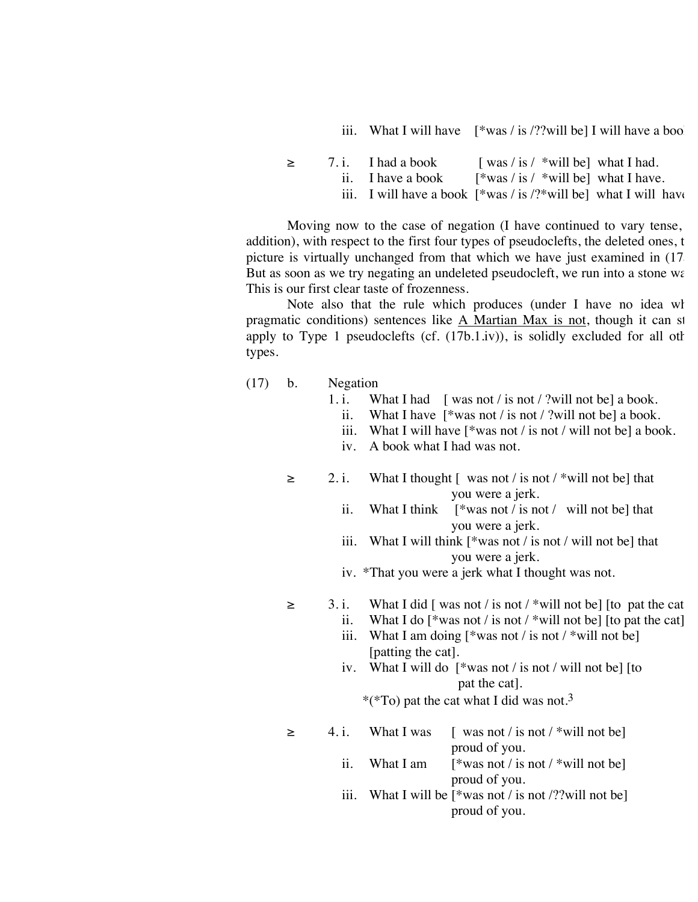iii. What I will have  $\left[\frac{1}{2} \text{ was } 1 \text{ is } 2 \text{?} \text{ will be} \right]$  I will have a boo

| $\geq$ | $7. i.$ I had a book | $\lceil \text{ was } / \text{ is } / \text{ will be} \rceil$ what I had.                             |  |
|--------|----------------------|------------------------------------------------------------------------------------------------------|--|
|        | ii. I have a book    | $\lceil \frac{k}{2} \right $ as / is / *will be what I have.                                         |  |
|        |                      | iii. I will have a book $\lceil \frac{*}{ws} \rceil$ is $\frac{?*}{\text{will be}}$ what I will have |  |

Moving now to the case of negation (I have continued to vary tense, addition), with respect to the first four types of pseudoclefts, the deleted ones, the picture is virtually unchanged from that which we have just examined in (17 But as soon as we try negating an undeleted pseudocleft, we run into a stone wall. This is our first clear taste of frozenness.

Note also that the rule which produces (under I have no idea wh pragmatic conditions) sentences like  $\overline{A}$  Martian Max is not, though it can st apply to Type 1 pseudoclefts (cf.  $(17b.1.iv)$ ), is solidly excluded for all other types.

- (17) b. Negation
	- 1. i. What I had [ was not / is not / ?will not be] a book.
		- ii. What I have [\*was not / is not / ?will not be] a book.
		- iii. What I will have [\*was not / is not / will not be] a book.
		- iv. A book what I had was not.
	- $\ge$  2. i. What I thought [ was not / is not / \*will not be] that you were a jerk.
		- ii. What I think [\*was not / is not / will not be] that you were a jerk.
		- iii. What I will think [\*was not / is not / will not be] that you were a jerk.

iv. \*That you were a jerk what I thought was not.

 $\geq$  3. i. What I did [ was not / is not / \*will not be] [to pat the cat]

- ii. What I do  $\left[\frac{1}{2} \text{ was not } \textit{i} \text{ is not } \textit{i} \text{ will not be}\right]$  [to pat the cat].
	- iii. What I am doing  $[$ \*was not / is not / \*will not be] [patting the cat].
	- iv. What I will do [\*was not / is not / will not be] [to pat the cat].

\*(\*To) pat the cat what I did was not.3

- $\geq$  4. i. What I was [ was not / is not / \*will not be] proud of you. ii. What I am  $[$ \*was not / is not / \*will not be] proud of you.
	- iii. What I will be  $\lceil \frac{*}{\text{was not}} \rceil$  is not  $\lceil \frac{?}{\text{will not be}} \rceil$ proud of you.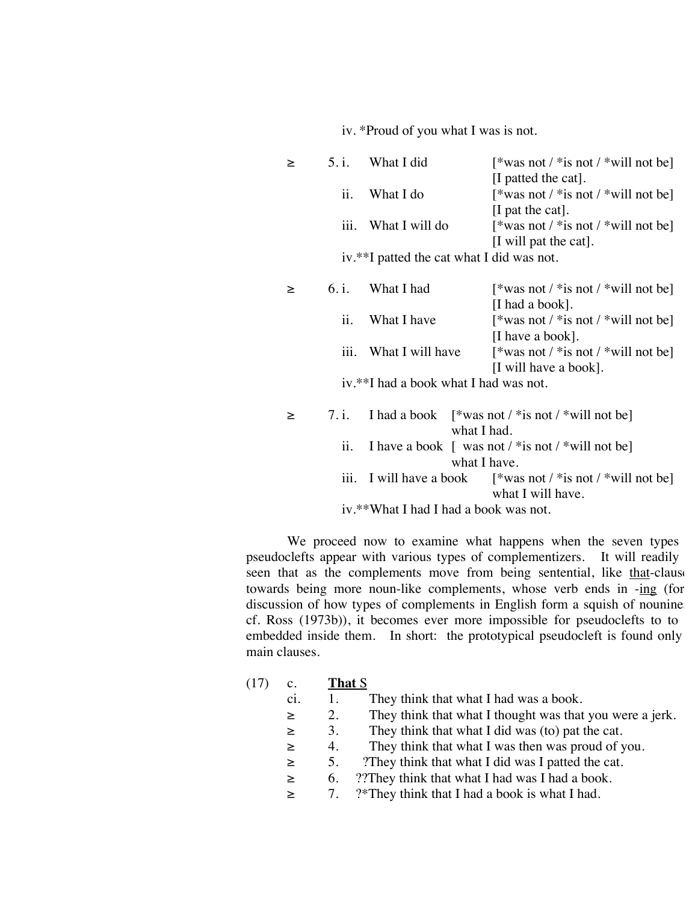iv. \*Proud of you what I was is not.

| ≥ | 5. i.              | What I did                                | [*was not / *is not / *will not be]                                                                                        |
|---|--------------------|-------------------------------------------|----------------------------------------------------------------------------------------------------------------------------|
|   |                    |                                           | [I patted the cat].                                                                                                        |
|   | ii.                | What I do                                 | [*was not / *is not / *will not be]                                                                                        |
|   |                    |                                           | [I pat the cat].                                                                                                           |
|   | iii.               | What I will do                            | [*was not / *is not / *will not be]                                                                                        |
|   |                    |                                           | [I will pat the cat].                                                                                                      |
|   |                    | iv.**I patted the cat what I did was not. |                                                                                                                            |
|   | 6. i.              |                                           |                                                                                                                            |
| ≥ |                    | What I had                                | [*was not / *is not / *will not be]                                                                                        |
|   |                    |                                           | [I had a book].                                                                                                            |
|   | ii.                | What I have                               | [*was not / *is not / *will not be]                                                                                        |
|   |                    |                                           | [I have a book].                                                                                                           |
|   | iii.               | What I will have                          | [*was not / *is not / *will not be]                                                                                        |
|   |                    |                                           | [I will have a book].                                                                                                      |
|   |                    | iv.**I had a book what I had was not.     |                                                                                                                            |
|   |                    |                                           |                                                                                                                            |
| ≥ | 7.1.               |                                           | I had a book $\left[$ *was not / *is not / *will not be                                                                    |
|   |                    | what I had.                               |                                                                                                                            |
|   | ii.                |                                           | I have a book $\int$ was not / * is not / * will not be                                                                    |
|   |                    | what I have.                              |                                                                                                                            |
|   | $\overline{111}$ . |                                           | I will have a book $\left[\frac{1}{2} \text{ was not } \frac{1}{2} \text{ is not } \frac{1}{2} \text{ will not be}\right]$ |
|   |                    |                                           | what I will have.                                                                                                          |
|   |                    | iv.**What I had I had a book was not.     |                                                                                                                            |
|   |                    |                                           |                                                                                                                            |

We proceed now to examine what happens when the seven types pseudoclefts appear with various types of complementizers. It will readily be seen that as the complements move from being sentential, like that-clause towards being more noun-like complements, whose verb ends in -ing (for discussion of how types of complements in English form a squish of nounine cf. Ross (1973b)), it becomes ever more impossible for pseudoclefts to to embedded inside them. In short: the prototypical pseudocleft is found only main clauses.

- (17) c. **That** S
	- ci. 1. They think that what I had was a book.
	- ≥ 2. They think that what I thought was that you were a jerk.
	- $\geq$  3. They think that what I did was (to) pat the cat.
	- ≥ 4. They think that what I was then was proud of you.
	- ≥ 5. ?They think that what I did was I patted the cat.
	- $\geq$  6. ??They think that what I had was I had a book.
	- $\geq$  7. ?\*They think that I had a book is what I had.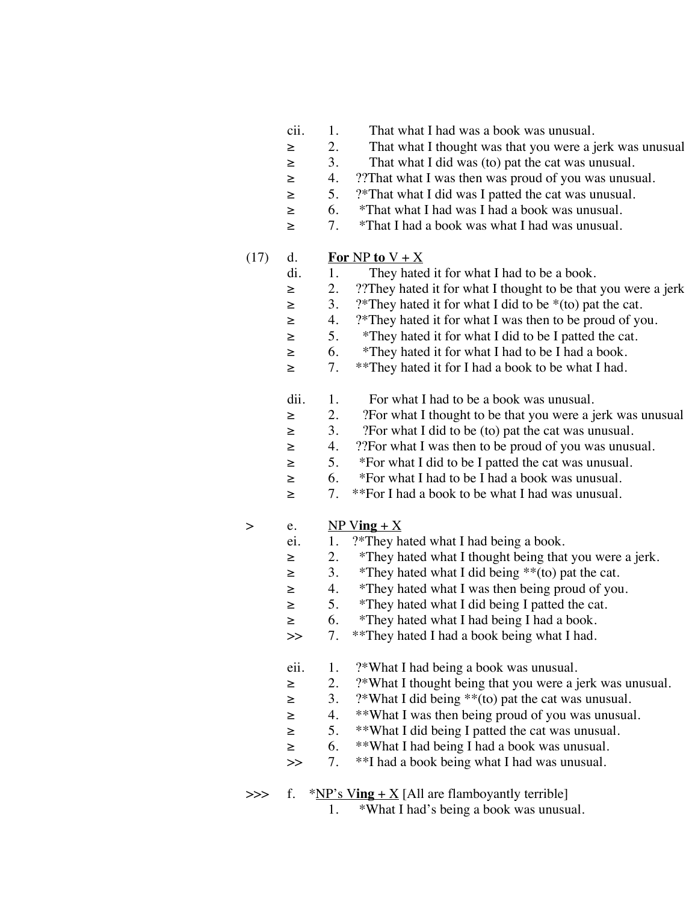- cii. 1. That what I had was a book was unusual.
- ≥ 2. That what I thought was that you were a jerk was unusual.
- ≥ 3. That what I did was (to) pat the cat was unusual.
- ≥ 4. ??That what I was then was proud of you was unusual.
- ≥ 5. ?\*That what I did was I patted the cat was unusual.
- ≥ 6. \*That what I had was I had a book was unusual.
- ≥ 7. \*That I had a book was what I had was unusual.
- (17) d. **For** NP **to**  $V + X$ 
	- di. 1. They hated it for what I had to be a book.
	- ≥ 2. ??They hated it for what I thought to be that you were a jerk.
	- $\geq$  3. ?\*They hated it for what I did to be \*(to) pat the cat.
	- ≥ 4. ?\*They hated it for what I was then to be proud of you.
	- ≥ 5. \*They hated it for what I did to be I patted the cat.
	- ≥ 6. \*They hated it for what I had to be I had a book.
	- ≥ 7. \*\*They hated it for I had a book to be what I had.
	- dii. 1. For what I had to be a book was unusual.<br> $\geq$  2. ?For what I thought to be that you were a i
	- ≥ 2. ?For what I thought to be that you were a jerk was unusual.
	- ≥ 3. ?For what I did to be (to) pat the cat was unusual.
	- ≥ 4. ??For what I was then to be proud of you was unusual.
	- ≥ 5. \*For what I did to be I patted the cat was unusual.
	- ≥ 6. \*For what I had to be I had a book was unusual.
	- ≥ 7. \*\*For I had a book to be what I had was unusual.
- $>$  e. NP Ving + X
	- ei. 1. ?\*They hated what I had being a book.
	- ≥ 2. \*They hated what I thought being that you were a jerk.
	- $\geq$  3. \*They hated what I did being \*\*(to) pat the cat.
	- ≥ 4. \*They hated what I was then being proud of you.
	- ≥ 5. \*They hated what I did being I patted the cat.
	- ≥ 6. \*They hated what I had being I had a book.
	- >> 7. \*\*They hated I had a book being what I had.
	- eii. 1. ?\*What I had being a book was unusual.
	- ≥ 2. ?\*What I thought being that you were a jerk was unusual.
	- $\geq$  3. ?\*What I did being \*\*(to) pat the cat was unusual.
	- ≥ 4. \*\*What I was then being proud of you was unusual.
	- ≥ 5. \*\*What I did being I patted the cat was unusual.
	- ≥ 6. \*\*What I had being I had a book was unusual.
	- >> 7. \*\*I had a book being what I had was unusual.
- $\Rightarrow$  f. \*NP's Ving + X [All are flamboyantly terrible]
	- 1. \*What I had's being a book was unusual.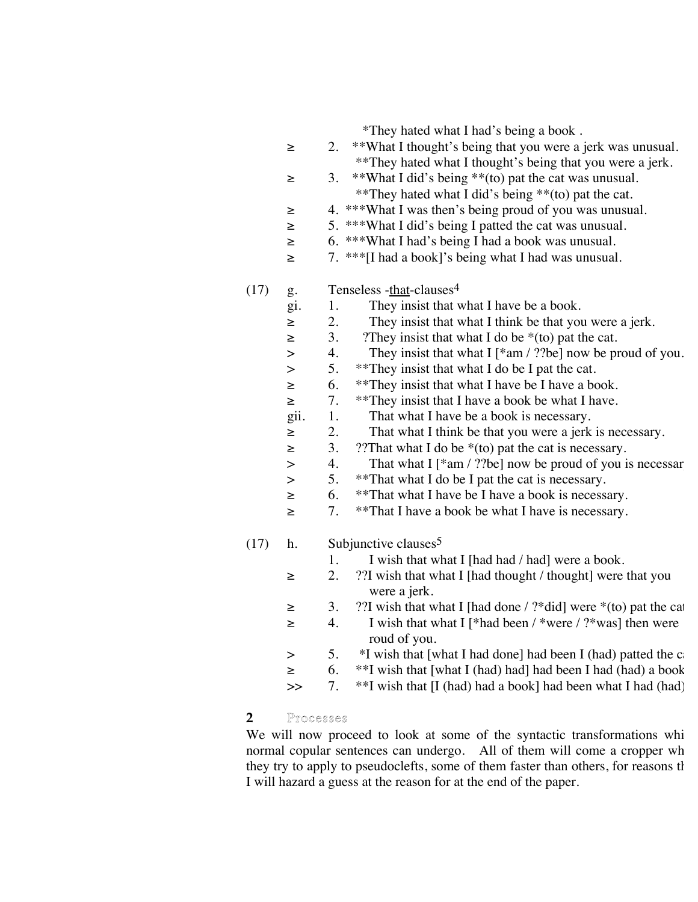\*They hated what I had's being a book .

- ≥ 2. \*\*What I thought's being that you were a jerk was unusual. \*\*They hated what I thought's being that you were a jerk.
- ≥ 3. \*\*What I did's being \*\*(to) pat the cat was unusual. \*\*They hated what I did's being \*\*(to) pat the cat.
- ≥ 4. \*\*\*What I was then's being proud of you was unusual.
- ≥ 5. \*\*\*What I did's being I patted the cat was unusual.
- ≥ 6. \*\*\*What I had's being I had a book was unusual.
- ≥ 7. \*\*\*[I had a book]'s being what I had was unusual.

# $(17)$  g. Tenseless -that-clauses<sup>4</sup>

- gi. 1. They insist that what I have be a book.
- ≥ 2. They insist that what I think be that you were a jerk.
- $\geq$  3. ?They insist that what I do be \*(to) pat the cat.
- > 4. They insist that what I [\*am / ??be] now be proud of you.
- > 5. \*\*They insist that what I do be I pat the cat.
- ≥ 6. \*\*They insist that what I have be I have a book.
- ≥ 7. \*\*They insist that I have a book be what I have.
- gii. 1. That what I have be a book is necessary.
- ≥ 2. That what I think be that you were a jerk is necessary.
- $\geq$  3. ??That what I do be \*(to) pat the cat is necessary.
- $>$  4. That what I [\*am / ??be] now be proud of you is necessar
- > 5. \*\*That what I do be I pat the cat is necessary.
- ≥ 6. \*\*That what I have be I have a book is necessary.
- ≥ 7. \*\*That I have a book be what I have is necessary.

# $(17)$  h. Subjunctive clauses<sup>5</sup>

- 1. I wish that what I [had had / had] were a book.
- ≥ 2. ??I wish that what I [had thought / thought] were that you were a jerk.
- $\geq$  3. ??I wish that what I [had done / ?\*did] were \*(to) pat the cat.
- ≥ 4. I wish that what I [\*had been / \*were / ?\*was] then were roud of you.
- $>$  5. \*I wish that [what I had done] had been I (had) patted the c
- ≥ 6. \*\*I wish that [what I (had) had] had been I had (had) a book.
- $\gg$  7. \*\*I wish that [I (had) had a book] had been what I had (had).

# **2** Processes

We will now proceed to look at some of the syntactic transformations whi normal copular sentences can undergo. All of them will come a cropper wh they try to apply to pseudoclefts, some of them faster than others, for reasons that I will hazard a guess at the reason for at the end of the paper.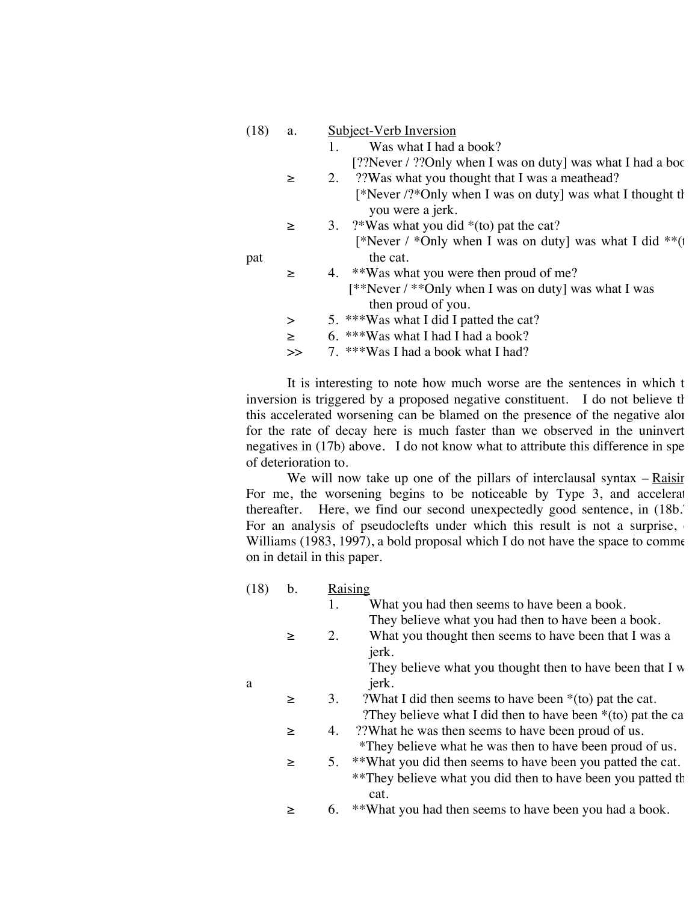| (18) | a.     | Subject-Verb Inversion                                      |
|------|--------|-------------------------------------------------------------|
|      |        | Was what I had a book?<br>1.                                |
|      |        | [??Never / ??Only when I was on duty] was what I had a boot |
|      | $\geq$ | 2. ??Was what you thought that I was a meathead?            |
|      |        | [*Never /?*Only when I was on duty] was what I thought th   |
|      |        | you were a jerk.                                            |
|      | $\geq$ | 3. $?$ Was what you did $*($ to) pat the cat?               |
|      |        | [*Never / *Only when I was on duty] was what I did **(1)    |
| pat  |        | the cat.                                                    |
|      | $\geq$ | 4. **Was what you were then proud of me?                    |
|      |        | [**Never / **Only when I was on duty] was what I was        |
|      |        | then proud of you.                                          |
|      | $\,>$  | 5. ***Was what I did I patted the cat?                      |
|      | $\geq$ | 6. ***Was what I had I had a book?                          |
|      | >>     | 7. ***Was I had a book what I had?                          |

It is interesting to note how much worse are the sentences in which t inversion is triggered by a proposed negative constituent. I do not believe the this accelerated worsening can be blamed on the presence of the negative alor for the rate of decay here is much faster than we observed in the uninvert negatives in  $(17b)$  above. I do not know what to attribute this difference in spe of deterioration to.

We will now take up one of the pillars of interclausal syntax  $-$  Raising. For me, the worsening begins to be noticeable by Type  $3$ , and accelerates thereafter. Here, we find our second unexpectedly good sentence, in (18b.<sup>7</sup>). For an analysis of pseudoclefts under which this result is not a surprise, Williams  $(1983, 1997)$ , a bold proposal which I do not have the space to comment on in detail in this paper.

| (18) | b.     | Raising                                                         |  |
|------|--------|-----------------------------------------------------------------|--|
|      |        | What you had then seems to have been a book.<br>1.              |  |
|      |        | They believe what you had then to have been a book.             |  |
|      | $\geq$ | What you thought then seems to have been that I was a<br>2.     |  |
|      |        | jerk.                                                           |  |
|      |        | They believe what you thought then to have been that I w        |  |
| a    |        | jerk.                                                           |  |
|      | $\geq$ | ?What I did then seems to have been $*($ to) pat the cat.<br>3. |  |
|      |        | They believe what I did then to have been $*($ to) pat the ca   |  |
|      | $\geq$ | ??What he was then seems to have been proud of us.<br>4.        |  |
|      |        | *They believe what he was then to have been proud of us.        |  |
|      | $\geq$ | 5. **What you did then seems to have been you patted the cat.   |  |
|      |        | **They believe what you did then to have been you patted the    |  |
|      |        | cat.                                                            |  |
|      | $\geq$ | **What you had then seems to have been you had a book.<br>6.    |  |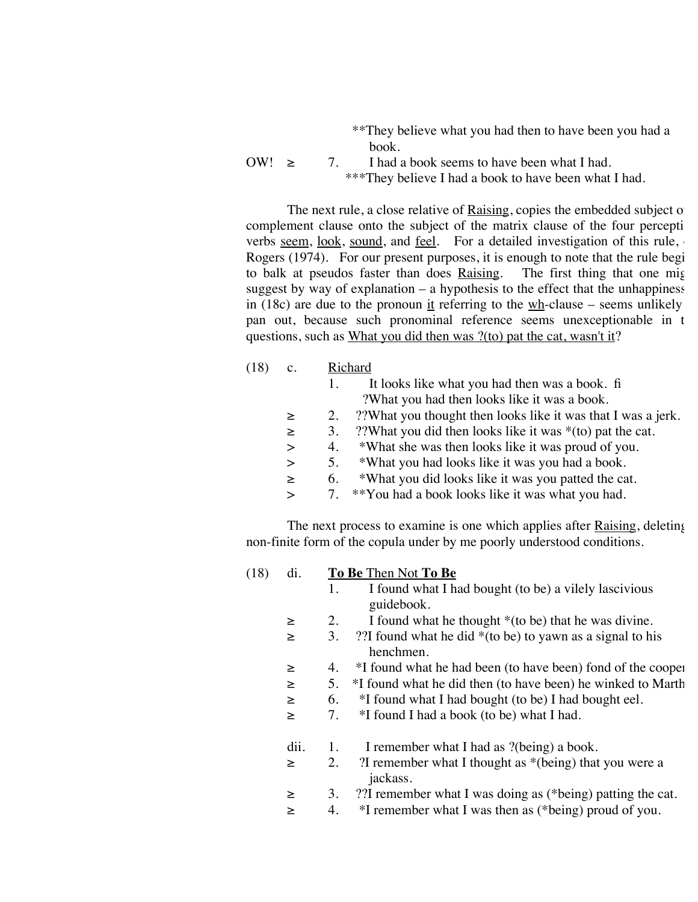|       | **They believe what you had then to have been you had a |
|-------|---------------------------------------------------------|
|       | book <sub>1</sub>                                       |
| OW! > | 7. I had a book seems to have been what I had.          |
|       | ***They believe I had a book to have been what I had.   |

The next rule, a close relative of  $Raising$ , copies the embedded subject of</u> complement clause onto the subject of the matrix clause of the four percepti verbs seem, look, sound, and feel. For a detailed investigation of this rule, Rogers (1974). For our present purposes, it is enough to note that the rule begi to balk at pseudos faster than does Raising. The first thing that one might suggest by way of explanation  $-$  a hypothesis to the effect that the unhappiness in (18c) are due to the pronoun it referring to the  $wh$ -clause – seems unlikely pan out, because such pronominal reference seems unexceptionable in t questions, such as What you did then was ?(to) pat the cat, wasn't it?

| (18) | c.     | Richard                                                                  |
|------|--------|--------------------------------------------------------------------------|
|      |        | It looks like what you had then was a book. fi<br>1.                     |
|      |        | ?What you had then looks like it was a book.                             |
|      | $\geq$ | ??What you thought then looks like it was that I was a jerk.<br>2.       |
|      | $\geq$ | ??What you did then looks like it was *(to) pat the cat.<br>3.           |
|      | $\geq$ | *What she was then looks like it was proud of you.<br>4.                 |
|      | $\geq$ | *What you had looks like it was you had a book.<br>5.                    |
|      | $\geq$ | *What you did looks like it was you patted the cat.<br>6.                |
|      | $\geq$ | **You had a book looks like it was what you had.<br>7.                   |
|      |        |                                                                          |
|      |        | The next process to examine is one which applies after Raising, deleting |

non-finite form of the copula under by me poorly understood conditions.

(18) di. **To Be** Then Not **To Be** 1. I found what I had bought (to be) a vilely lascivious guidebook. ≥ 2. I found what he thought \*(to be) that he was divine. ≥ 3. ??I found what he did \*(to be) to yawn as a signal to his henchmen. ≥ 4. \*I found what he had been (to have been) fond of the coopers. ≥ 5. \*I found what he did then (to have been) he winked to Martha. ≥ 6. \*I found what I had bought (to be) I had bought eel. ≥ 7. \*I found I had a book (to be) what I had. dii. 1. I remember what I had as ?(being) a book. ≥ 2. ?I remember what I thought as \*(being) that you were a jackass. ≥ 3. ??I remember what I was doing as (\*being) patting the cat. ≥ 4. \*I remember what I was then as (\*being) proud of you.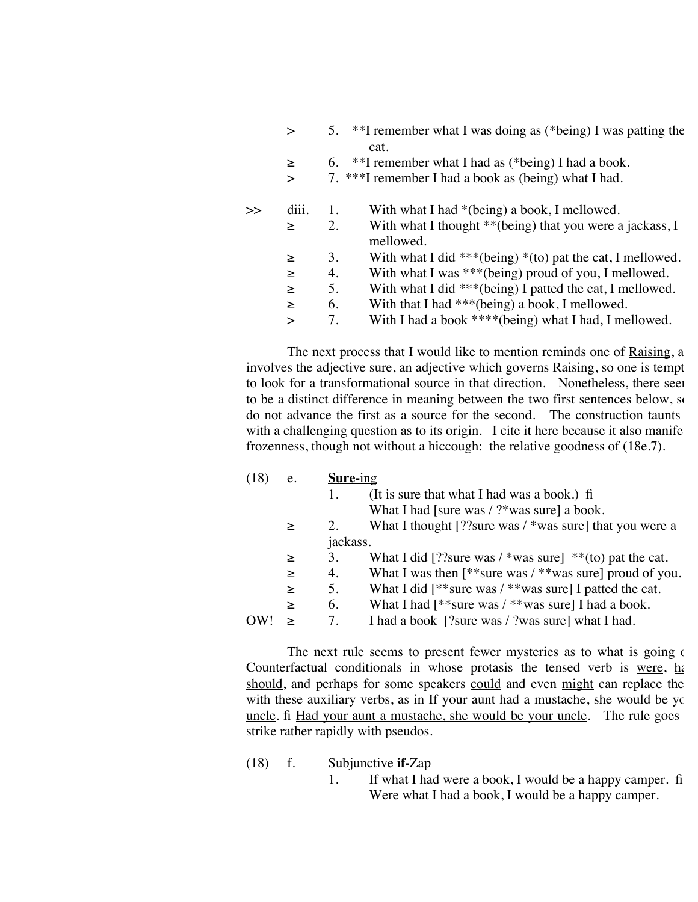|  | 5. **I remember what I was doing as (*being) I was patting the |  |  |  |                                                                                                                                                             |  |  |  |
|--|----------------------------------------------------------------|--|--|--|-------------------------------------------------------------------------------------------------------------------------------------------------------------|--|--|--|
|  | cat.                                                           |  |  |  |                                                                                                                                                             |  |  |  |
|  | ももて                                                            |  |  |  | $\mathbf{1}$ $\mathbf{1}$ $\mathbf{1}$ $\mathbf{1}$ $\mathbf{1}$ $\mathbf{1}$ $\mathbf{1}$ $\mathbf{1}$ $\mathbf{1}$ $\mathbf{1}$ $\mathbf{1}$ $\mathbf{1}$ |  |  |  |

- $\geq$  6. \*\*I remember what I had as (\*being) I had a book.
- > 7. \*\*\*I remember I had a book as (being) what I had.

| $\scriptstyle\bm{\rightarrow}$ | $d_{111}$ . |    | With what I had $*(being)$ a book, I mellowed.               |
|--------------------------------|-------------|----|--------------------------------------------------------------|
|                                | $\geq$      | 2. | With what I thought $**$ (being) that you were a jackass, I  |
|                                |             |    | mellowed.                                                    |
|                                | $\geq$      | 3. | With what I did ***(being) $*($ to) pat the cat, I mellowed. |
|                                | $\geq$      | 4. | With what I was $***$ (being) proud of you, I mellowed.      |
|                                | ➤           | 5. | With what I did ***(being) I patted the cat, I mellowed.     |
|                                | $\geq$      | 6. | With that I had $***$ (being) a book, I mellowed.            |
|                                |             | 7  | With I had a book ****(being) what I had, I mellowed.        |

The next process that I would like to mention reminds one of Raising, a involves the adjective sure, an adjective which governs Raising, so one is tempt to look for a transformational source in that direction. Nonetheless, there seen to be a distinct difference in meaning between the two first sentences below, so do not advance the first as a source for the second. The construction taunts with a challenging question as to its origin. I cite it here because it also manife frozenness, though not without a hiccough: the relative goodness of (18e.7).

| (18) | e.     | Sure-ing |                                                                |
|------|--------|----------|----------------------------------------------------------------|
|      |        | 1.       | (It is sure that what I had was a book.) fi                    |
|      |        |          | What I had [sure was $/$ ?*was sure] a book.                   |
|      | $\geq$ | 2.       | What I thought [?? sure was $/$ *was sure] that you were a     |
|      |        | jackass. |                                                                |
|      | $\geq$ | 3.       | What I did [?? sure was / *was sure] ** (to) pat the cat.      |
|      | $\geq$ | 4.       | What I was then $[$ **sure was $/$ **was sure] proud of you.   |
|      | $\geq$ | 5.       | What I did $\lceil$ **sure was / **was sure] I patted the cat. |
|      | $\geq$ | 6.       | What I had $\lceil$ **sure was / **was sure] I had a book.     |
| OW!  | $\geq$ | 7.       | I had a book [?sure was / ?was sure] what I had.               |
|      |        |          |                                                                |

The next rule seems to present fewer mysteries as to what is going on. Counterfactual conditionals in whose protasis the tensed verb is were, had, should, and perhaps for some speakers could and even might can replace the with these auxiliary verbs, as in  $\underline{If}$  your aunt had a mustache, she would be your uncle. fi Had your aunt a mustache, she would be your uncle. The rule goes strike rather rapidly with pseudos.

- (18) f. Subjunctive **if-**Zap
	- 1. If what I had were a book, I would be a happy camper. fi Were what I had a book, I would be a happy camper.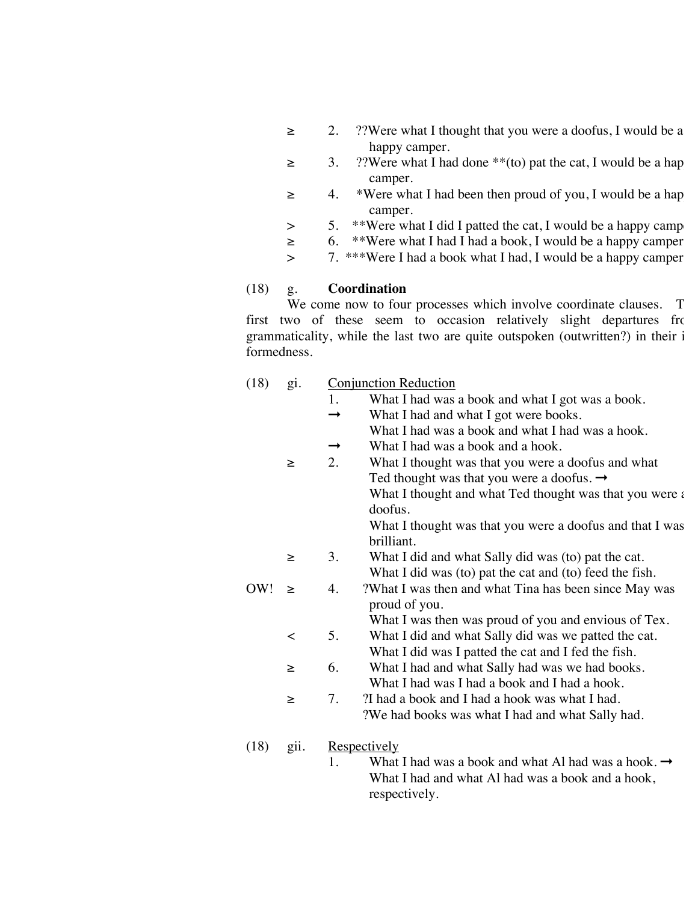- ≥ 2. ??Were what I thought that you were a doofus, I would be a happy camper.
- $\geq$  3. ??Were what I had done \*\*(to) pat the cat, I would be a hap camper.
- ≥ 4. \*Were what I had been then proud of you, I would be a happy camper.
- $>$  5. \*\*Were what I did I patted the cat, I would be a happy camp
- ≥ 6. \*\*Were what I had I had a book, I would be a happy camper.
- > 7. \*\*\*Were I had a book what I had, I would be a happy camper.

## (18) g. **Coordination**

We come now to four processes which involve coordinate clauses. The first two of these seem to occasion relatively slight departures from grammaticality, while the last two are quite outspoken (outwritten?) in their i formedness.

| (18) | g1. | <b>Conjunction Reduction</b> |
|------|-----|------------------------------|
|      |     |                              |

- 1. What I had was a book and what I got was a book.
- $\rightarrow$  What I had and what I got were books.
- What I had was a book and what I had was a hook.
- $\rightarrow$  What I had was a book and a hook.
- ≥ 2. What I thought was that you were a doofus and what Ted thought was that you were a doofus.  $\rightarrow$ What I thought and what Ted thought was that you were  $\epsilon$ doofus.

What I thought was that you were a doofus and that I was brilliant.

- ≥ 3. What I did and what Sally did was (to) pat the cat. What I did was (to) pat the cat and (to) feed the fish.
- OW!  $\geq$  4. ?What I was then and what Tina has been since May was proud of you.

What I was then was proud of you and envious of Tex.

- < 5. What I did and what Sally did was we patted the cat. What I did was I patted the cat and I fed the fish.
- ≥ 6. What I had and what Sally had was we had books. What I had was I had a book and I had a hook.
- ≥ 7. ?I had a book and I had a hook was what I had. ?We had books was what I had and what Sally had.
- (18) gii. Respectively
	- 1. What I had was a book and what Al had was a hook.  $\rightarrow$ What I had and what Al had was a book and a hook, respectively.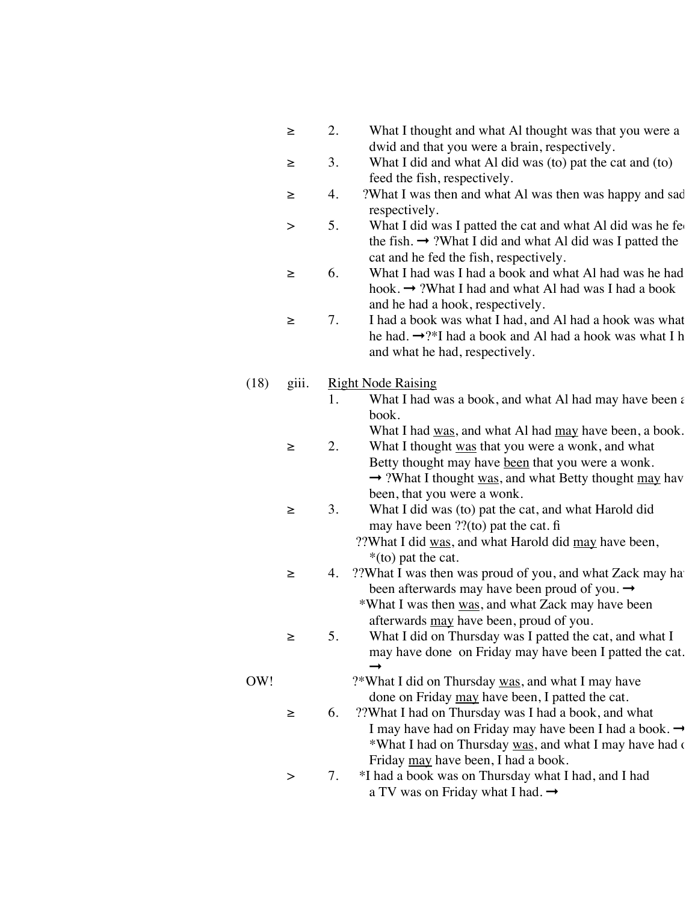|  | What I thought and what Al thought was that you were a |
|--|--------------------------------------------------------|
|  | dwid and that you were a brain, respectively.          |

- ≥ 3. What I did and what Al did was (to) pat the cat and (to) feed the fish, respectively.
- ≥ 4. ?What I was then and what Al was then was happy and sad, respectively.
- > 5. What I did was I patted the cat and what Al did was he fe the fish.  $\rightarrow$  ?What I did and what Al did was I patted the cat and he fed the fish, respectively.
- ≥ 6. What I had was I had a book and what Al had was he had a hook.  $\rightarrow$  ?What I had and what Al had was I had a book and he had a hook, respectively.
- ≥ 7. I had a book was what I had, and Al had a hook was what he had.  $\rightarrow$ ?\*I had a book and Al had a hook was what I h and what he had, respectively.

## (18) giii. Right Node Raising

- 1. What I had was a book, and what Al had may have been a book.
- What I had was, and what Al had may have been, a book. ≥ 2. What I thought was that you were a wonk, and what
	- Betty thought may have been that you were a wonk.  $\rightarrow$  ?What I thought was, and what Betty thought may have been, that you were a wonk.
- ≥ 3. What I did was (to) pat the cat, and what Harold did may have been ??(to) pat the cat. fi
	- ??What I did was, and what Harold did may have been, \*(to) pat the cat.
- ≥ 4. ??What I was then was proud of you, and what Zack may have been afterwards may have been proud of you.  $\rightarrow$ 
	- \*What I was then was, and what Zack may have been afterwards may have been, proud of you.
- ≥ 5. What I did on Thursday was I patted the cat, and what I may have done on Friday may have been I patted the cat. ➞
- OW! ?\*What I did on Thursday was, and what I may have done on Friday may have been, I patted the cat.
	- ≥ 6. ??What I had on Thursday was I had a book, and what I may have had on Friday may have been I had a book.  $\rightarrow$ \*What I had on Thursday was, and what I may have had on Friday may have been, I had a book.
	- > 7. \*I had a book was on Thursday what I had, and I had a TV was on Friday what I had.  $\rightarrow$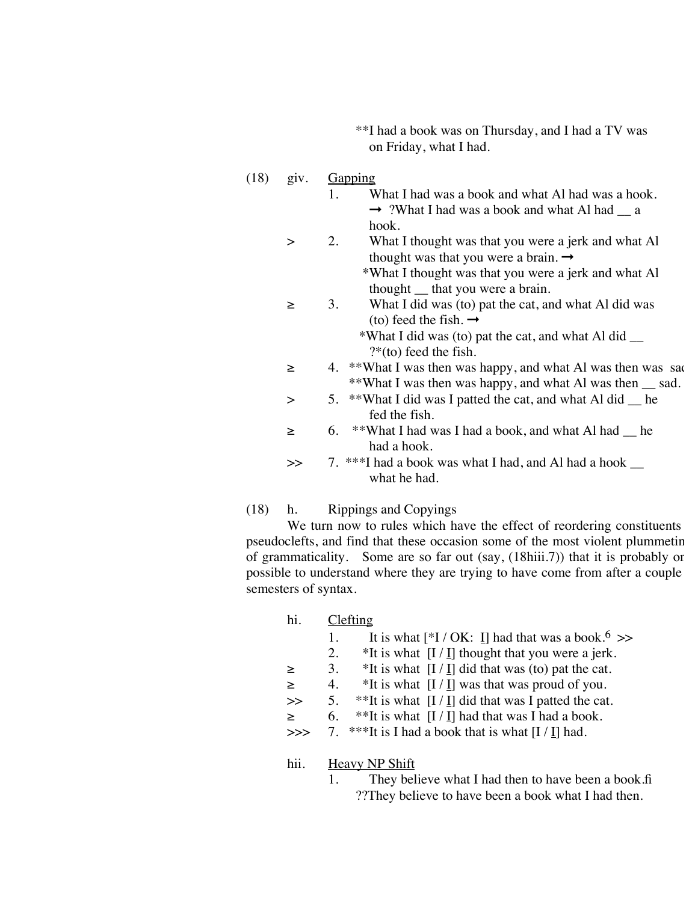\*\*I had a book was on Thursday, and I had a TV was on Friday, what I had.

### $(18)$  giv. Gapping

- 1. What I had was a book and what Al had was a hook. ➞ ?What I had was a book and what Al had \_\_ a hook.
- > 2. What I thought was that you were a jerk and what Al thought was that you were a brain.  $\rightarrow$

 \*What I thought was that you were a jerk and what Al thought \_\_ that you were a brain.

≥ 3. What I did was (to) pat the cat, and what Al did was (to) feed the fish.  $\rightarrow$ 

> \*What I did was (to) pat the cat, and what Al did \_\_ ?\*(to) feed the fish.

- $\geq$  4. \*\*What I was then was happy, and what Al was then was sad. \*\*What I was then was happy, and what Al was then \_\_ sad.
- > 5. \*\*What I did was I patted the cat, and what Al did he fed the fish.
- $\geq$  6. \*\*What I had was I had a book, and what Al had he had a hook.
- >> 7. \*\*\*I had a book was what I had, and Al had a hook  $\Box$ what he had.

## (18) h. Rippings and Copyings

We turn now to rules which have the effect of reordering constituents pseudoclefts, and find that these occasion some of the most violent plummetin of grammaticality. Some are so far out (say, (18hiii.7)) that it is probably or possible to understand where they are trying to have come from after a couple semesters of syntax.

| hi.    |    | Clefting                                                                   |
|--------|----|----------------------------------------------------------------------------|
|        | 1. | It is what $\lceil *I / OK: I \rceil$ had that was a book. <sup>6</sup> >> |
|        | 2. | *It is what $[I/I]$ thought that you were a jerk.                          |
| $\geq$ | 3. | *It is what $[I / I]$ did that was (to) pat the cat.                       |
| $\geq$ | 4. | *It is what $[I / I]$ was that was proud of you.                           |
| $\gg$  | 5. | **It is what $[I / I]$ did that was I patted the cat.                      |
| $\geq$ | 6. | **It is what $[I / I]$ had that was I had a book.                          |
| >>     |    | 7. ***It is I had a book that is what $[I / I]$ had.                       |
|        |    |                                                                            |

#### hii. Heavy NP Shift

1. They believe what I had then to have been a book.fi ??They believe to have been a book what I had then.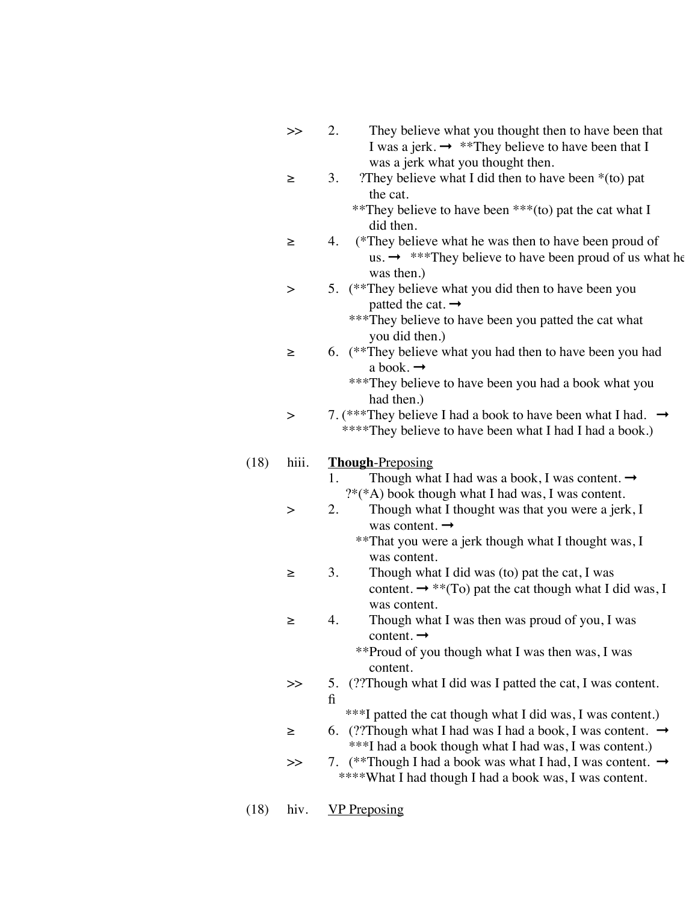| $>\!>$ | They believe what you thought then to have been that<br>2.                                                                    |
|--------|-------------------------------------------------------------------------------------------------------------------------------|
|        | I was a jerk. $\rightarrow$ **They believe to have been that I                                                                |
|        | was a jerk what you thought then.                                                                                             |
| ≥      | They believe what I did then to have been $*($ to) pat<br>3.                                                                  |
|        | the cat.                                                                                                                      |
|        | **They believe to have been ***(to) pat the cat what I                                                                        |
|        | did then.                                                                                                                     |
| ≥      | (*They believe what he was then to have been proud of<br>4.                                                                   |
|        | us. $\rightarrow$ ***They believe to have been proud of us what he                                                            |
|        | was then.)                                                                                                                    |
| >      | 5. (**They believe what you did then to have been you                                                                         |
|        | patted the cat. $\rightarrow$                                                                                                 |
|        | *** They believe to have been you patted the cat what                                                                         |
|        | you did then.)                                                                                                                |
| ≥      | 6. (**They believe what you had then to have been you had                                                                     |
|        | a book. $\rightarrow$                                                                                                         |
|        | ***They believe to have been you had a book what you                                                                          |
|        | had then.)                                                                                                                    |
| >      | 7. (***They believe I had a book to have been what I had. $\rightarrow$                                                       |
|        | ****They believe to have been what I had I had a book.)                                                                       |
|        |                                                                                                                               |
|        | <b>Though-Preposing</b>                                                                                                       |
|        |                                                                                                                               |
| hiii.  | 1.                                                                                                                            |
|        | Though what I had was a book, I was content. $\rightarrow$                                                                    |
|        | $?*(A)$ book though what I had was, I was content.                                                                            |
| >      | Though what I thought was that you were a jerk, I<br>2.                                                                       |
|        | was content. $\rightarrow$                                                                                                    |
|        | **That you were a jerk though what I thought was, I<br>was content.                                                           |
| ≥      |                                                                                                                               |
|        | Though what I did was (to) pat the cat, I was<br>3.                                                                           |
|        | content. $\rightarrow$ **(To) pat the cat though what I did was, I<br>was content.                                            |
|        |                                                                                                                               |
| ≥      | Though what I was then was proud of you, I was<br>4.                                                                          |
|        | content. $\rightarrow$                                                                                                        |
|        | **Proud of you though what I was then was, I was                                                                              |
| $>\!>$ | content.                                                                                                                      |
|        | (??Though what I did was I patted the cat, I was content.)<br>5.<br>fi                                                        |
|        |                                                                                                                               |
|        | ***I patted the cat though what I did was, I was content.)                                                                    |
| ≥      | 6. (??Though what I had was I had a book, I was content. $\rightarrow$                                                        |
| >>     | ***I had a book though what I had was, I was content.)<br>7.                                                                  |
|        | (**Though I had a book was what I had, I was content. $\rightarrow$<br>****What I had though I had a book was, I was content. |

(18) hiv. VP Preposing

 $(18)$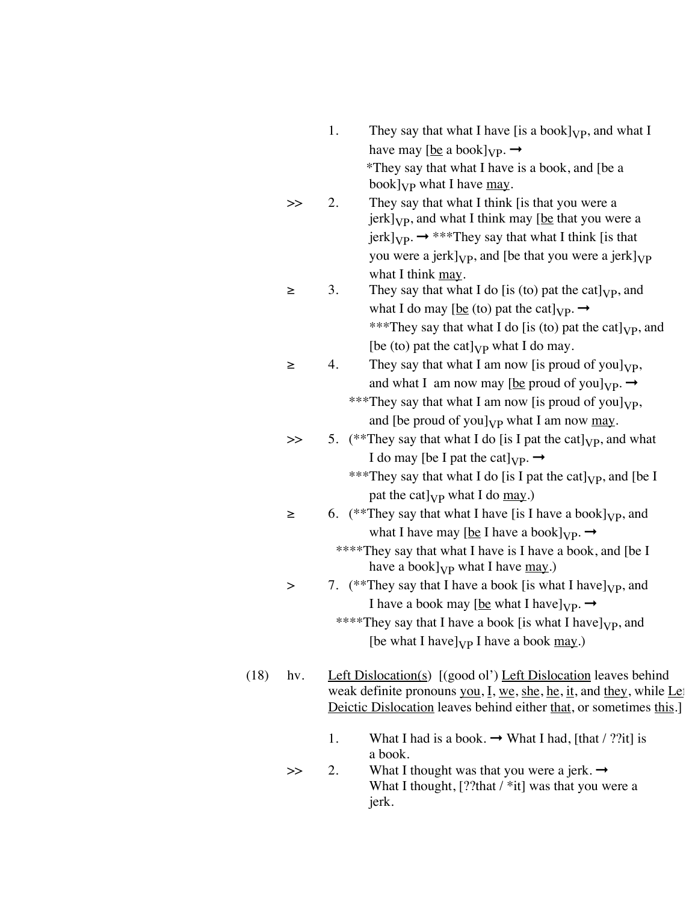|      |        | 1.<br>They say that what I have [is a book] $_{VP}$ , and what I                  |
|------|--------|-----------------------------------------------------------------------------------|
|      |        | have may [be a book] <sub>VP</sub> . $\rightarrow$                                |
|      |        | *They say that what I have is a book, and [be a                                   |
|      |        | book] $_{VP}$ what I have $_{may}$ .                                              |
|      | $>\!>$ | They say that what I think [is that you were a<br>2.                              |
|      |        | jerk] <sub>VP</sub> , and what I think may <u>[be</u> that you were a             |
|      |        | $jerk]_{VP} \rightarrow$ ***They say that what I think [is that                   |
|      |        | you were a jerk] $_{VP}$ , and [be that you were a jerk] $_{VP}$                  |
|      |        | what I think may.                                                                 |
|      | ≥      | 3.<br>They say that what I do [is (to) pat the cat] $_{VP}$ , and                 |
|      |        | what I do may [be (to) pat the cat] <sub>VP</sub> . $\rightarrow$                 |
|      |        | ***They say that what I do [is (to) pat the cat] $_{VP}$ , and                    |
|      |        | [be (to) pat the cat] $_{VP}$ what I do may.                                      |
|      | ≥      | 4.<br>They say that what I am now [is proud of you] $_{VP}$ ,                     |
|      |        | and what I am now may [be proud of you] $_{VP} \rightarrow$                       |
|      |        | ***They say that what I am now [is proud of you] <sub>VP</sub> ,                  |
|      |        | and [be proud of you] $_{VP}$ what I am now <u>may</u> .                          |
|      | >>     | 5. (**They say that what I do [is I pat the cat] <sub>VP</sub> , and what         |
|      |        | I do may [be I pat the cat] <sub>VP</sub> . $\rightarrow$                         |
|      |        | ***They say that what I do [is I pat the cat] <sub>VP</sub> , and [be I           |
|      |        | pat the cat] $_{VP}$ what I do <u>may</u> .)                                      |
|      | ≥      | 6. (**They say that what I have [is I have a book] $_{VP}$ , and                  |
|      |        | what I have may [be I have a book] <sub>VP</sub> . $\rightarrow$                  |
|      |        | ****They say that what I have is I have a book, and [be I                         |
|      |        | have a book] <sub>VP</sub> what I have <u>may</u> .)                              |
|      | >      | 7. (**They say that I have a book [is what I have] $_{VP}$ , and                  |
|      |        | I have a book may [be what I have] $_{VP} \rightarrow$                            |
|      |        | ****They say that I have a book [is what I have] <sub>VP</sub> , and              |
|      |        | [be what I have] $_{VP}$ I have a book $_{may.}$ )                                |
|      |        |                                                                                   |
| (18) | hv.    | Left Dislocation(s) $[(good\, o]')$ Left Dislocation leaves behind                |
|      |        | weak definite pronouns you, $I$ , we, she, he, it, and they, while Le             |
|      |        | Deictic Dislocation leaves behind either that, or sometimes this.]                |
|      |        |                                                                                   |
|      |        | 1.<br>What I had is a book. $\rightarrow$ What I had, [that / ??it] is<br>a book. |
|      | $>\!>$ | What I thought was that you were a jerk. $\rightarrow$<br>2.                      |
|      |        | What I thought, [??that $/*$ it] was that you were a                              |
|      |        | jerk.                                                                             |
|      |        |                                                                                   |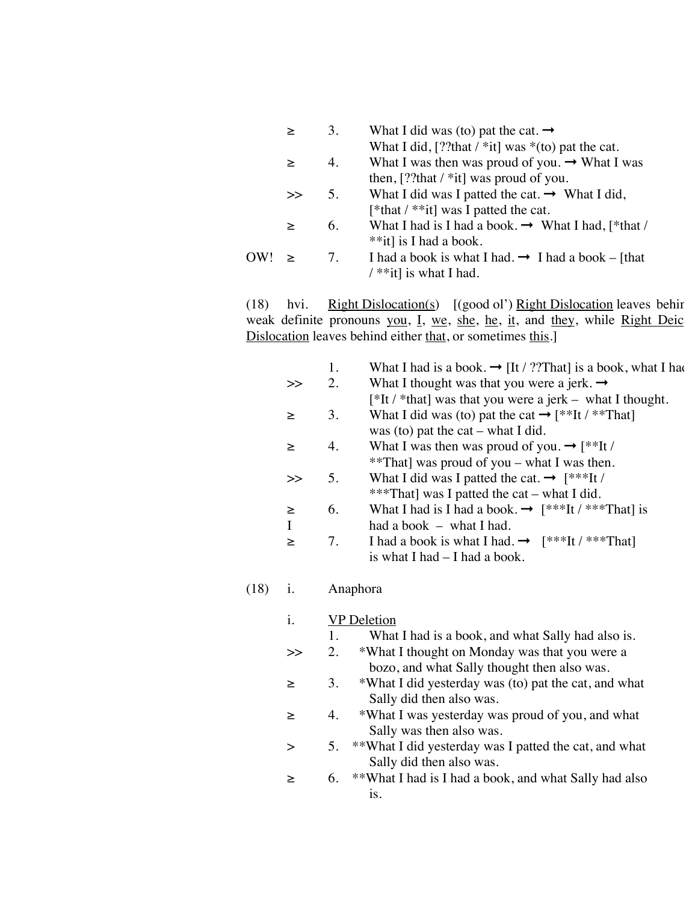|        | 3.                               | What I did was (to) pat the cat. $\rightarrow$                 |
|--------|----------------------------------|----------------------------------------------------------------|
|        |                                  | What I did, [??that $\ell$ *it] was *(to) pat the cat.         |
| ➤      | 4.                               | What I was then was proud of you. $\rightarrow$ What I was     |
|        |                                  | then, [??that $/*$ it] was proud of you.                       |
| $\gt$  | 5.                               | What I did was I patted the cat. $\rightarrow$ What I did,     |
|        |                                  | [*that $/*$ *it] was I patted the cat.                         |
| ➤      | 6.                               | What I had is I had a book. $\rightarrow$ What I had, [*that / |
|        |                                  | **it] is I had a book.                                         |
| $\geq$ | $7_{\scriptscriptstyle{\ddots}}$ | I had a book is what I had. $\rightarrow$ I had a book – [that |
|        |                                  | $/**it$ is what I had.                                         |
|        |                                  |                                                                |

(18) hvi. Right Dislocation(s)  $[(good\, o]')$  Right Dislocation leaves behind weak definite pronouns you, I, we, she, he, it, and they, while Right Deic Dislocation leaves behind either that, or sometimes this.]

|    | 1. | What I had is a book. $\rightarrow$ [It / ??That] is a book, what I had |
|----|----|-------------------------------------------------------------------------|
| >  | 2. | What I thought was that you were a jerk. $\rightarrow$                  |
|    |    | $[*It/ *that]$ was that you were a jerk – what I thought.               |
| ≥  | 3. | What I did was (to) pat the cat $\rightarrow$ [**It / **That]           |
|    |    | was (to) pat the cat $-$ what I did.                                    |
| ➤  | 4. | What I was then was proud of you. $\rightarrow$ [**It /                 |
|    |    | **That] was proud of you – what I was then.                             |
| >  | 5. | What I did was I patted the cat. $\rightarrow$ [***It /                 |
|    |    | ***That] was I patted the cat – what I did.                             |
| ➤  | 6. | What I had is I had a book. $\rightarrow$ [***It /***That] is           |
| -1 |    | had a book $-$ what I had.                                              |
| ➤  | 7. | I had a book is what I had. $\rightarrow$ [***It /***That]              |
|    |    | is what I had – I had a book.                                           |

### (18) i. Anaphora

- i. VP Deletion
	- 1. What I had is a book, and what Sally had also is.
- >> 2. \*What I thought on Monday was that you were a bozo, and what Sally thought then also was.
- ≥ 3. \*What I did yesterday was (to) pat the cat, and what Sally did then also was.
- ≥ 4. \*What I was yesterday was proud of you, and what Sally was then also was.
- > 5. \*\*What I did yesterday was I patted the cat, and what Sally did then also was.
- ≥ 6. \*\*What I had is I had a book, and what Sally had also is.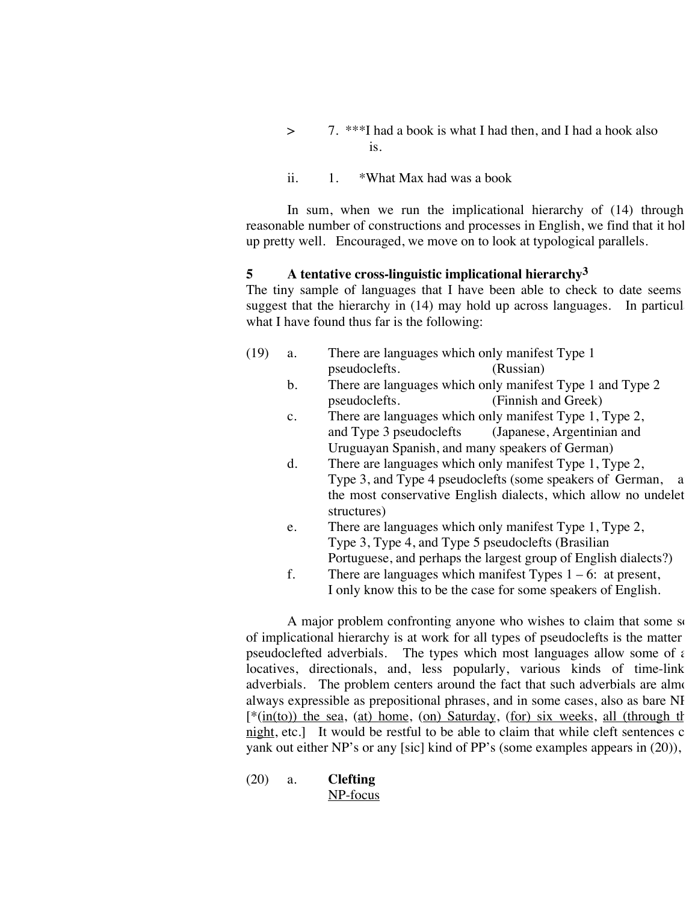- > 7. \*\*\*I had a book is what I had then, and I had a hook also is.
- ii. 1. \*What Max had was a book

In sum, when we run the implicational hierarchy of  $(14)$  through reasonable number of constructions and processes in English, we find that it hol up pretty well. Encouraged, we move on to look at typological parallels.

### **5 A tentative cross-linguistic implicational hierarchy3**

The tiny sample of languages that I have been able to check to date seems suggest that the hierarchy in  $(14)$  may hold up across languages. In particul what I have found thus far is the following:

| (19) | a.             | There are languages which only manifest Type 1                            |
|------|----------------|---------------------------------------------------------------------------|
|      |                | pseudoclefts.<br>(Russian)                                                |
|      | b.             | There are languages which only manifest Type 1 and Type 2                 |
|      |                | (Finnish and Greek)<br>pseudoclefts.                                      |
|      | $\mathbf{c}$ . | There are languages which only manifest Type 1, Type 2,                   |
|      |                | and Type 3 pseudoclefts (Japanese, Argentinian and                        |
|      |                | Uruguayan Spanish, and many speakers of German)                           |
|      | d.             | There are languages which only manifest Type 1, Type 2,                   |
|      |                | Type 3, and Type 4 pseudoclefts (some speakers of German,<br><sub>a</sub> |
|      |                | the most conservative English dialects, which allow no undelet            |
|      |                | structures)                                                               |
|      | e.             | There are languages which only manifest Type 1, Type 2,                   |
|      |                | Type 3, Type 4, and Type 5 pseudoclefts (Brasilian                        |
|      |                | Portuguese, and perhaps the largest group of English dialects?)           |

f. There are languages which manifest Types  $1 - 6$ : at present, I only know this to be the case for some speakers of English.

A major problem confronting anyone who wishes to claim that some soof implicational hierarchy is at work for all types of pseudoclefts is the matter pseudoclefted adverbials. The types which most languages allow some of  $\epsilon$ locatives, directionals, and, less popularly, various kinds of time-link adverbials. The problem centers around the fact that such adverbials are almost always expressible as prepositional phrases, and in some cases, also as bare NI  $[*(\text{in}(\text{to}))$  the sea, (at) home, (on) Saturday, (for) six weeks, all (through the  $n$  night, etc.] It would be restful to be able to claim that while cleft sentences c yank out either NP's or any [sic] kind of PP's (some examples appears in (20)),

(20) a. **Clefting** NP-focus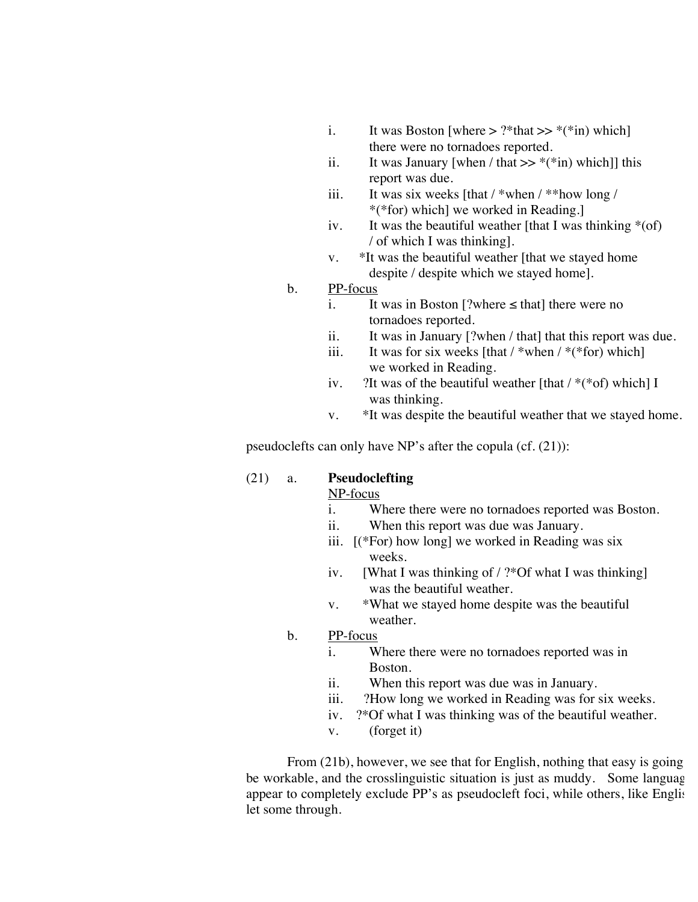- i. It was Boston [where  $>$  ?\*that  $>>$  \*(\*in) which] there were no tornadoes reported.
- ii. It was January [when / that  $>>$  \*(\*in) which]] this report was due.
- iii. It was six weeks  $\left[\frac{\text{that}}{\text{when}}\right]$  /\*\*how long / \*(\*for) which] we worked in Reading.]
- iv. It was the beautiful weather [that I was thinking  $*(of)$ / of which I was thinking].
- v. \*It was the beautiful weather [that we stayed home despite / despite which we stayed home].
- b. PP-focus
	- i. It was in Boston [?where  $\le$  that] there were no tornadoes reported.
	- ii. It was in January [?when / that] that this report was due.
	- iii. It was for six weeks  $[that /*when /**for) which]$ we worked in Reading.
	- iv. 2It was of the beautiful weather [that  $/*$ (\*of) which] I was thinking.
	- v. \*It was despite the beautiful weather that we stayed home.

pseudoclefts can only have NP's after the copula (cf. (21)):

## (21) a. **Pseudoclefting**

NP-focus

- i. Where there were no tornadoes reported was Boston.
- ii. When this report was due was January.
- iii.  $[(*For) how long] we worked in Reading was six$ weeks.
- iv. [What I was thinking of / ?\*Of what I was thinking] was the beautiful weather.
- v. \*What we stayed home despite was the beautiful weather.
- b. PP-focus
	- i. Where there were no tornadoes reported was in Boston.
	- ii. When this report was due was in January.
	- iii. ?How long we worked in Reading was for six weeks.
	- iv. ?\*Of what I was thinking was of the beautiful weather.
	- v. (forget it)

From  $(21b)$ , however, we see that for English, nothing that easy is going be workable, and the crosslinguistic situation is just as muddy. Some language appear to completely exclude PP's as pseudocleft foci, while others, like English, let some through.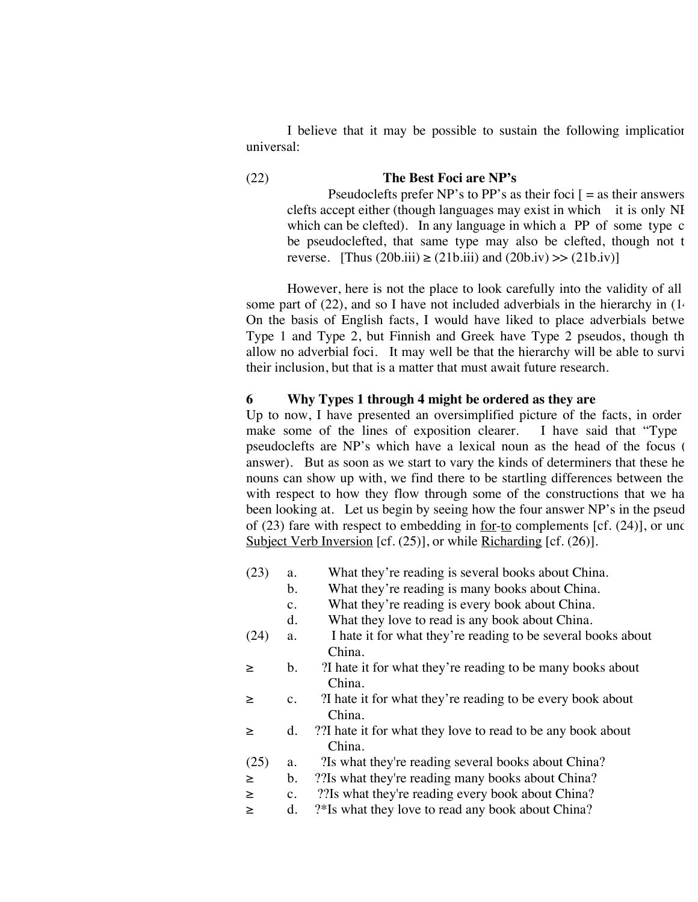I believe that it may be possible to sustain the following implication universal:

# (22) **The Best Foci are NP's**

Pseudoclefts prefer NP's to PP's as their foci  $\mathbf{r} = \mathbf{a}$  their answers clefts accept either (though languages may exist in which it is only NI which can be clefted). In any language in which a  $PP$  of some type c be pseudoclefted, that same type may also be clefted, though not t reverse. [Thus  $(20b.iii) \ge (21b.iii)$  and  $(20b.iv) \ge (21b.iv)$ ]

However, here is not the place to look carefully into the validity of all some part of (22), and so I have not included adverbials in the hierarchy in  $(1)$ . On the basis of English facts, I would have liked to place adverbials betwe Type 1 and Type 2, but Finnish and Greek have Type 2 pseudos, though th allow no adverbial foci. It may well be that the hierarchy will be able to survi their inclusion, but that is a matter that must await future research.

### **6 Why Types 1 through 4 might be ordered as they are**

Up to now, I have presented an oversimplified picture of the facts, in order make some of the lines of exposition clearer. I have said that "Type pseudoclefts are NP's which have a lexical noun as the head of the focus ( answer). But as soon as we start to vary the kinds of determiners that these he nouns can show up with, we find there to be startling differences between the with respect to how they flow through some of the constructions that we ha been looking at. Let us begin by seeing how the four answer NP's in the pseud of (23) fare with respect to embedding in <u>for-to</u> complements [cf.  $(24)$ ], or under Subject Verb Inversion [cf. (25)], or while Richarding [cf. (26)].

- (23) a. What they're reading is several books about China.
	- b. What they're reading is many books about China.
	- c. What they're reading is every book about China.
	- d. What they love to read is any book about China.
- (24) a. I hate it for what they're reading to be several books about China.
- ≥ b. ?I hate it for what they're reading to be many books about China.
- ≥ c. ?I hate it for what they're reading to be every book about China.
- ≥ d. ??I hate it for what they love to read to be any book about China.
- (25) a. ?Is what they're reading several books about China?
- ≥ b. ??Is what they're reading many books about China?
- ≥ c. ??Is what they're reading every book about China?
- ≥ d. ?\*Is what they love to read any book about China?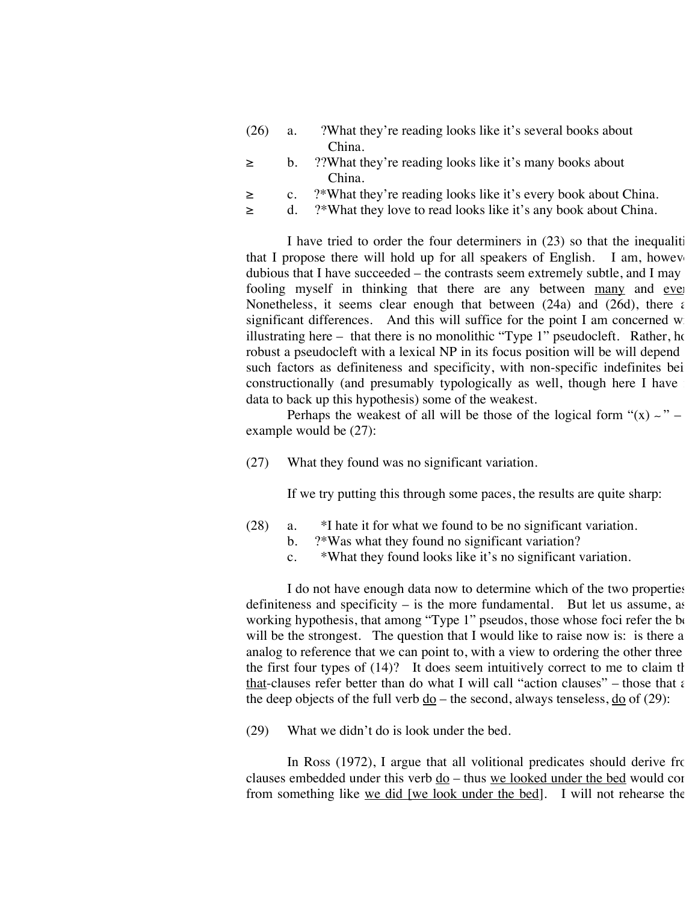- (26) a. ?What they're reading looks like it's several books about China.
- ≥ b. ??What they're reading looks like it's many books about China.
- ≥ c. ?\*What they're reading looks like it's every book about China.
- ≥ d. ?\*What they love to read looks like it's any book about China.

I have tried to order the four determiners in  $(23)$  so that the inequalities that I propose there will hold up for all speakers of English. I am, however, dubious that I have succeeded – the contrasts seem extremely subtle, and I may fooling myself in thinking that there are any between many and ever Nonetheless, it seems clear enough that between  $(24a)$  and  $(26d)$ , there are significant differences. And this will suffice for the point I am concerned  $w$ . illustrating here – that there is no monolithic "Type  $1$ " pseudocleft. Rather, how robust a pseudocleft with a lexical NP in its focus position will be will depend such factors as definiteness and specificity, with non-specific indefinites bei constructionally (and presumably typologically as well, though here I have data to back up this hypothesis) some of the weakest.

Perhaps the weakest of all will be those of the logical form " $(x) \sim$ " – example would be (27):

(27) What they found was no significant variation.

If we try putting this through some paces, the results are quite sharp:

- (28) a. \*I hate it for what we found to be no significant variation.
	- b. ?\*Was what they found no significant variation?
	- c. \*What they found looks like it's no significant variation.

I do not have enough data now to determine which of the two properties – definiteness and specificity  $-$  is the more fundamental. But let us assume, as working hypothesis, that among "Type 1" pseudos, those whose foci refer the  $b_0$ will be the strongest. The question that I would like to raise now is: is there a analog to reference that we can point to, with a view to ordering the other three the first four types of  $(14)$ ? It does seem intuitively correct to me to claim that that-clauses refer better than do what I will call "action clauses" – those that  $\epsilon$ the deep objects of the full verb  $\underline{do}$  – the second, always tenseless,  $\underline{do}$  of (29):

(29) What we didn't do is look under the bed.

In Ross (1972), I argue that all volitional predicates should derive from clauses embedded under this verb do – thus we looked under the bed would con from something like we did [we look under the bed]. I will not rehearse the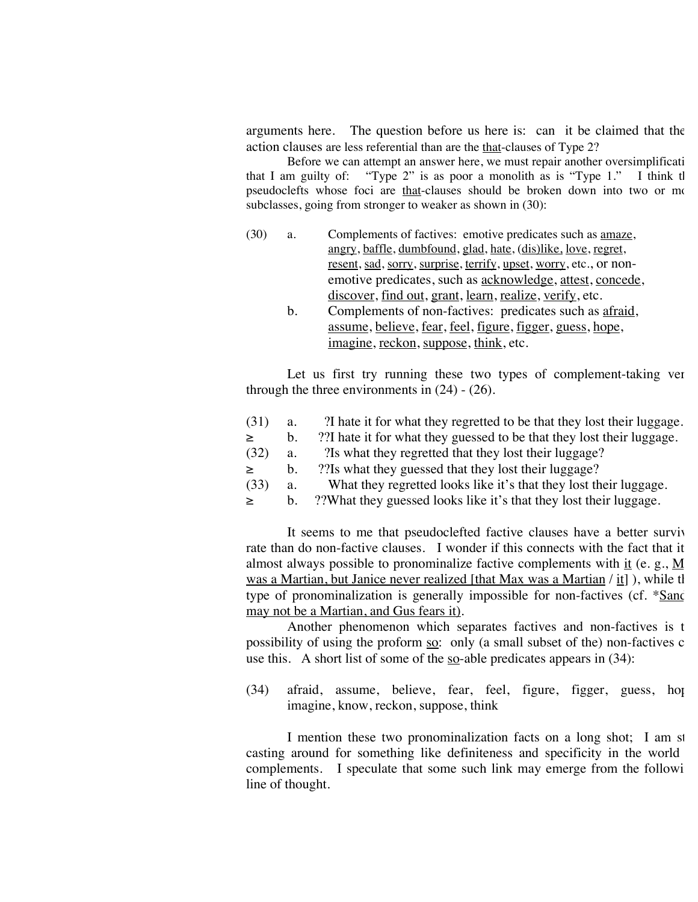arguments here. The question before us here is: can it be claimed that the action clauses are less referential than are the that-clauses of Type 2?

Before we can attempt an answer here, we must repair another oversimplificati that I am guilty of: "Type 2" is as poor a monolith as is "Type  $1$ ." I think the pseudoclefts whose foci are that-clauses should be broken down into two or mo subclasses, going from stronger to weaker as shown in (30):

- (30) a. Complements of factives: emotive predicates such as amaze, angry, baffle, dumbfound, glad, hate, (dis)like, love, regret, resent, sad, sorry, surprise, terrify, upset, worry, etc., or nonemotive predicates, such as acknowledge, attest, concede, discover, find out, grant, learn, realize, verify, etc.
	- b. Complements of non-factives: predicates such as afraid, assume, believe, fear, feel, figure, figger, guess, hope, imagine, reckon, suppose, think, etc.

Let us first try running these two types of complement-taking ver through the three environments in  $(24)$  -  $(26)$ .

- (31) a. ?I hate it for what they regretted to be that they lost their luggage.
- ≥ b. ??I hate it for what they guessed to be that they lost their luggage.
- (32) a. ?Is what they regretted that they lost their luggage?
- ≥ b. ??Is what they guessed that they lost their luggage?
- (33) a. What they regretted looks like it's that they lost their luggage.
- ≥ b. ??What they guessed looks like it's that they lost their luggage.

It seems to me that pseudoclefted factive clauses have a better surviv rate than do non-factive clauses. I wonder if this connects with the fact that it almost always possible to pronominalize factive complements with  $\underline{it}$  (e. g.,  $\underline{M}$ was a Martian, but Janice never realized [that Max was a Martian  $/$  it]), while the type of pronominalization is generally impossible for non-factives (cf.  $*\underline{Sanc}$ may not be a Martian, and Gus fears it).

Another phenomenon which separates factives and non-factives is the possibility of using the proform so: only (a small subset of the) non-factives c use this. A short list of some of the  $\overline{so}$ -able predicates appears in (34):

 $(34)$  afraid, assume, believe, fear, feel, figure, figger, guess, hope, imagine, know, reckon, suppose, think

I mention these two pronominalization facts on a long shot; I am st casting around for something like definiteness and specificity in the world complements. I speculate that some such link may emerge from the following line of thought.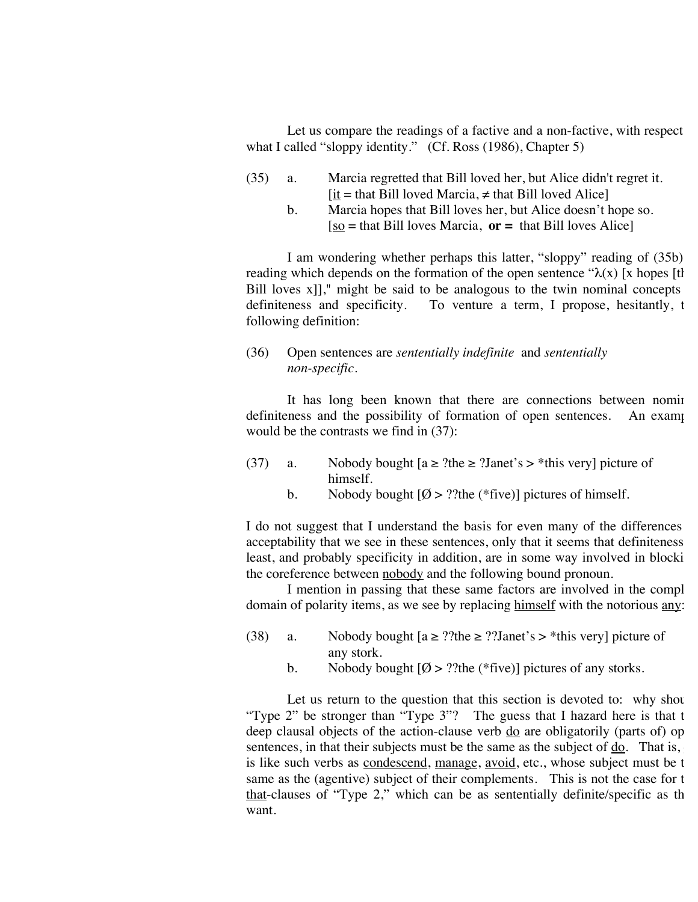Let us compare the readings of a factive and a non-factive, with respect what I called "sloppy identity." (Cf. Ross (1986), Chapter 5)

- (35) a. Marcia regretted that Bill loved her, but Alice didn't regret it.  $[i_1 = \text{that Bill loved Marcia}, \neq \text{that Bill loved Alice}]$ 
	- b. Marcia hopes that Bill loves her, but Alice doesn't hope so.  $[s<sub>0</sub>]$  = that Bill loves Marcia,  $or =$  that Bill loves Alice

I am wondering whether perhaps this latter, "sloppy" reading of (35b) reading which depends on the formation of the open sentence " $\lambda(x)$  [x hopes [th] Bill loves  $x$ ]," might be said to be analogous to the twin nominal concepts definiteness and specificity. To venture a term, I propose, hesitantly, the following definition:

(36) Open sentences are *sententially indefinite* and *sententially non-specific.*

It has long been known that there are connections between nomin definiteness and the possibility of formation of open sentences. An example would be the contrasts we find in (37):

- (37) a. Nobody bought  $[a \ge ?$ the  $\ge ?$ Janet's  $>$ \*this very] picture of himself.
	- b. Nobody bought  $[Ø > ?$ ?the (\*five)] pictures of himself.

I do not suggest that I understand the basis for even many of the differences acceptability that we see in these sentences, only that it seems that definiteness least, and probably specificity in addition, are in some way involved in blocki the coreference between nobody and the following bound pronoun.

I mention in passing that these same factors are involved in the compl domain of polarity items, as we see by replacing himself with the notorious  $\frac{1}{2}$ .

- (38) a. Nobody bought  $[a \ge ?$ ?the  $\ge ?$ ?Janet's  $>$ \*this very] picture of any stork.
	- b. Nobody bought  $[Ø > ?$ ?the (\*five)] pictures of any storks.

Let us return to the question that this section is devoted to: why shot "Type 2" be stronger than "Type 3"? The guess that I hazard here is that  $t$ deep clausal objects of the action-clause verb  $\frac{d}{d\alpha}$  are obligatorily (parts of) op sentences, in that their subjects must be the same as the subject of do. That is, is like such verbs as condescend, manage, avoid, etc., whose subject must be t same as the (agentive) subject of their complements. This is not the case for  $t$ that-clauses of "Type 2," which can be as sententially definite/specific as the want.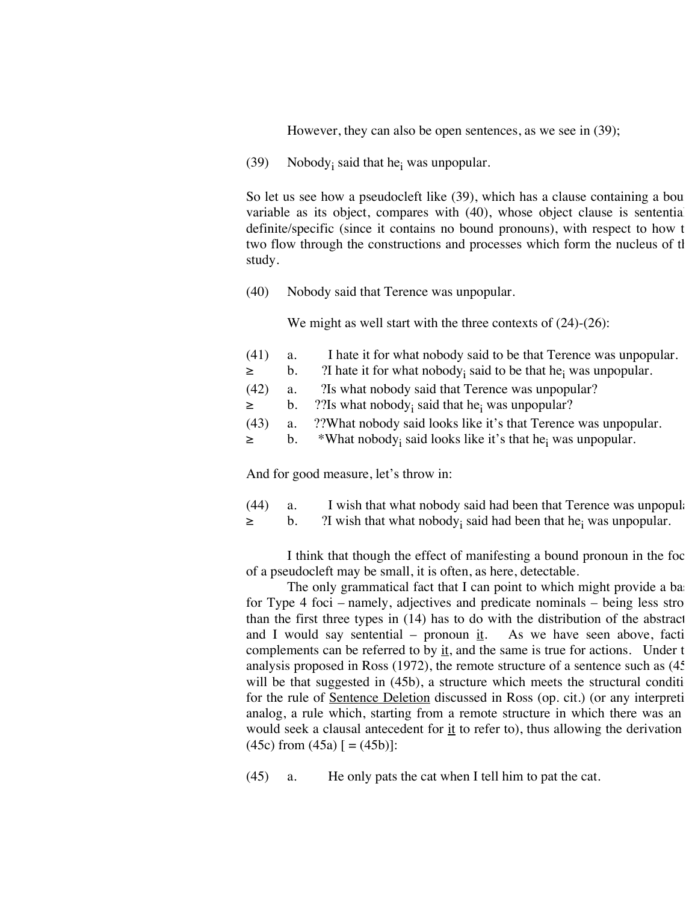However, they can also be open sentences, as we see in (39);

(39) Nobody<sub>i</sub> said that he<sub>i</sub> was unpopular.

So let us see how a pseudocleft like  $(39)$ , which has a clause containing a bou variable as its object, compares with  $(40)$ , whose object clause is sentential definite/specific (since it contains no bound pronouns), with respect to how t two flow through the constructions and processes which form the nucleus of the study.

(40) Nobody said that Terence was unpopular.

We might as well start with the three contexts of  $(24)-(26)$ :

| (41)<br>I hate it for what nobody said to be that Terence was unpopular.<br>a.                    |  |
|---------------------------------------------------------------------------------------------------|--|
| ?I hate it for what nobody; said to be that he <sub>i</sub> was unpopular.<br>$\geq$<br>$b_{\rm}$ |  |
| a. 2Is what nobody said that Terence was unpopular?<br>(42)                                       |  |
| ?? Is what nobody, said that he, was unpopular?<br>$\geq$<br>b.                                   |  |
| a. ??What nobody said looks like it's that Terence was unpopular.<br>(43)                         |  |
| *What nobody; said looks like it's that he <sub>i</sub> was unpopular.<br>$\geq$<br>$b_{\rm}$     |  |

And for good measure, let's throw in:

- (44) a. I wish that what nobody said had been that Terence was unpopular-
- $\geq$  b. ? ? ? 21 wish that what nobody<sub>i</sub> said had been that he<sub>i</sub> was unpopular.

I think that though the effect of manifesting a bound pronoun in the foc of a pseudocleft may be small, it is often, as here, detectable.

The only grammatical fact that I can point to which might provide a ba for Type  $4$  foci – namely, adjectives and predicate nominals – being less stro than the first three types in  $(14)$  has to do with the distribution of the abstract and I would say sentential – pronoun it. As we have seen above, faction and I would say sentential – pronoun it. complements can be referred to by  $\frac{dt}{dt}$ , and the same is true for actions. Under the analysis proposed in Ross  $(1972)$ , the remote structure of a sentence such as  $(45)$ will be that suggested in  $(45b)$ , a structure which meets the structural condition for the rule of Sentence Deletion discussed in Ross (op. cit.) (or any interpreti analog, a rule which, starting from a remote structure in which there was an would seek a clausal antecedent for it to refer to), thus allowing the derivation  $(45c)$  from  $(45a)$   $[ = (45b)$ :

(45) a. He only pats the cat when I tell him to pat the cat.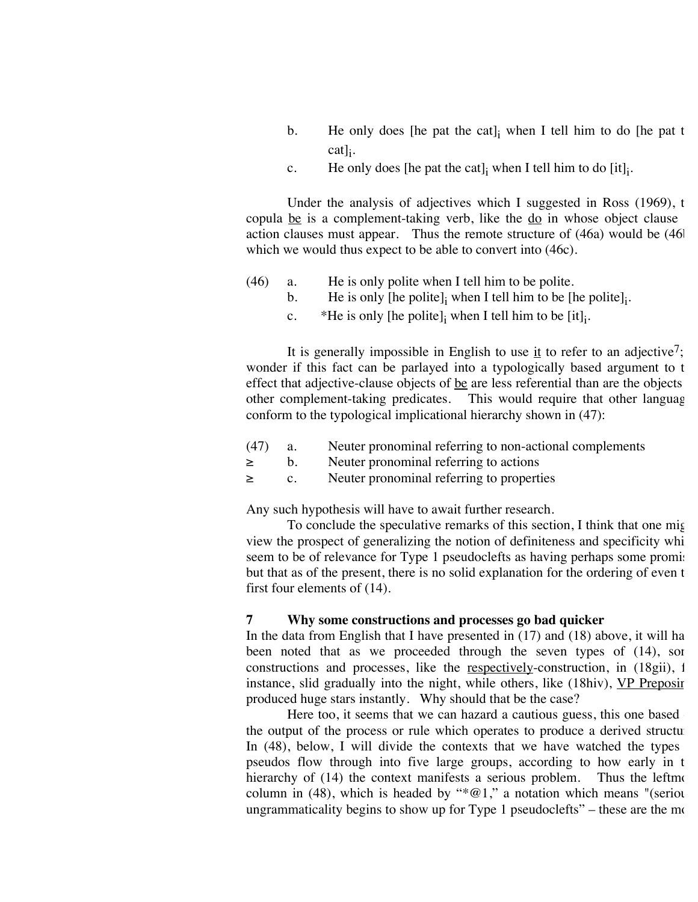- b. He only does [he pat the cat] $\mu$  when I tell him to do [he pat the  $\text{cat}$ ]<sub>i</sub>.
- c. He only does [he pat the cat]<sub>i</sub> when I tell him to do [it]<sub>i</sub>.

Under the analysis of adjectives which I suggested in Ross (1969), the copula be is a complement-taking verb, like the  $d\rho$  in whose object clause action clauses must appear. Thus the remote structure of  $(46a)$  would be  $(46b)$ which we would thus expect to be able to convert into (46c).

- (46) a. He is only polite when I tell him to be polite.
	- b. He is only [he polite]<sub>i</sub> when I tell him to be [he polite]<sub>i</sub>.
	- c.  $*$ He is only [he polite]<sub>i</sub> when I tell him to be [it]<sub>i</sub>.

It is generally impossible in English to use it to refer to an adjective<sup>7</sup>; wonder if this fact can be parlayed into a typologically based argument to the effect that adjective-clause objects of  $be$  are less referential than are the objects other complement-taking predicates. This would require that other language conform to the typological implicational hierarchy shown in (47):

- (47) a. Neuter pronominal referring to non-actional complements
- ≥ b. Neuter pronominal referring to actions
- ≥ c. Neuter pronominal referring to properties

Any such hypothesis will have to await further research.

To conclude the speculative remarks of this section, I think that one might view the prospect of generalizing the notion of definiteness and specificity whi seem to be of relevance for Type 1 pseudoclefts as having perhaps some promis but that as of the present, there is no solid explanation for the ordering of even t first four elements of (14).

#### **7 Why some constructions and processes go bad quicker**

In the data from English that I have presented in  $(17)$  and  $(18)$  above, it will ha been noted that as we proceeded through the seven types of (14), som constructions and processes, like the respectively-construction, in  $(18gi)$ , for instance, slid gradually into the night, while others, like (18hiv), VP Preposing produced huge stars instantly. Why should that be the case?

Here too, it seems that we can hazard a cautious guess, this one based the output of the process or rule which operates to produce a derived structure In  $(48)$ , below, I will divide the contexts that we have watched the types pseudos flow through into five large groups, according to how early in t hierarchy of  $(14)$  the context manifests a serious problem. Thus the leftmost column in (48), which is headed by " $*@1$ ," a notation which means "(serious) ungrammaticality begins to show up for Type 1 pseudoclefts" – these are the most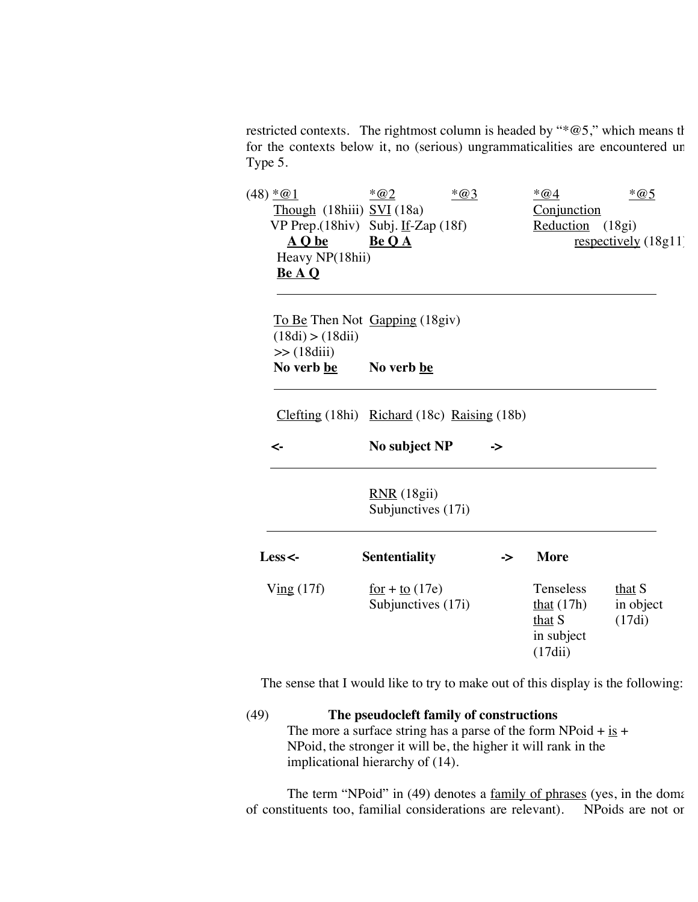restricted contexts. The rightmost column is headed by " $*@5$ ," which means that for the contexts below it, no (serious) ungrammaticalities are encountered un Type 5.

|  | $(48) * @1$                                   | $*@2$                                                                                    | $*@3$ | $*@4$             | $*@5$                  |
|--|-----------------------------------------------|------------------------------------------------------------------------------------------|-------|-------------------|------------------------|
|  | $Though$ (18hiii) $SVI$ (18a)                 |                                                                                          |       | Conjunction       |                        |
|  | VP Prep. $(18$ hiv) Subj. If-Zap $(18f)$      |                                                                                          |       | Reduction         | (18gi)                 |
|  | A Q be                                        | Be O A                                                                                   |       |                   | $respectively (18g11)$ |
|  | Heavy NP(18hii)<br>Be A Q                     |                                                                                          |       |                   |                        |
|  |                                               |                                                                                          |       |                   |                        |
|  |                                               |                                                                                          |       |                   |                        |
|  | To Be Then Not Gapping (18giv)                |                                                                                          |       |                   |                        |
|  | (18di) > (18dii)                              |                                                                                          |       |                   |                        |
|  | $\gg$ (18diii)                                |                                                                                          |       |                   |                        |
|  | No verb be                                    | No verb be                                                                               |       |                   |                        |
|  |                                               |                                                                                          |       |                   |                        |
|  | $Clefting (18hi)$ Richard (18c) Raising (18b) |                                                                                          |       |                   |                        |
|  |                                               |                                                                                          |       |                   |                        |
|  | ≺-                                            | No subject NP                                                                            | ->    |                   |                        |
|  |                                               |                                                                                          |       |                   |                        |
|  |                                               |                                                                                          |       |                   |                        |
|  |                                               | RNR(18gii)                                                                               |       |                   |                        |
|  |                                               | Subjunctives (17i)                                                                       |       |                   |                        |
|  |                                               |                                                                                          |       |                   |                        |
|  |                                               |                                                                                          |       |                   |                        |
|  | Less<-                                        | <b>Sententiality</b>                                                                     | ->    | <b>More</b>       |                        |
|  |                                               |                                                                                          |       | Tenseless         |                        |
|  | V <u>ing</u> (17f)                            | $\frac{\text{for}}{\text{or}} + \frac{\text{to}}{\text{to}} (17e)$<br>Subjunctives (17i) |       | that $(17h)$      | that $S$<br>in object  |
|  |                                               |                                                                                          |       | that S            | (17di)                 |
|  |                                               |                                                                                          |       | in subject        |                        |
|  |                                               |                                                                                          |       | $(17\text{d}$ ii) |                        |
|  |                                               |                                                                                          |       |                   |                        |

The sense that I would like to try to make out of this display is the following:

(49) **The pseudocleft family of constructions** The more a surface string has a parse of the form NPoid +  $\frac{1}{18}$  + NPoid, the stronger it will be, the higher it will rank in the implicational hierarchy of (14).

The term "NPoid" in (49) denotes a <u>family of phrases</u> (yes, in the domaintius too, familial considerations are relevant). NPoids are not or of constituents too, familial considerations are relevant).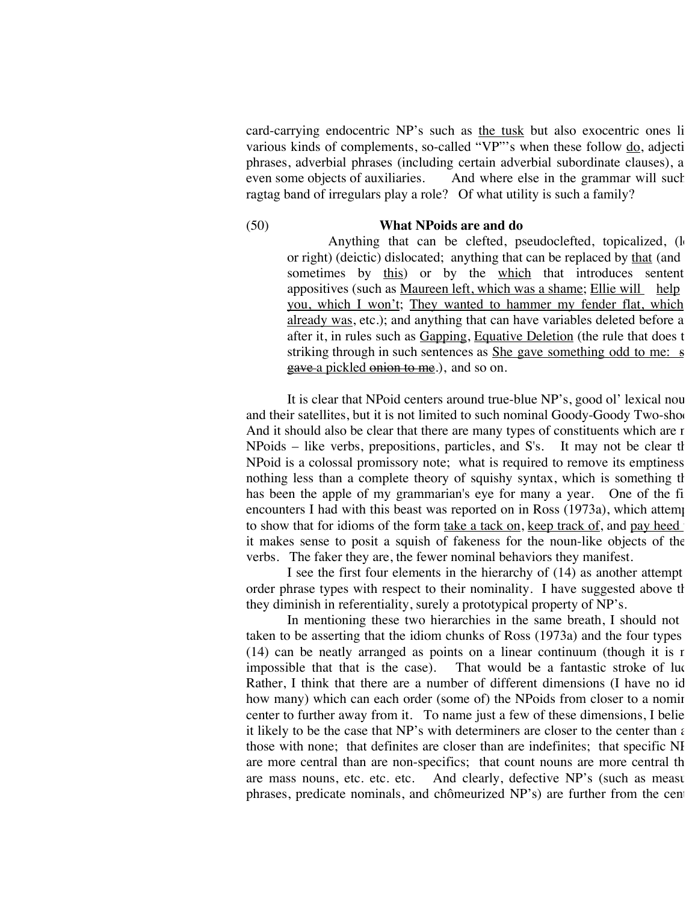card-carrying endocentric NP's such as the tusk but also exocentric ones li various kinds of complements, so-called  $\overline{v_1}$ "'s when these follow do, adjectively phrases, adverbial phrases (including certain adverbial subordinate clauses), a<br>even some objects of auxiliaries. And where else in the grammar will such And where else in the grammar will such ragtag band of irregulars play a role? Of what utility is such a family?

#### (50) **What NPoids are and do**

Anything that can be clefted, pseudoclefted, topicalized, (left or right) (deictic) dislocated; anything that can be replaced by that (and sometimes by this) or by the which that introduces sentent appositives (such as Maureen left, which was a shame; Ellie will help you, which I won't; They wanted to hammer my fender flat, which already was, etc.); and anything that can have variables deleted before a after it, in rules such as Gapping, Equative Deletion (the rule that does the striking through in such sentences as  $\frac{\text{She gave something odd to me: s}}{\text{She gave something odd}}$ gave a pickled onion to me.), and so on.

It is clear that NPoid centers around true-blue NP's, good ol' lexical nou and their satellites, but it is not limited to such nominal Goody-Goody Two-sho And it should also be clear that there are many types of constituents which are not  $NPoids$  – like verbs, prepositions, particles, and S's. It may not be clear that NPoid is a colossal promissory note; what is required to remove its emptiness nothing less than a complete theory of squishy syntax, which is something that has been the apple of my grammarian's eye for many a year. One of the fi encounters I had with this beast was reported on in Ross  $(1973a)$ , which attempts to show that for idioms of the form take a tack on, keep track of, and pay heed it makes sense to posit a squish of fakeness for the noun-like objects of the verbs. The faker they are, the fewer nominal behaviors they manifest.

I see the first four elements in the hierarchy of  $(14)$  as another attempt order phrase types with respect to their nominality. I have suggested above that they diminish in referentiality, surely a prototypical property of NP's.

In mentioning these two hierarchies in the same breath, I should not taken to be asserting that the idiom chunks of Ross  $(1973a)$  and the four types (14) can be neatly arranged as points on a linear continuum (though it is r impossible that that is the case). That would be a fantastic stroke of luc That would be a fantastic stroke of luck. Rather, I think that there are a number of different dimensions (I have no id how many) which can each order (some of) the NPoids from closer to a nominal center to further away from it. To name just a few of these dimensions, I belie it likely to be the case that NP's with determiners are closer to the center than  $\epsilon$ those with none; that definites are closer than are indefinites; that specific NI are more central than are non-specifics; that count nouns are more central th are mass nouns, etc. etc. etc. And clearly, defective NP's (such as measure phrases, predicate nominals, and chômeurized NP's) are further from the cen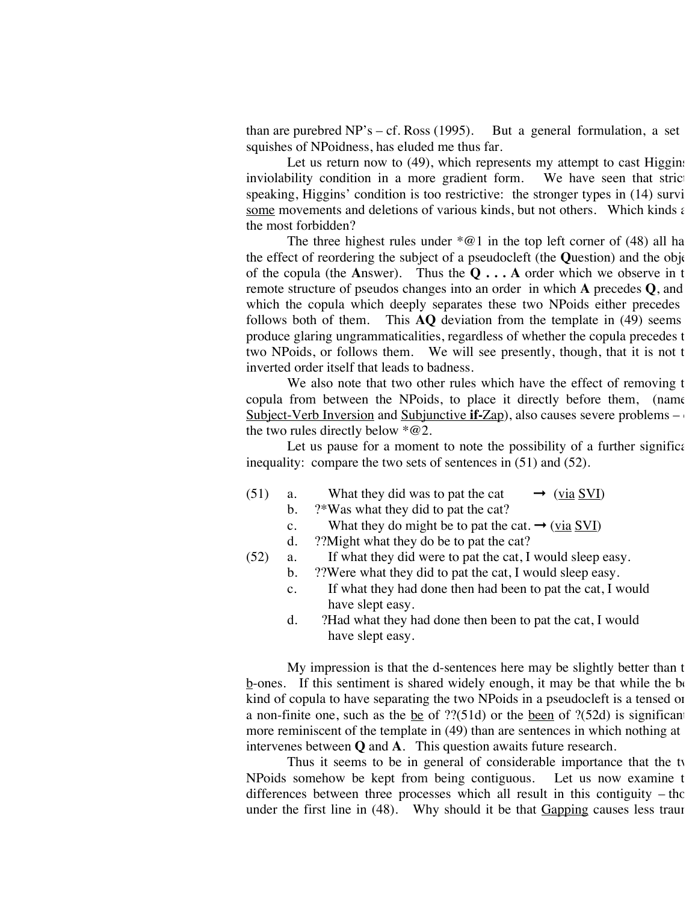than are purebred NP's – cf. Ross (1995). But a general formulation, a set squishes of NPoidness, has eluded me thus far.

Let us return now to  $(49)$ , which represents my attempt to cast Higgins inviolability condition in a more gradient form. We have seen that stric speaking, Higgins' condition is too restrictive: the stronger types in  $(14)$  survi some movements and deletions of various kinds, but not others. Which kinds  $\epsilon$ the most forbidden?

The three highest rules under  $*@1$  in the top left corner of (48) all ha the effect of reordering the subject of a pseudocleft (the **Q**uestion) and the object of the copula (the Answer). Thus the  $Q \dots A$  order which we observe in the remote structure of pseudos changes into an order in which **A** precedes **Q**, and in which the copula which deeply separates these two NPoids either precedes follows both of them. This  $\bf{AQ}$  deviation from the template in (49) seems produce glaring ungrammaticalities, regardless of whether the copula precedes t two NPoids, or follows them. We will see presently, though, that it is not the inverted order itself that leads to badness.

We also note that two other rules which have the effect of removing the copula from between the NPoids, to place it directly before them, (name Subject-Verb Inversion and Subjunctive **if-**Zap), also causes severe problems – the two rules directly below  $*@2$ .

Let us pause for a moment to note the possibility of a further significant inequality: compare the two sets of sentences in (51) and (52).

- (51) a. What they did was to pat the cat  $\rightarrow$  (via SVI)
	- b. ?\*Was what they did to pat the cat?
	- c. What they do might be to pat the cat.  $\rightarrow$  (via SVI)
	- d. ??Might what they do be to pat the cat?
- (52) a. If what they did were to pat the cat, I would sleep easy.
	- b. ??Were what they did to pat the cat, I would sleep easy.
	- c. If what they had done then had been to pat the cat, I would have slept easy.
	- d. ?Had what they had done then been to pat the cat, I would have slept easy.

My impression is that the d-sentences here may be slightly better than the  $\underline{b}$ -ones. If this sentiment is shared widely enough, it may be that while the best kind of copula to have separating the two NPoids in a pseudocleft is a tensed or a non-finite one, such as the be of  $?$ ?(51d) or the been of  $?$ (52d) is significantly more reminiscent of the template in  $(49)$  than are sentences in which nothing at intervenes between **Q** and **A**. This question awaits future research.

Thus it seems to be in general of considerable importance that the ty NPoids somehow be kept from being contiguous. Let us now examine the differences between three processes which all result in this contiguity  $-$  those under the first line in  $(48)$ . Why should it be that Gapping causes less trauma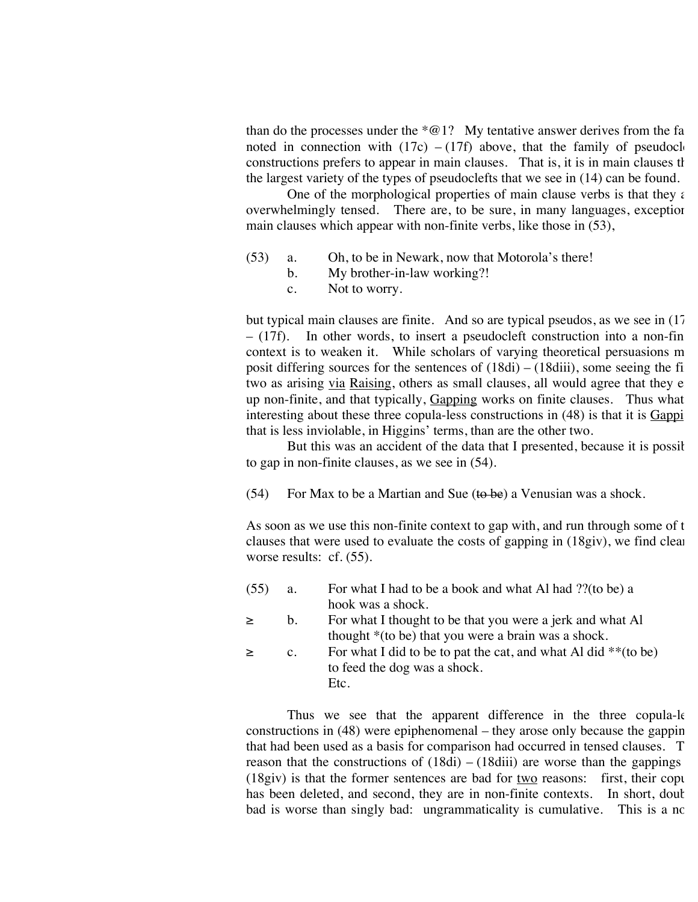than do the processes under the  $*@1?$  My tentative answer derives from the fa noted in connection with  $(17c) - (17f)$  above, that the family of pseudocle constructions prefers to appear in main clauses. That is, it is in main clauses that the largest variety of the types of pseudoclefts that we see in (14) can be found.

One of the morphological properties of main clause verbs is that they are overwhelmingly tensed. There are, to be sure, in many languages, exception main clauses which appear with non-finite verbs, like those in (53),

- (53) a. Oh, to be in Newark, now that Motorola's there!
	- b. My brother-in-law working?!
		- c. Not to worry.

but typical main clauses are finite. And so are typical pseudos, as we see in  $(17)$  $-$  (17f). In other words, to insert a pseudocleft construction into a non-fin context is to weaken it. While scholars of varying theoretical persuasions m While scholars of varying theoretical persuasions m posit differing sources for the sentences of  $(18di) - (18diii)$ , some seeing the fi two as arising via Raising, others as small clauses, all would agree that they e up non-finite, and that typically, Gapping works on finite clauses. Thus what interesting about these three copula-less constructions in  $(48)$  is that it is  $Gappi$ that is less inviolable, in Higgins' terms, than are the other two.

But this was an accident of the data that I presented, because it is possible to gap in non-finite clauses, as we see in (54).

(54) For Max to be a Martian and Sue ( $\theta$  be) a Venusian was a shock.

As soon as we use this non-finite context to gap with, and run through some of t clauses that were used to evaluate the costs of gapping in  $(18giv)$ , we find clearly worse results: cf.  $(55)$ .

| (55)   | a.             | For what I had to be a book and what Al had ?? (to be) a          |
|--------|----------------|-------------------------------------------------------------------|
|        |                | hook was a shock.                                                 |
| $\geq$ | b.             | For what I thought to be that you were a jerk and what Al         |
|        |                | thought *(to be) that you were a brain was a shock.               |
| $\geq$ | $\mathbf{c}$ . | For what I did to be to pat the cat, and what Al did $**$ (to be) |
|        |                | to feed the dog was a shock.                                      |
|        |                | Etc.                                                              |

Thus we see that the apparent difference in the three copula-le constructions in  $(48)$  were epiphenomenal – they arose only because the gappin that had been used as a basis for comparison had occurred in tensed clauses. T reason that the constructions of  $(18di) - (18di)$  are worse than the gappings  $(18\text{giv})$  is that the former sentences are bad for two reasons: first, their copulation has been deleted, and second, they are in non-finite contexts. In short, double bad is worse than singly bad: ungrammaticality is cumulative. This is a no-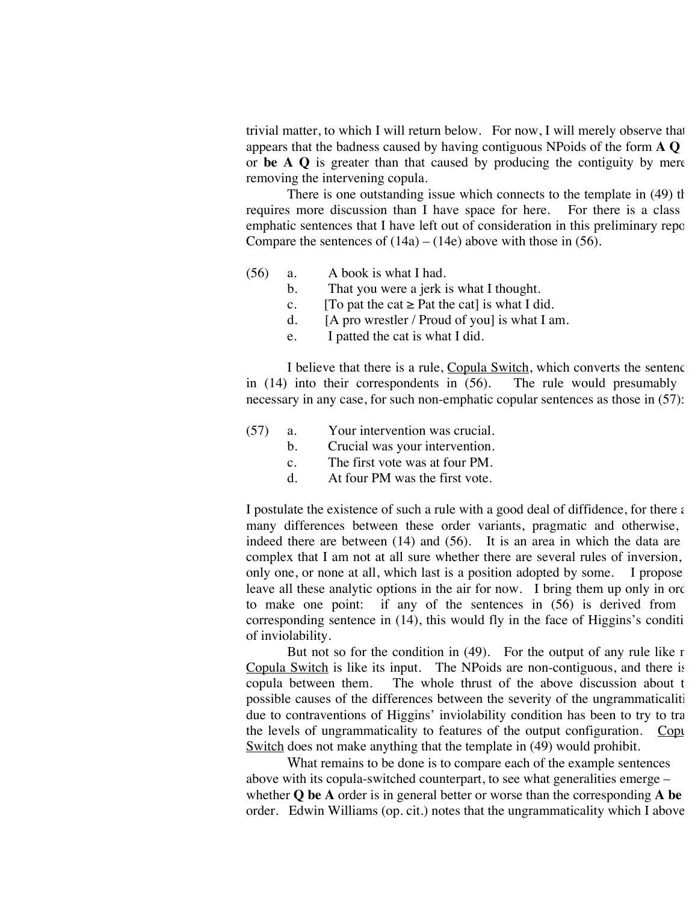trivial matter, to which I will return below. For now, I will merely observe that appears that the badness caused by having contiguous NPoids of the form **A Q be** or **be A Q** is greater than that caused by producing the contiguity by mere removing the intervening copula.

There is one outstanding issue which connects to the template in  $(49)$  th requires more discussion than I have space for here. For there is a class emphatic sentences that I have left out of consideration in this preliminary report. Compare the sentences of  $(14a) - (14e)$  above with those in (56).

- (56) a. A book is what I had.
	- b. That you were a jerk is what I thought.
	- c. [To pat the cat  $\geq$  Pat the cat] is what I did.
	- d. [A pro wrestler / Proud of you] is what I am.
	- e. I patted the cat is what I did.

I believe that there is a rule, Copula Switch, which converts the sentence in  $(14)$  into their correspondents in  $(56)$ . The rule would presumably necessary in any case, for such non-emphatic copular sentences as those in (57):

- (57) a. Your intervention was crucial.
	- b. Crucial was your intervention.
	- c. The first vote was at four PM.
	- d. At four PM was the first vote.

I postulate the existence of such a rule with a good deal of diffidence, for there  $\epsilon$ many differences between these order variants, pragmatic and otherwise, indeed there are between  $(14)$  and  $(56)$ . It is an area in which the data are complex that I am not at all sure whether there are several rules of inversion, only one, or none at all, which last is a position adopted by some. I propose leave all these analytic options in the air for now. I bring them up only in order to make one point: if any of the sentences in  $(56)$  is derived from corresponding sentence in  $(14)$ , this would fly in the face of Higgins's condition of inviolability.

But not so for the condition in  $(49)$ . For the output of any rule like  $r$ Copula Switch is like its input. The NPoids are non-contiguous, and there is copula between them. The whole thrust of the above discussion about  $t$ possible causes of the differences between the severity of the ungrammaticaliti due to contraventions of Higgins' inviolability condition has been to try to tra the levels of ungrammaticality to features of the output configuration. Copular Switch does not make anything that the template in (49) would prohibit.

What remains to be done is to compare each of the example sentences above with its copula-switched counterpart, to see what generalities emerge – whether **Q** be A order is in general better or worse than the corresponding A be order. Edwin Williams (op. cit.) notes that the ungrammaticality which I above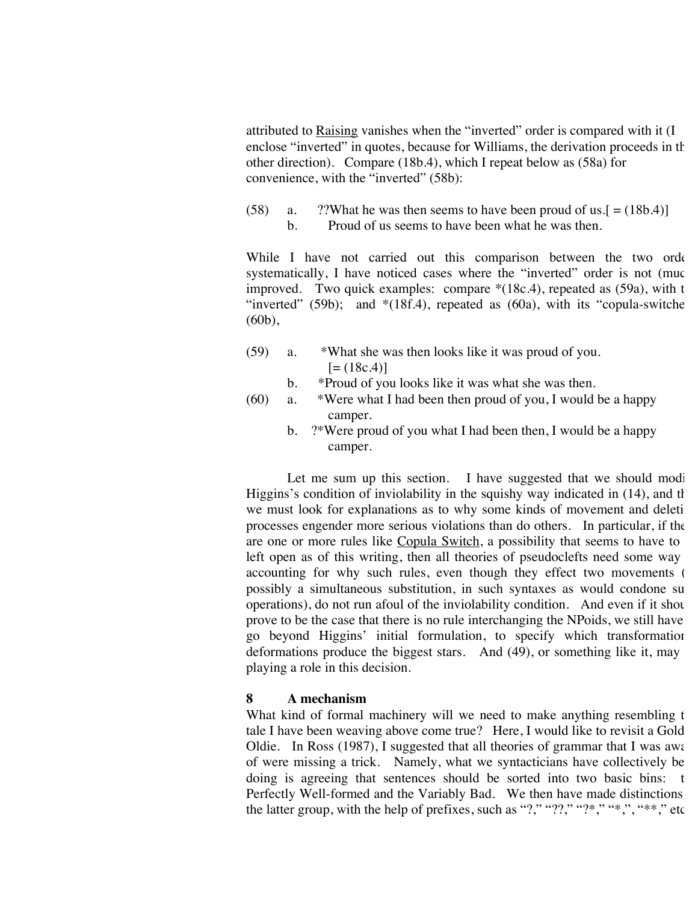attributed to Raising vanishes when the "inverted" order is compared with it (I enclose "inverted" in quotes, because for Williams, the derivation proceeds in the other direction). Compare (18b.4), which I repeat below as (58a) for convenience, with the "inverted" (58b):

(58) a. ??What he was then seems to have been proud of us. $[=(18b.4)]$ b. Proud of us seems to have been what he was then.

While I have not carried out this comparison between the two order systematically, I have noticed cases where the "inverted" order is not (muc improved. Two quick examples: compare  $*(18c.4)$ , repeated as  $(59a)$ , with the "inverted" (59b); and  $*(18f.4)$ , repeated as (60a), with its "copula-switche (60b),

- (59) a. \*What she was then looks like it was proud of you.  $[=(18c.4)]$ 
	- b. \*Proud of you looks like it was what she was then.
- $(60)$  a. \*Were what I had been then proud of you, I would be a happy camper.
	- b. ?\*Were proud of you what I had been then, I would be a happy camper.

Let me sum up this section. I have suggested that we should modi-Higgins's condition of inviolability in the squishy way indicated in  $(14)$ , and that we must look for explanations as to why some kinds of movement and deleti processes engender more serious violations than do others. In particular, if the are one or more rules like Copula Switch, a possibility that seems to have to left open as of this writing, then all theories of pseudoclefts need some way accounting for why such rules, even though they effect two movements ( possibly a simultaneous substitution, in such syntaxes as would condone su operations), do not run afoul of the inviolability condition. And even if it should prove to be the case that there is no rule interchanging the NPoids, we still have go beyond Higgins' initial formulation, to specify which transformation deformations produce the biggest stars. And (49), or something like it, may playing a role in this decision.

#### **8 A mechanism**

What kind of formal machinery will we need to make anything resembling the tale I have been weaving above come true? Here, I would like to revisit a Gold Oldie. In Ross (1987), I suggested that all theories of grammar that I was awareless. of were missing a trick. Namely, what we syntacticians have collectively be doing is agreeing that sentences should be sorted into two basic bins: the Perfectly Well-formed and the Variably Bad. We then have made distinctions the latter group, with the help of prefixes, such as "?," "??," "?\*," "\*,", "\*\*," etc.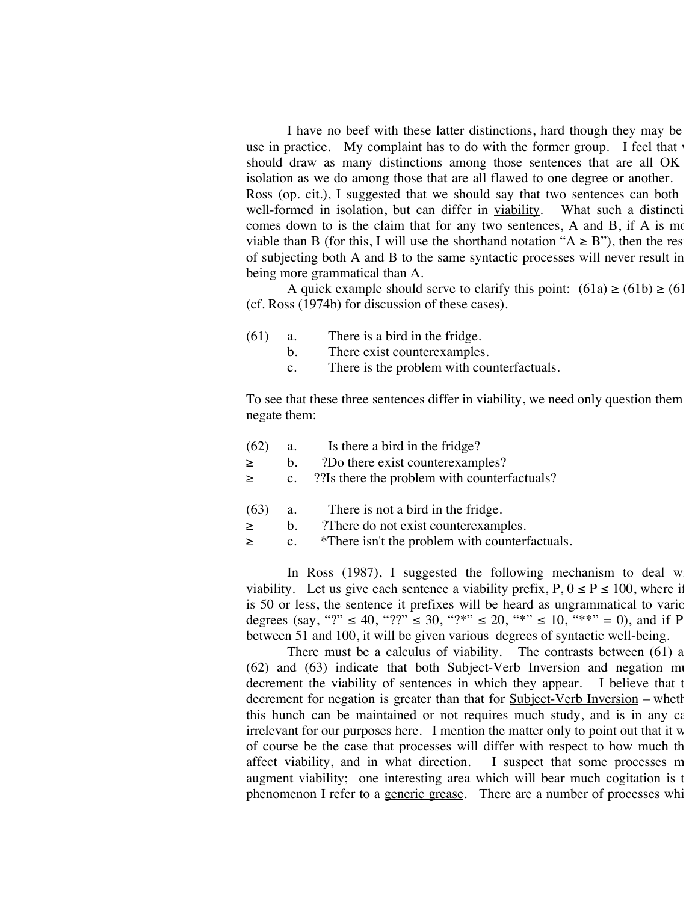I have no beef with these latter distinctions, hard though they may be use in practice. My complaint has to do with the former group. I feel that  $\overline{y}$ should draw as many distinctions among those sentences that are all OK isolation as we do among those that are all flawed to one degree or another. Ross (op. cit.), I suggested that we should say that two sentences can both well-formed in isolation, but can differ in viability. What such a distinction comes down to is the claim that for any two sentences, A and B, if A is more viable than B (for this, I will use the shorthand notation " $A \ge B$ "), then the res of subjecting both A and B to the same syntactic processes will never result in being more grammatical than A.

A quick example should serve to clarify this point:  $(61a) \ge (61b) \ge (61c)$ (cf. Ross (1974b) for discussion of these cases).

- (61) a. There is a bird in the fridge.
	- b. There exist counterexamples.
	- c. There is the problem with counterfactuals.

To see that these three sentences differ in viability, we need only question them negate them:

- (62) a. Is there a bird in the fridge? ≥ b. ?Do there exist counterexamples? ≥ c. ??Is there the problem with counterfactuals?
- (63) a. There is not a bird in the fridge. ≥ b. ?There do not exist counterexamples.
- ≥ c. \*There isn't the problem with counterfactuals.

In Ross  $(1987)$ , I suggested the following mechanism to deal w viability. Let us give each sentence a viability prefix,  $P, 0 \le P \le 100$ , where if is 50 or less, the sentence it prefixes will be heard as ungrammatical to vario degrees (say, "?"  $\leq 40$ , "??"  $\leq 30$ , "?\*"  $\leq 20$ , "\*"  $\leq 10$ , "\*\*" = 0), and if P between 51 and 100, it will be given various degrees of syntactic well-being.

There must be a calculus of viability. The contrasts between  $(61)$  and  $(62)$  and  $(63)$  indicate that both Subject-Verb Inversion and negation muderement the viability of sentences in which they appear. I believe that t decrement the viability of sentences in which they appear. decrement for negation is greater than that for Subject-Verb Inversion – whether this hunch can be maintained or not requires much study, and is in any  $c\epsilon$ irrelevant for our purposes here. I mention the matter only to point out that it  $w$ of course be the case that processes will differ with respect to how much th affect viability, and in what direction. I suspect that some processes  $m$ augment viability; one interesting area which will bear much cogitation is the phenomenon I refer to a generic grease. There are a number of processes whi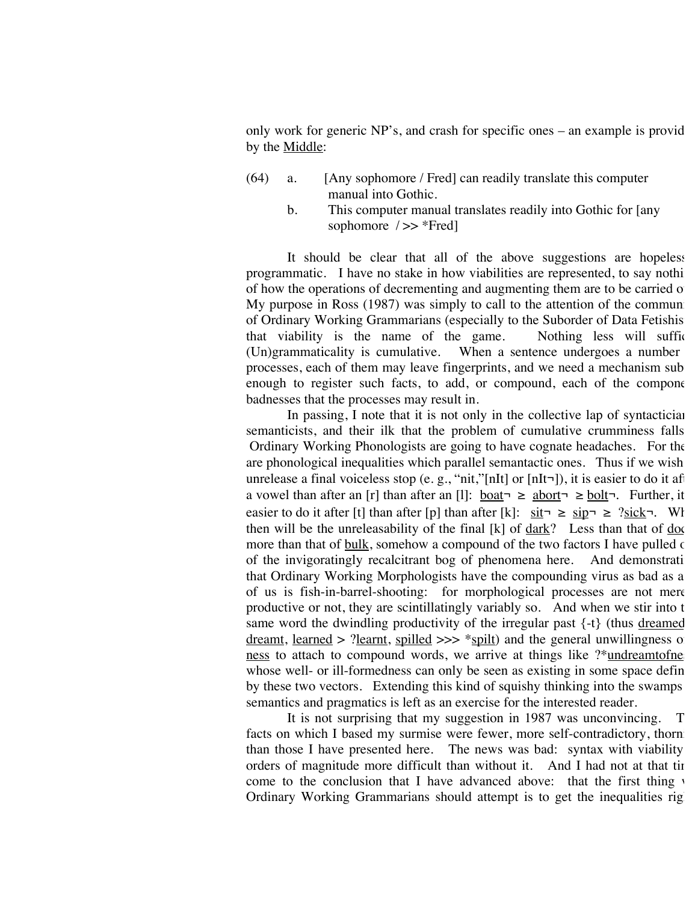only work for generic  $NP's$ , and crash for specific ones – an example is provided by  $P's$ , and crash for specific ones – an example is provided by  $P's$ . by the Middle:

- (64) a. [Any sophomore / Fred] can readily translate this computer manual into Gothic.
	- b. This computer manual translates readily into Gothic for [any sophomore  $\rightarrow$  \*Fred]

It should be clear that all of the above suggestions are hopeless programmatic. I have no stake in how viabilities are represented, to say nothi of how the operations of decrementing and augmenting them are to be carried of My purpose in Ross  $(1987)$  was simply to call to the attention of the community of Ordinary Working Grammarians (especially to the Suborder of Data Fetishis that viability is the name of the game. Nothing less will suffice.<br>(Un)grammaticality is cumulative. When a sentence undergoes a number When a sentence undergoes a number processes, each of them may leave fingerprints, and we need a mechanism sub enough to register such facts, to add, or compound, each of the component badnesses that the processes may result in.

In passing,  $I$  note that it is not only in the collective lap of syntacticians semanticists, and their ilk that the problem of cumulative crumminess falls Ordinary Working Phonologists are going to have cognate headaches. For the are phonological inequalities which parallel semantactic ones. Thus if we wish unrelease a final voiceless stop (e.g., "nit,"[nIt] or [nIt¬]), it is easier to do it af a vowel than after an [r] than after an [l]: boat > > abort > > bolt ¬. Further, it easier to do it after [t] than after [p] than after [k]: sit¬ ≥ sip¬ ≥ ?sick¬. Wh then will be the unreleasability of the final  $[k]$  of  $\frac{dark}{?}$  Less than that of  $\frac{do}{k}$ more than that of  $\underline{\text{bulk}}$ , somehow a compound of the two factors I have pulled  $\epsilon$ of the invigoratingly recalcitrant bog of phenomena here. And demonstrati that Ordinary Working Morphologists have the compounding virus as bad as a of us is fish-in-barrel-shooting: for morphological processes are not mere productive or not, they are scintillatingly variably so. And when we stir into the same word the dwindling productivity of the irregular past  $\{-t\}$  (thus dreamed dreamt, learned > ?learnt, spilled >>>  $\frac{*}{s}$  and the general unwillingness of ness to attach to compound words, we arrive at things like ?\*undreamtofne whose well- or ill-formedness can only be seen as existing in some space defined by these two vectors. Extending this kind of squishy thinking into the swamps semantics and pragmatics is left as an exercise for the interested reader.

It is not surprising that my suggestion in 1987 was unconvincing. T facts on which I based my surmise were fewer, more self-contradictory, thornier than those I have presented here. The news was bad: syntax with viability orders of magnitude more difficult than without it. And I had not at that time come to the conclusion that I have advanced above: that the first thing  $\nu$ Ordinary Working Grammarians should attempt is to get the inequalities right.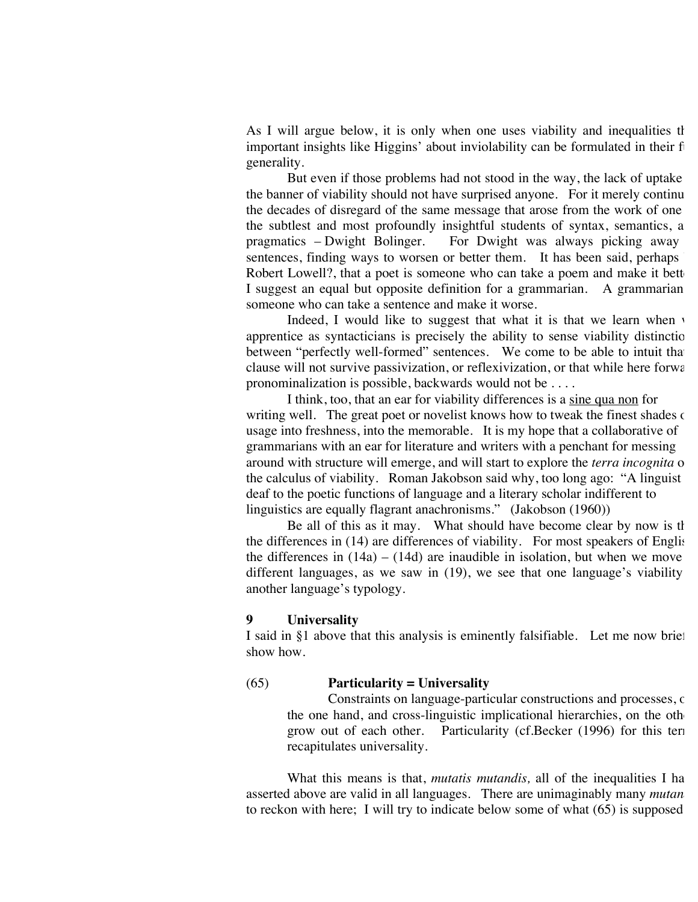As I will argue below, it is only when one uses viability and inequalities that important insights like Higgins' about inviolability can be formulated in their f generality.

But even if those problems had not stood in the way, the lack of uptake the banner of viability should not have surprised anyone. For it merely continue the decades of disregard of the same message that arose from the work of one the subtlest and most profoundly insightful students of syntax, semantics, a<br>pragmatics  $-$  Dwight Bolinger. For Dwight was always picking away For Dwight was always picking away sentences, finding ways to worsen or better them. It has been said, perhaps Robert Lowell?, that a poet is someone who can take a poem and make it bett I suggest an equal but opposite definition for a grammarian. A grammarian someone who can take a sentence and make it worse.

Indeed, I would like to suggest that what it is that we learn when  $\cdot$ apprentice as syntacticians is precisely the ability to sense viability distinctions between "perfectly well-formed" sentences. We come to be able to intuit that clause will not survive passivization, or reflexivization, or that while here forward pronominalization is possible, backwards would not be . . . .

I think, too, that an ear for viability differences is a sine qua non for writing well. The great poet or novelist knows how to tweak the finest shades of usage into freshness, into the memorable. It is my hope that a collaborative of grammarians with an ear for literature and writers with a penchant for messing around with structure will emerge, and will start to explore the *terra incognita* of the calculus of viability. Roman Jakobson said why, too long ago: "A linguist deaf to the poetic functions of language and a literary scholar indifferent to linguistics are equally flagrant anachronisms." (Jakobson (1960))

Be all of this as it may. What should have become clear by now is that the differences in  $(14)$  are differences of viability. For most speakers of English the differences in  $(14a) - (14d)$  are inaudible in isolation, but when we move different languages, as we saw in  $(19)$ , we see that one language's viability another language's typology.

#### **9 Universality**

I said in §1 above that this analysis is eminently falsifiable. Let me now briefly show how.

### (65) **Particularity = Universality**

Constraints on language-particular constructions and processes, on the one hand, and cross-linguistic implicational hierarchies, on the oth grow out of each other. Particularity (cf.Becker (1996) for this term recapitulates universality.

What this means is that, *mutatis mutandis*, all of the inequalities I ha asserted above are valid in all languages. There are unimaginably many *mutan* to reckon with here; I will try to indicate below some of what  $(65)$  is supposed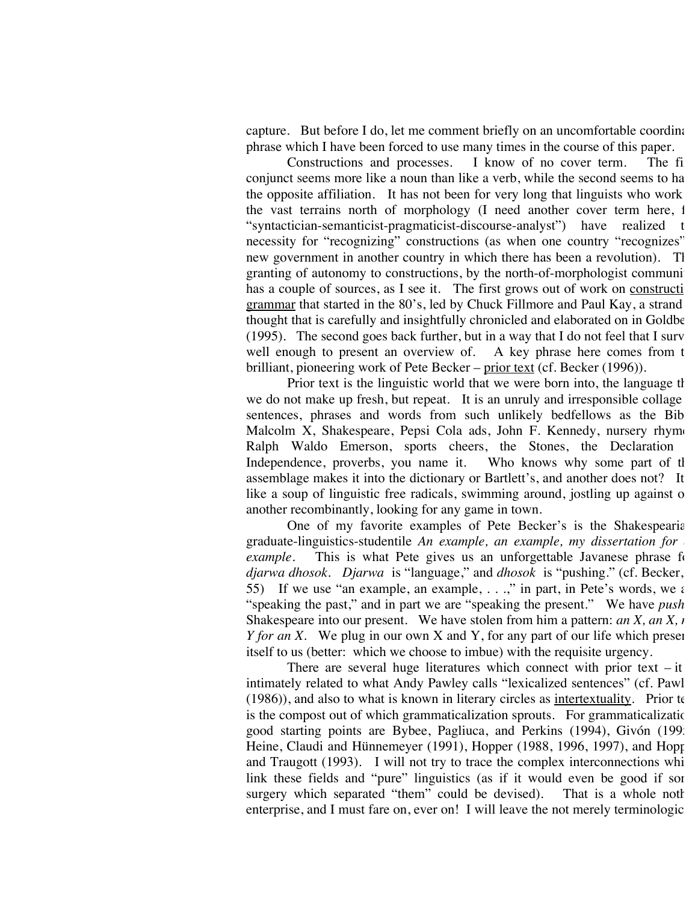capture. But before I do, let me comment briefly on an uncomfortable coordination phrase which I have been forced to use many times in the course of this paper.

Constructions and processes. I know of no cover term. The fi conjunct seems more like a noun than like a verb, while the second seems to ha the opposite affiliation. It has not been for very long that linguists who work the vast terrains north of morphology (I need another cover term here, for "syntactician-semanticist-pragmaticist-discourse-analyst") have realized t necessity for "recognizing" constructions (as when one country "recognizes" new government in another country in which there has been a revolution). The granting of autonomy to constructions, by the north-of-morphologist communi has a couple of sources, as I see it. The first grows out of work on construction grammar that started in the 80's, led by Chuck Fillmore and Paul Kay, a strand thought that is carefully and insightfully chronicled and elaborated on in Goldber  $(1995)$ . The second goes back further, but in a way that I do not feel that I surv well enough to present an overview of. A key phrase here comes from t brilliant, pioneering work of Pete Becker – prior text (cf. Becker (1996)).

Prior text is the linguistic world that we were born into, the language that we do not make up fresh, but repeat. It is an unruly and irresponsible collage sentences, phrases and words from such unlikely bedfellows as the Bib Malcolm X, Shakespeare, Pepsi Cola ads, John F. Kennedy, nursery rhyme Ralph Waldo Emerson, sports cheers, the Stones, the Declaration Independence, proverbs, you name it. Who knows why some part of the assemblage makes it into the dictionary or Bartlett's, and another does not? It like a soup of linguistic free radicals, swimming around, jostling up against on another recombinantly, looking for any game in town.

One of my favorite examples of Pete Becker's is the Shakespeariangraduate-linguistics-studentile *An example, an example, my dissertation for example*. This is what Pete gives us an unforgettable Javanese phrase for *djarwa dhosok. Djarwa* is "language," and *dhosok* is "pushing." (cf. Becker, p. 55) If we use "an example, an example,  $\dots$ ," in part, in Pete's words, we are "speaking the past," and in part we are "speaking the present." We have *push* Shakespeare into our present. We have stolen from him a pattern: *an X*, *an X*, *i Y for an X.* We plug in our own X and Y, for any part of our life which present itself to us (better: which we choose to imbue) with the requisite urgency.

There are several huge literatures which connect with prior text  $-$  it intimately related to what Andy Pawley calls "lexicalized sentences" (cf. Pawley  $(1986)$ , and also to what is known in literary circles as intertextuality. Prior to is the compost out of which grammaticalization sprouts. For grammaticalization, good starting points are Bybee, Pagliuca, and Perkins (1994), Givón (199 Heine, Claudi and Hünnemeyer (1991), Hopper (1988, 1996, 1997), and Hopper and Traugott  $(1993)$ . I will not try to trace the complex interconnections whi link these fields and "pure" linguistics (as if it would even be good if some surgery which separated "them" could be devised). That is a whole noth enterprise, and I must fare on, ever on! I will leave the not merely terminologic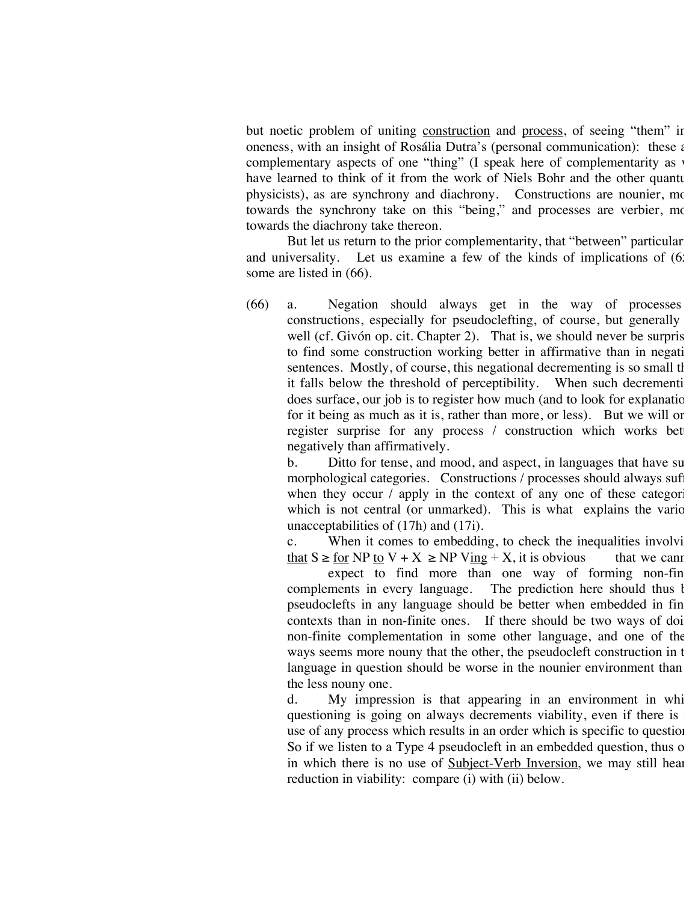but noetic problem of uniting construction and process, of seeing "them" in oneness, with an insight of Rosália Dutra's (personal communication): these  $\epsilon$ complementary aspects of one "thing" (I speak here of complementarity as v have learned to think of it from the work of Niels Bohr and the other quantum physicists), as are synchrony and diachrony. Constructions are nounier, more towards the synchrony take on this "being," and processes are verbier, more towards the diachrony take thereon.

But let us return to the prior complementarity, that "between" particular and universality. Let us examine a few of the kinds of implications of  $(6)$ : some are listed in (66).

(66) a. Negation should always get in the way of processes / constructions, especially for pseudoclefting, of course, but generally well (cf. Givón op. cit. Chapter 2). That is, we should never be surpris to find some construction working better in affirmative than in negati sentences. Mostly, of course, this negational decrementing is so small that it falls below the threshold of perceptibility. When such decrementing does surface, our job is to register how much (and to look for explanation for it being as much as it is, rather than more, or less). But we will or register surprise for any process / construction which works bet negatively than affirmatively.

b. Ditto for tense, and mood, and aspect, in languages that have su morphological categories. Constructions / processes should always suffer when they occur  $\ell$  apply in the context of any one of these categories which is not central (or unmarked). This is what explains the various unacceptabilities of (17h) and (17i).

c. When it comes to embedding, to check the inequalities involvi that  $S \ge$  for NP to  $V + X \ge$  NP V<sub>ing</sub> + X, it is obvious that we cannot

expect to find more than one way of forming non-fin complements in every language. The prediction here should thus bepseudoclefts in any language should be better when embedded in fin contexts than in non-finite ones. If there should be two ways of doi non-finite complementation in some other language, and one of the ways seems more nouny that the other, the pseudocleft construction in the language in question should be worse in the nounier environment than the less nouny one.

d. My impression is that appearing in an environment in whi questioning is going on always decrements viability, even if there is use of any process which results in an order which is specific to question So if we listen to a Type  $4$  pseudocleft in an embedded question, thus one in which there is no use of Subject-Verb Inversion, we may still hear reduction in viability: compare (i) with (ii) below.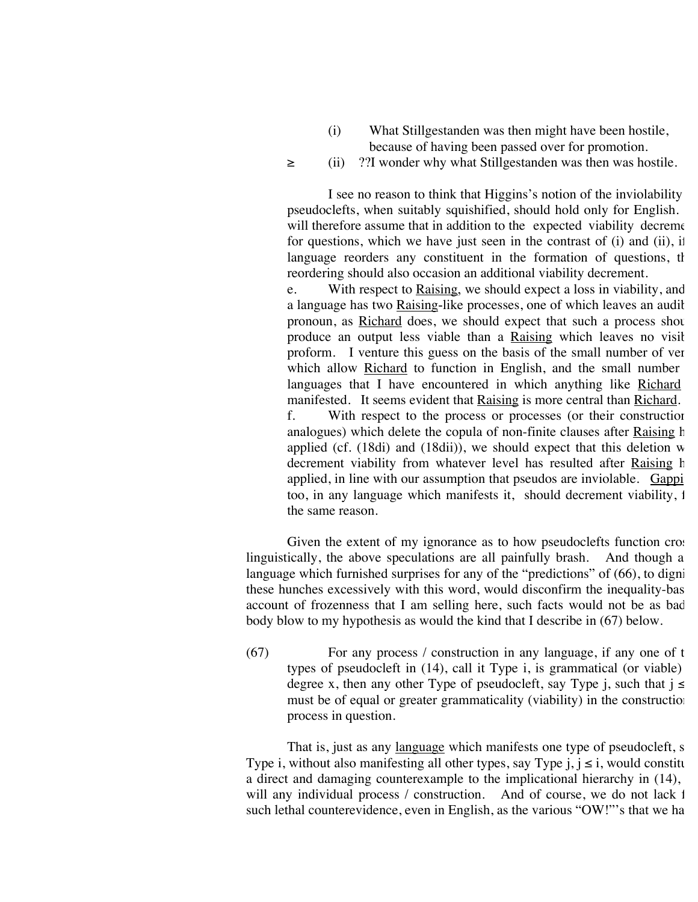- (i) What Stillgestanden was then might have been hostile, because of having been passed over for promotion.
- ≥ (ii) ??I wonder why what Stillgestanden was then was hostile.

I see no reason to think that Higgins's notion of the inviolability pseudoclefts, when suitably squishified, should hold only for English. I will therefore assume that in addition to the expected viability decrement for questions, which we have just seen in the contrast of  $(i)$  and  $(ii)$ , if language reorders any constituent in the formation of questions, that reordering should also occasion an additional viability decrement.

e. With respect to Raising, we should expect a loss in viability, and if a language has two Raising-like processes, one of which leaves an audit pronoun, as Richard does, we should expect that such a process should produce an output less viable than a Raising which leaves no visil proform. I venture this guess on the basis of the small number of ver which allow Richard to function in English, and the small number languages that I have encountered in which anything like Richard manifested. It seems evident that Raising is more central than Richard. f. With respect to the process or processes (or their constructionally analogues) which delete the copula of non-finite clauses after Raising h applied (cf.  $(18di)$  and  $(18dii)$ ), we should expect that this deletion w decrement viability from whatever level has resulted after Raising h applied, in line with our assumption that pseudos are inviolable. Gappi too, in any language which manifests it, should decrement viability, for the same reason.

Given the extent of my ignorance as to how pseudoclefts function crosslinguistically, the above speculations are all painfully brash. And though a language which furnished surprises for any of the "predictions" of (66), to digni these hunches excessively with this word, would disconfirm the inequality-bas account of frozenness that I am selling here, such facts would not be as bad body blow to my hypothesis as would the kind that I describe in (67) below.

 $(67)$  For any process / construction in any language, if any one of the types of pseudocleft in  $(14)$ , call it Type i, is grammatical (or viable) degree x, then any other Type of pseudocleft, say Type j, such that  $j \leq$ must be of equal or greater grammaticality (viability) in the construction process in question.

That is, just as any language which manifests one type of pseudocleft, s Type i, without also manifesting all other types, say Type  $i, i \leq i$ , would constitutiona direct and damaging counterexample to the implicational hierarchy in  $(14)$ , will any individual process / construction. And of course, we do not lack 1 such lethal counterevidence, even in English, as the various "OW!"'s that we ha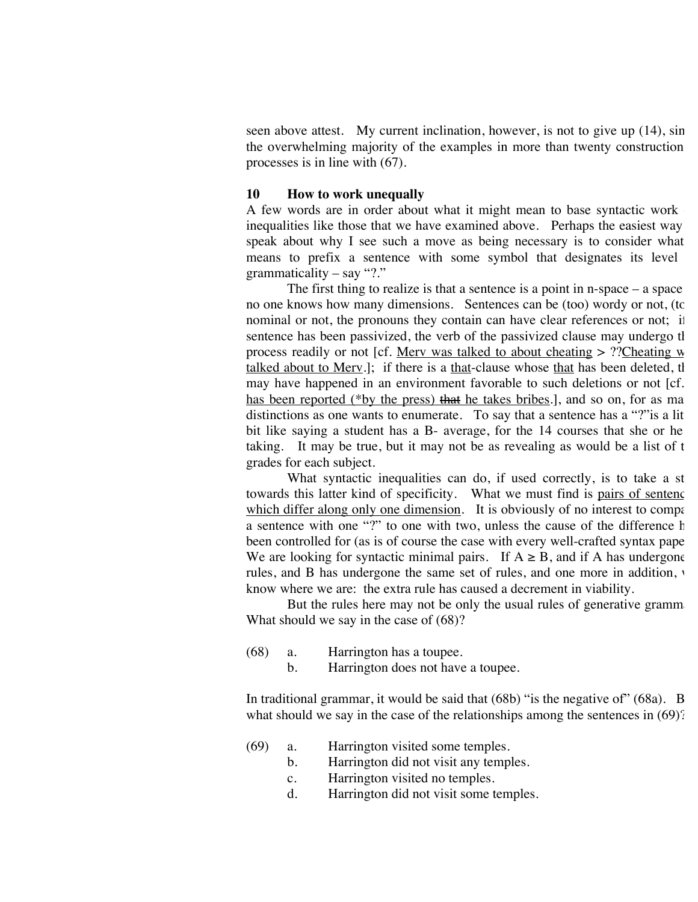seen above attest. My current inclination, however, is not to give up  $(14)$ , sin the overwhelming majority of the examples in more than twenty construction processes is in line with (67).

#### **10 How to work unequally**

A few words are in order about what it might mean to base syntactic work inequalities like those that we have examined above. Perhaps the easiest way speak about why I see such a move as being necessary is to consider what means to prefix a sentence with some symbol that designates its level grammaticality – say "?."

The first thing to realize is that a sentence is a point in  $n$ -space  $-$  a space no one knows how many dimensions. Sentences can be (too) wordy or not, (to nominal or not, the pronouns they contain can have clear references or not; if sentence has been passivized, the verb of the passivized clause may undergo the process readily or not [cf. <u>Merv was talked to about cheating  $\frac{1}{2}$  ?? Cheating w</u> talked about to Merv.]; if there is a that-clause whose that has been deleted, the may have happened in an environment favorable to such deletions or not [cf. has been reported (\*by the press) that he takes bribes.], and so on, for as ma distinctions as one wants to enumerate. To say that a sentence has a "?"is a lit bit like saying a student has a B- average, for the  $14$  courses that she or he taking. It may be true, but it may not be as revealing as would be a list of  $t$ grades for each subject.

What syntactic inequalities can do, if used correctly, is to take a st towards this latter kind of specificity. What we must find is pairs of sentence which differ along only one dimension. It is obviously of no interest to compare a sentence with one "?" to one with two, unless the cause of the difference has been controlled for (as is of course the case with every well-crafted syntax pape We are looking for syntactic minimal pairs. If  $A \geq B$ , and if A has undergone rules, and B has undergone the same set of rules, and one more in addition, v know where we are: the extra rule has caused a decrement in viability.

But the rules here may not be only the usual rules of generative gramm What should we say in the case of (68)?

- (68) a. Harrington has a toupee.
	- b. Harrington does not have a toupee.

In traditional grammar, it would be said that  $(68b)$  "is the negative of"  $(68a)$ . B what should we say in the case of the relationships among the sentences in  $(69)$ ?

- (69) a. Harrington visited some temples.
	- b. Harrington did not visit any temples.
	- c. Harrington visited no temples.
	- d. Harrington did not visit some temples.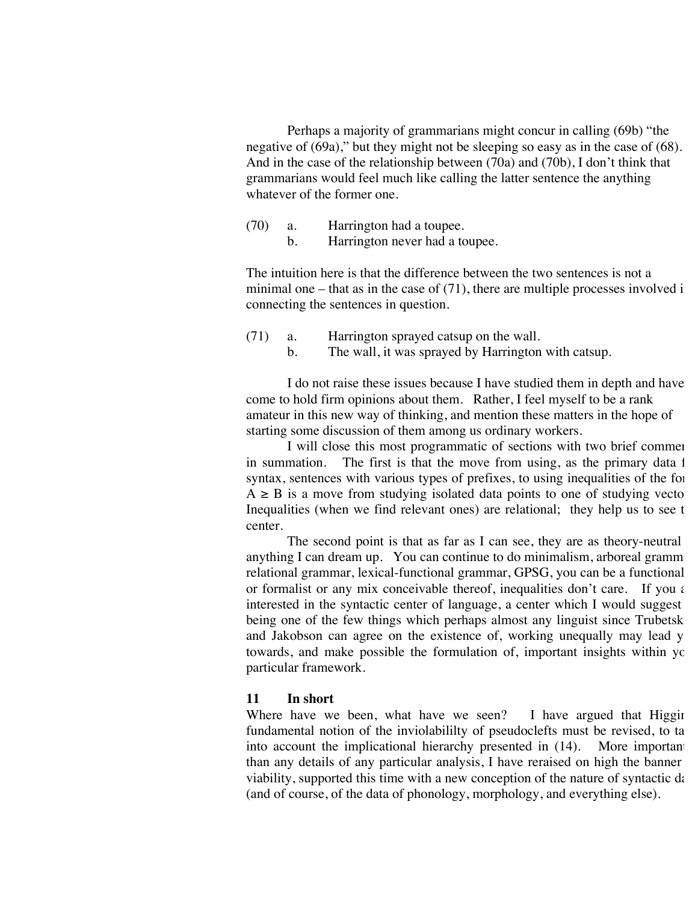Perhaps a majority of grammarians might concur in calling (69b) "the negative of (69a)," but they might not be sleeping so easy as in the case of (68). And in the case of the relationship between (70a) and (70b), I don't think that grammarians would feel much like calling the latter sentence the anything whatever of the former one.

(70) a. Harrington had a toupee. b. Harrington never had a toupee.

The intuition here is that the difference between the two sentences is not a minimal one – that as in the case of  $(71)$ , there are multiple processes involved i connecting the sentences in question.

(71) a. Harrington sprayed catsup on the wall. b. The wall, it was sprayed by Harrington with catsup.

I do not raise these issues because I have studied them in depth and have come to hold firm opinions about them. Rather, I feel myself to be a rank amateur in this new way of thinking, and mention these matters in the hope of starting some discussion of them among us ordinary workers.

I will close this most programmatic of sections with two brief comment in summation. The first is that the move from using, as the primary data  $\mathbf{1}$ syntax, sentences with various types of prefixes, to using inequalities of the form  $A \geq B$  is a move from studying isolated data points to one of studying vectors. Inequalities (when we find relevant ones) are relational; they help us to see the center.

The second point is that as far as I can see, they are as theory-neutral anything I can dream up. You can continue to do minimalism, arboreal gramm relational grammar, lexical-functional grammar, GPSG, you can be a functional or formalist or any mix conceivable thereof, inequalities don't care. If you are interested in the syntactic center of language, a center which I would suggest being one of the few things which perhaps almost any linguist since Trubetsk and Jakobson can agree on the existence of, working unequally may lead y towards, and make possible the formulation of, important insights within you particular framework.

#### **11 In short**

Where have we been, what have we seen? I have argued that  $Higgi$ fundamental notion of the inviolabililty of pseudoclefts must be revised, to ta into account the implicational hierarchy presented in  $(14)$ . More importantly than any details of any particular analysis, I have reraised on high the banner viability, supported this time with a new conception of the nature of syntactic data-(and of course, of the data of phonology, morphology, and everything else).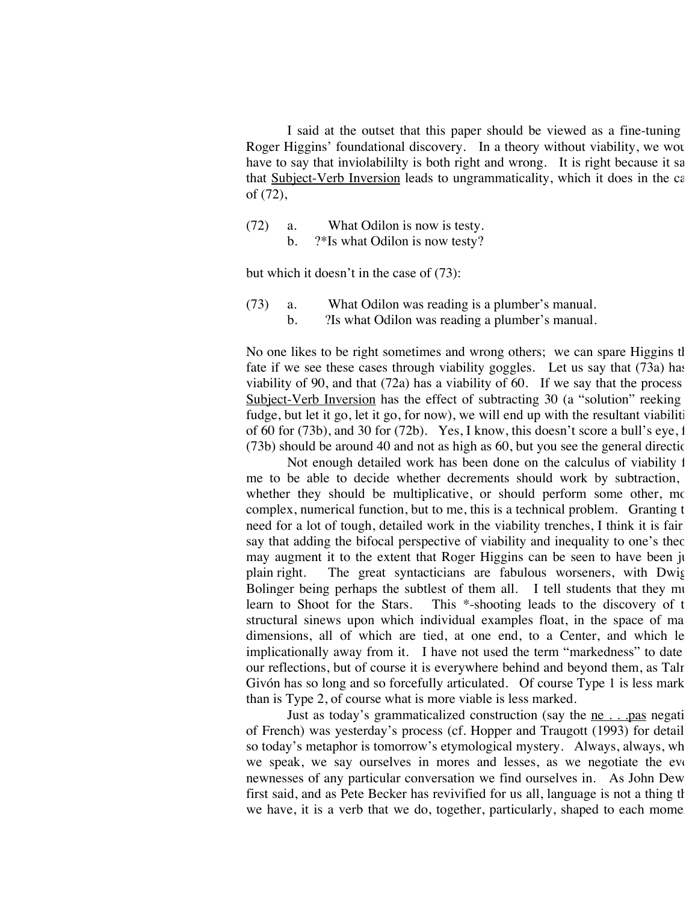I said at the outset that this paper should be viewed as a fine-tuning Roger Higgins' foundational discovery. In a theory without viability, we would have to say that inviolabililty is both right and wrong. It is right because it say that Subject-Verb Inversion leads to ungrammaticality, which it does in the  $c\epsilon$ of (72),

(72) a. What Odilon is now is testy. b. ?\*Is what Odilon is now testy?

but which it doesn't in the case of (73):

(73) a. What Odilon was reading is a plumber's manual. b. ?Is what Odilon was reading a plumber's manual.

No one likes to be right sometimes and wrong others; we can spare Higgins the fate if we see these cases through viability goggles. Let us say that  $(73a)$  has viability of 90, and that  $(72a)$  has a viability of 60. If we say that the process Subject-Verb Inversion has the effect of subtracting  $30$  (a "solution" reeking fudge, but let it go, let it go, for now), we will end up with the resultant viabiliti of 60 for (73b), and 30 for (72b). Yes, I know, this doesn't score a bull's eye, for  $(73b)$  should be around 40 and not as high as 60, but you see the general direction.

Not enough detailed work has been done on the calculus of viability for me to be able to decide whether decrements should work by subtraction, whether they should be multiplicative, or should perform some other,  $mc$ complex, numerical function, but to me, this is a technical problem. Granting the need for a lot of tough, detailed work in the viability trenches, I think it is fair say that adding the bifocal perspective of viability and inequality to one's theory may augment it to the extent that Roger Higgins can be seen to have been ju plain right. The great syntacticians are fabulous worseners, with Dwig Bolinger being perhaps the subtlest of them all. I tell students that they multeum to Shoot for the Stars. This \*-shooting leads to the discovery of t This  $*$ -shooting leads to the discovery of t structural sinews upon which individual examples float, in the space of ma dimensions, all of which are tied, at one end, to a Center, and which lead implicationally away from it. I have not used the term "markedness" to date our reflections, but of course it is everywhere behind and beyond them, as Talr Givón has so long and so forcefully articulated. Of course Type 1 is less mark than is Type 2, of course what is more viable is less marked.

Just as today's grammaticalized construction (say the ne . . .pas negative of French) was yesterday's process (cf. Hopper and Traugott (1993) for detail so today's metaphor is tomorrow's etymological mystery. Always, always, wh we speak, we say ourselves in mores and lesses, as we negotiate the evernewnesses of any particular conversation we find ourselves in. As John Dew first said, and as Pete Becker has revivified for us all, language is not a thing th we have, it is a verb that we do, together, particularly, shaped to each mome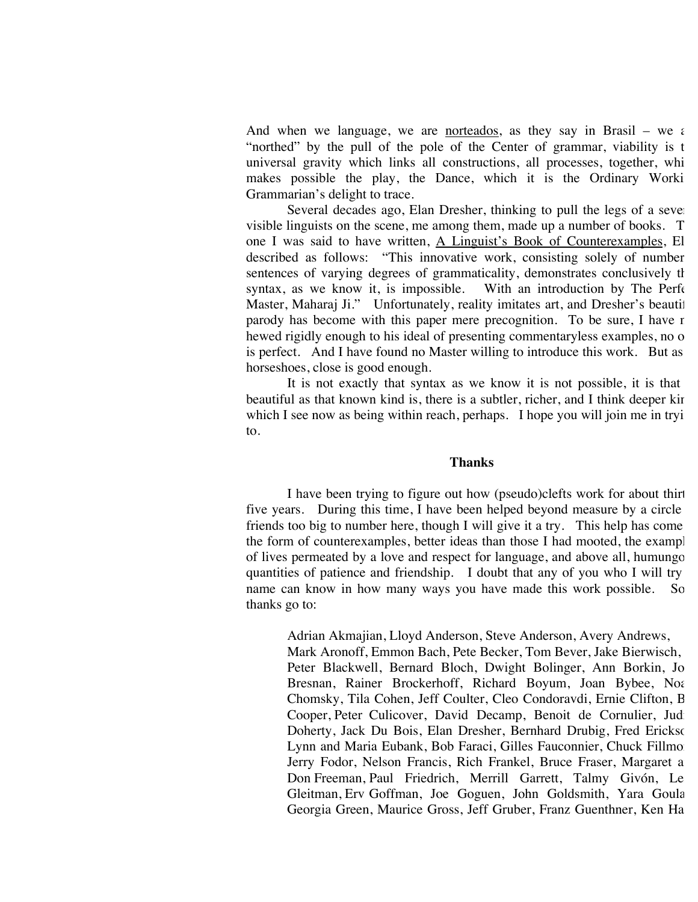And when we language, we are norteados, as they say in Brasil – we are "northed" by the pull of the pole of the Center of grammar, viability is the universal gravity which links all constructions, all processes, together, whi makes possible the play, the Dance, which it is the Ordinary Worki Grammarian's delight to trace.

Several decades ago, Elan Dresher, thinking to pull the legs of a several visible linguists on the scene, me among them, made up a number of books. The one I was said to have written, A Linguist's Book of Counterexamples, El described as follows: "This innovative work, consisting solely of number sentences of varying degrees of grammaticality, demonstrates conclusively that syntax, as we know it, is impossible. With an introduction by The Perfect Master, Maharaj Ji." Unfortunately, reality imitates art, and Dresher's beautiful parody has become with this paper mere precognition. To be sure, I have no hewed rigidly enough to his ideal of presenting commentaryless examples, no one is perfect. And I have found no Master willing to introduce this work. But as horseshoes, close is good enough.

It is not exactly that syntax as we know it is not possible, it is that beautiful as that known kind is, there is a subtler, richer, and I think deeper kin which I see now as being within reach, perhaps. I hope you will join me in tryi to.

#### **Thanks**

I have been trying to figure out how (pseudo)clefts work for about thirt five years. During this time, I have been helped beyond measure by a circle friends too big to number here, though I will give it a try. This help has come the form of counterexamples, better ideas than those I had mooted, the examples of lives permeated by a love and respect for language, and above all, humungo quantities of patience and friendship. I doubt that any of you who I will try name can know in how many ways you have made this work possible. So – thanks go to:

Adrian Akmajian, Lloyd Anderson, Steve Anderson, Avery Andrews, Mark Aronoff, Emmon Bach, Pete Becker, Tom Bever, Jake Bierwisch, Peter Blackwell, Bernard Bloch, Dwight Bolinger, Ann Borkin, Jo Bresnan, Rainer Brockerhoff, Richard Boyum, Joan Bybee, Noa Chomsky, Tila Cohen, Jeff Coulter, Cleo Condoravdi, Ernie Clifton, B Cooper, Peter Culicover, David Decamp, Benoit de Cornulier, Judi Doherty, Jack Du Bois, Elan Dresher, Bernhard Drubig, Fred Erickson, Lynn and Maria Eubank, Bob Faraci, Gilles Fauconnier, Chuck Fillmo Jerry Fodor, Nelson Francis, Rich Frankel, Bruce Fraser, Margaret a Don Freeman, Paul Friedrich, Merrill Garrett, Talmy Givón, Le Gleitman, Erv Goffman, Joe Goguen, John Goldsmith, Yara Goula Georgia Green, Maurice Gross, Jeff Gruber, Franz Guenthner, Ken Ha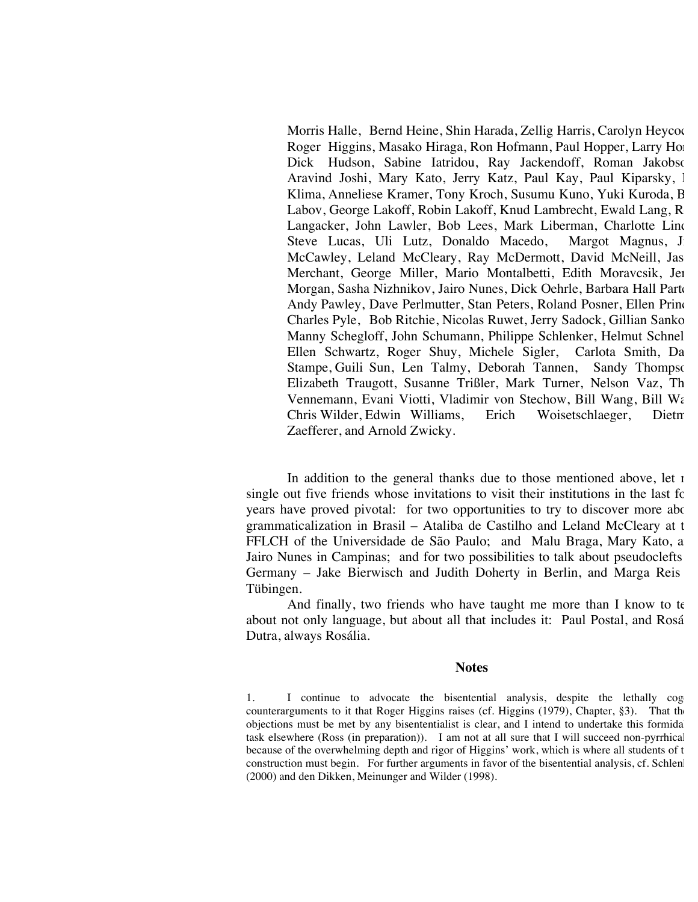Morris Halle, Bernd Heine, Shin Harada, Zellig Harris, Carolyn Heycoc Roger Higgins, Masako Hiraga, Ron Hofmann, Paul Hopper, Larry Horn, Dick Hudson, Sabine Iatridou, Ray Jackendoff, Roman Jakobson, Aravind Joshi, Mary Kato, Jerry Katz, Paul Kay, Paul Kiparsky, 1 Klima, Anneliese Kramer, Tony Kroch, Susumu Kuno, Yuki Kuroda, B Labov, George Lakoff, Robin Lakoff, Knud Lambrecht, Ewald Lang, R Langacker, John Lawler, Bob Lees, Mark Liberman, Charlotte Lind Steve Lucas, Uli Lutz, Donaldo Macedo, Margot Magnus, J. McCawley, Leland McCleary, Ray McDermott, David McNeill, Jas Merchant, George Miller, Mario Montalbetti, Edith Moravcsik, Jer Morgan, Sasha Nizhnikov, Jairo Nunes, Dick Oehrle, Barbara Hall Parte Andy Pawley, Dave Perlmutter, Stan Peters, Roland Posner, Ellen Princ Charles Pyle, Bob Ritchie, Nicolas Ruwet, Jerry Sadock, Gillian Sanko Manny Schegloff, John Schumann, Philippe Schlenker, Helmut Schnel Ellen Schwartz, Roger Shuy, Michele Sigler, Carlota Smith, Da Stampe, Guili Sun, Len Talmy, Deborah Tannen, Sandy Thompson, Elizabeth Traugott, Susanne Trißler, Mark Turner, Nelson Vaz, Th Vennemann, Evani Viotti, Vladimir von Stechow, Bill Wang, Bill Wa Chris Wilder, Edwin Williams, Erich Woisetschlaeger, Dietmark Zaefferer, and Arnold Zwicky.

In addition to the general thanks due to those mentioned above, let  $\alpha$ single out five friends whose invitations to visit their institutions in the last fouryears have proved pivotal: for two opportunities to try to discover more about grammaticalization in Brasil – Ataliba de Castilho and Leland McCleary at the FFLCH of the Universidade de São Paulo; and Malu Braga, Mary Kato, and Jairo Nunes in Campinas; and for two possibilities to talk about pseudoclefts Germany – Jake Bierwisch and Judith Doherty in Berlin, and Marga Reis Tübingen.

And finally, two friends who have taught me more than I know to te about not only language, but about all that includes it: Paul Postal, and Rosá Dutra, always Rosália.

#### **Notes**

1. I continue to advocate the bisentential analysis, despite the lethally cog counterarguments to it that Roger Higgins raises (cf. Higgins (1979), Chapter, §3). That the objections must be met by any bisententialist is clear, and I intend to undertake this formidable task elsewhere (Ross (in preparation)). I am not at all sure that I will succeed non-pyrrhical because of the overwhelming depth and rigor of Higgins' work, which is where all students of t construction must begin. For further arguments in favor of the bisentential analysis, cf. Schlen (2000) and den Dikken, Meinunger and Wilder (1998).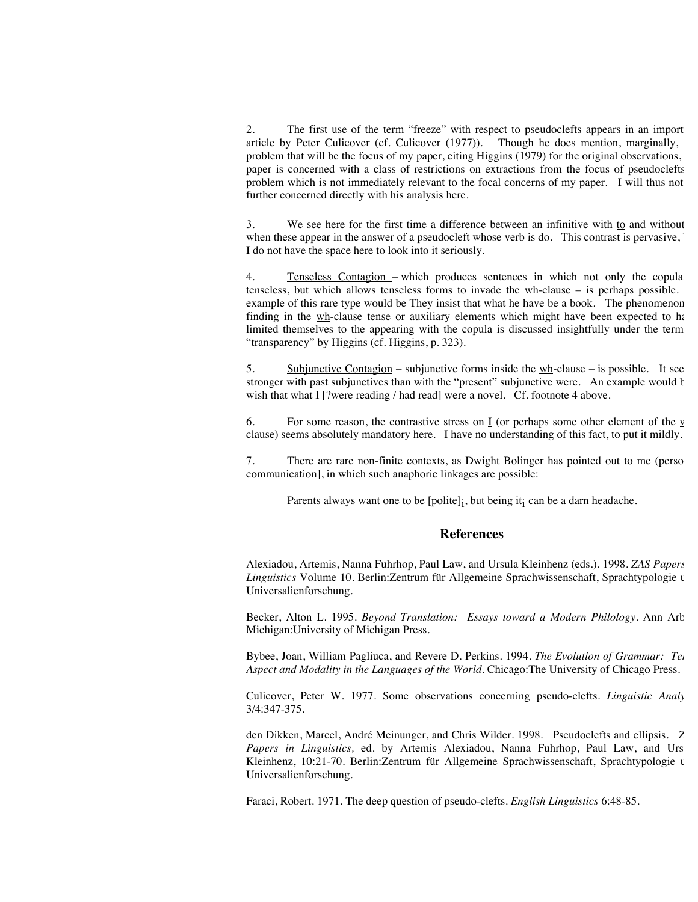2. The first use of the term "freeze" with respect to pseudoclefts appears in an import article by Peter Culicover (cf. Culicover (1977)). Though he does mention, marginally, problem that will be the focus of my paper, citing Higgins (1979) for the original observations, paper is concerned with a class of restrictions on extractions from the focus of pseudoclefts problem which is not immediately relevant to the focal concerns of my paper. I will thus not further concerned directly with his analysis here.

3. We see here for the first time a difference between an infinitive with  $\underline{to}$  and without when these appear in the answer of a pseudocleft whose verb is  $\underline{do}$ . This contrast is pervasive,  $\vdash$ I do not have the space here to look into it seriously.

4. Tenseless Contagion – which produces sentences in which not only the copula tenseless, but which allows tenseless forms to invade the  $wh$ -clause – is perhaps possible. example of this rare type would be They insist that what he have be a book. The phenomenon finding in the  $wh$ -clause tense or auxiliary elements which might have been expected to have limited themselves to the appearing with the copula is discussed insightfully under the term "transparency" by Higgins (cf. Higgins, p. 323).

5. Subjunctive Contagion – subjunctive forms inside the  $wh$ -clause – is possible. It see stronger with past subjunctives than with the "present" subjunctive were. An example would be wish that what I [?were reading / had read] were a novel. Cf. footnote 4 above.

6. For some reason, the contrastive stress on  $\underline{I}$  (or perhaps some other element of the  $\underline{v}$ clause) seems absolutely mandatory here. I have no understanding of this fact, to put it mildly.

7. There are rare non-finite contexts, as Dwight Bolinger has pointed out to me (personal) communication], in which such anaphoric linkages are possible:

Parents always want one to be  $[{\rm{policy}}]_i$ , but being it $_i$  can be a darn headache.

#### **References**

Alexiadou, Artemis, Nanna Fuhrhop, Paul Law, and Ursula Kleinhenz (eds.). 1998. *ZAS Papers in*  Linguistics Volume 10. Berlin: Zentrum für Allgemeine Sprachwissenschaft, Sprachtypologie u Universalienforschung.

Becker, Alton L. 1995. *Beyond Translation: Essays toward a Modern Philology*. Ann Arb Michigan:University of Michigan Press.

Bybee, Joan, William Pagliuca, and Revere D. Perkins. 1994. *The Evolution of Grammar: Tel Aspect and Modality in the Languages of the World.* Chicago:The University of Chicago Press.

Culicover, Peter W. 1977. Some observations concerning pseudo-clefts. *Linguistic Analy* 3/4:347-375.

den Dikken, Marcel, André Meinunger, and Chris Wilder. 1998. Pseudoclefts and ellipsis. *Z Papers in Linguistics*, ed. by Artemis Alexiadou, Nanna Fuhrhop, Paul Law, and Urs Kleinhenz, 10:21-70. Berlin: Zentrum für Allgemeine Sprachwissenschaft, Sprachtypologie u Universalienforschung.

Faraci, Robert. 1971. The deep question of pseudo-clefts. *English Linguistics* 6:48-85.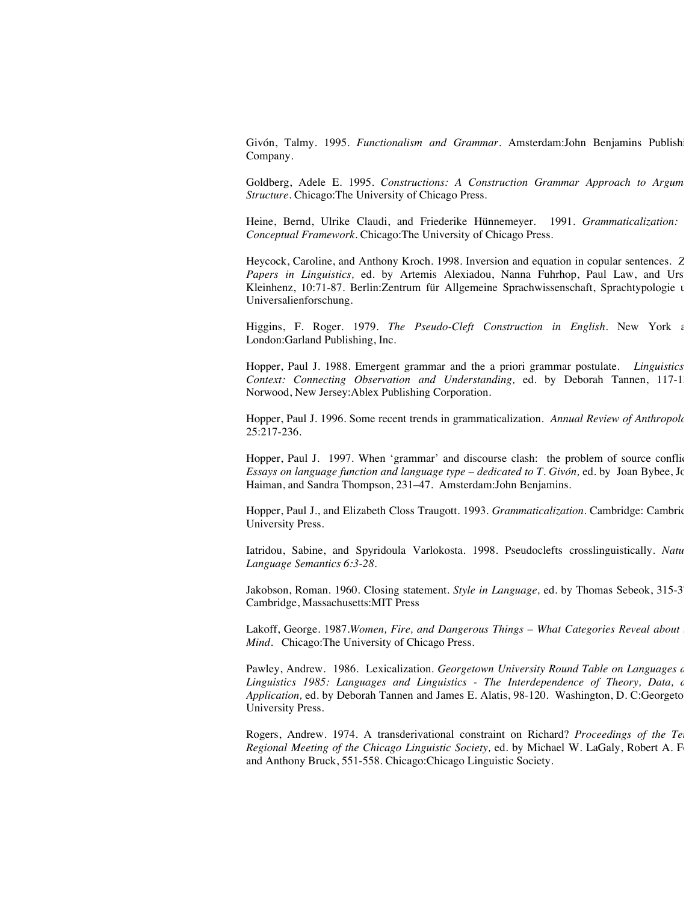Givón, Talmy. 1995. *Functionalism and Grammar*. Amsterdam:John Benjamins Publish Company.

Goldberg, Adele E. 1995. Constructions: A Construction Grammar Approach to Argum *Structure.* Chicago:The University of Chicago Press.

Heine, Bernd, Ulrike Claudi, and Friederike Hünnemeyer. 1991. *Grammaticalization: Conceptual Framework.* Chicago:The University of Chicago Press.

Heycock, Caroline, and Anthony Kroch. 1998. Inversion and equation in copular sentences. *Z* Papers in Linguistics, ed. by Artemis Alexiadou, Nanna Fuhrhop, Paul Law, and Urs Kleinhenz, 10:71-87. Berlin:Zentrum für Allgemeine Sprachwissenschaft, Sprachtypologie u Universalienforschung.

Higgins, F. Roger. 1979. *The Pseudo-Cleft Construction in English*. New York and London:Garland Publishing, Inc.

Hopper, Paul J. 1988. Emergent grammar and the a priori grammar postulate. *Linguistics Context: Connecting Observation and Understanding,* ed. by Deborah Tannen, 117-13 Norwood, New Jersey:Ablex Publishing Corporation.

Hopper, Paul J. 1996. Some recent trends in grammaticalization. Annual Review of Anthropole 25:217-236.

Hopper, Paul J. 1997. When 'grammar' and discourse clash: the problem of source conflict *Essays on language function and language type – dedicated to T. Givón,* ed. by Joan Bybee, Jc Haiman, and Sandra Thompson, 231–47. Amsterdam:John Benjamins.

Hopper, Paul J., and Elizabeth Closs Traugott. 1993. *Grammaticalization.* Cambridge: Cambridge University Press.

Iatridou, Sabine, and Spyridoula Varlokosta. 1998. Pseudoclefts crosslinguistically. Natu *Language Semantics 6:3-28*.

Jakobson, Roman. 1960. Closing statement. *Style in Language*, ed. by Thomas Sebeok, 315-3<sup>7</sup> Cambridge, Massachusetts:MIT Press

Lakoff, George. 1987.*Women, Fire, and Dangerous Things - What Categories Reveal about Mind.* Chicago:The University of Chicago Press.

Pawley, Andrew. 1986. Lexicalization. *Georgetown University Round Table on Languages c* Linguistics 1985: Languages and Linguistics - The Interdependence of Theory, Data, and *Application*, ed. by Deborah Tannen and James E. Alatis, 98-120. Washington, D. C:Georgeto University Press.

Rogers, Andrew. 1974. A transderivational constraint on Richard? *Proceedings of the Tel Regional Meeting of the Chicago Linguistic Society, ed. by Michael W. LaGaly, Robert A. F* and Anthony Bruck, 551-558. Chicago:Chicago Linguistic Society.